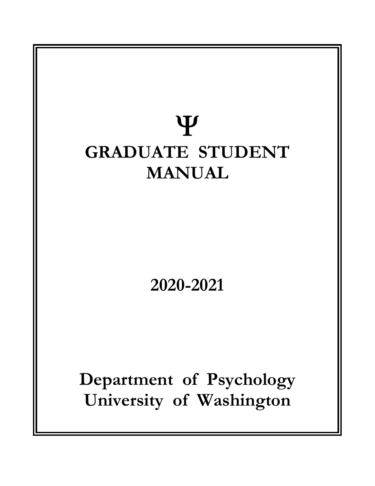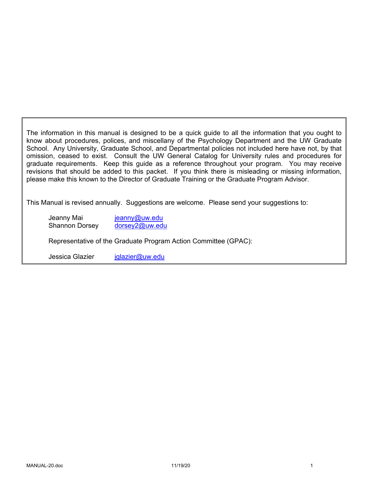The information in this manual is designed to be a quick guide to all the information that you ought to know about procedures, polices, and miscellany of the Psychology Department and the UW Graduate School. Any University, Graduate School, and Departmental policies not included here have not, by that omission, ceased to exist. Consult the UW General Catalog for University rules and procedures for graduate requirements. Keep this guide as a reference throughout your program. You may receive revisions that should be added to this packet. If you think there is misleading or missing information, please make this known to the Director of Graduate Training or the Graduate Program Advisor.

This Manual is revised annually. Suggestions are welcome. Please send your suggestions to:

Jeanny Mai jeanny@uw.edu Shannon Dorsey dorsey2@uw.edu

Representative of the Graduate Program Action Committee (GPAC):

Jessica Glazier jglazier@uw.edu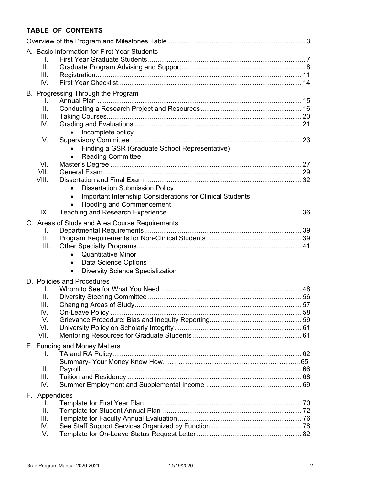# **TABLE OF CONTENTS**

|                                    | A. Basic Information for First Year Students                    |  |
|------------------------------------|-----------------------------------------------------------------|--|
| I.                                 |                                                                 |  |
| ΙΙ.                                |                                                                 |  |
| III.                               |                                                                 |  |
| IV.                                |                                                                 |  |
| B. Progressing Through the Program |                                                                 |  |
| L.                                 |                                                                 |  |
| II.<br>III.                        |                                                                 |  |
| IV.                                |                                                                 |  |
|                                    | Incomplete policy                                               |  |
| V.                                 |                                                                 |  |
| $\bullet$                          | Finding a GSR (Graduate School Representative)                  |  |
| $\bullet$                          | <b>Reading Committee</b>                                        |  |
| VI.                                |                                                                 |  |
| VII.                               |                                                                 |  |
| VIII.                              |                                                                 |  |
|                                    | <b>Dissertation Submission Policy</b>                           |  |
| $\bullet$                          | Important Internship Considerations for Clinical Students       |  |
| $\bullet$                          | <b>Hooding and Commencement</b>                                 |  |
| IX.                                |                                                                 |  |
|                                    | C. Areas of Study and Area Course Requirements                  |  |
| I.                                 |                                                                 |  |
| II.                                |                                                                 |  |
| III.                               |                                                                 |  |
|                                    | <b>Quantitative Minor</b>                                       |  |
| $\bullet$                          | Data Science Options<br><b>Diversity Science Specialization</b> |  |
| $\bullet$                          |                                                                 |  |
| D. Policies and Procedures         |                                                                 |  |
| I.<br>II.                          |                                                                 |  |
| III.                               |                                                                 |  |
| IV.                                |                                                                 |  |
| V.                                 |                                                                 |  |
| VI.                                |                                                                 |  |
| VII.                               |                                                                 |  |
| E. Funding and Money Matters       |                                                                 |  |
| I.                                 |                                                                 |  |
|                                    |                                                                 |  |
| Ⅱ.                                 |                                                                 |  |
| III.                               |                                                                 |  |
| IV.                                |                                                                 |  |
| F. Appendices                      |                                                                 |  |
| I.                                 |                                                                 |  |
| ΙΙ.                                |                                                                 |  |
| III.                               |                                                                 |  |
| IV.                                |                                                                 |  |
| V.                                 |                                                                 |  |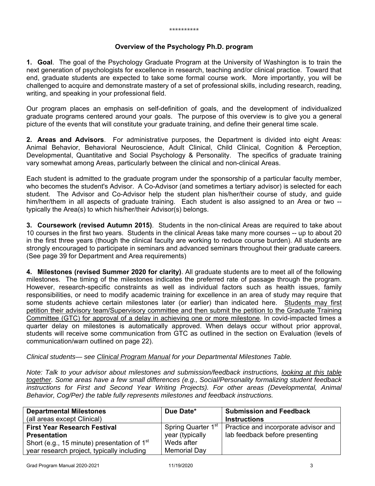#### **Overview of the Psychology Ph.D. program**

**1. Goal**. The goal of the Psychology Graduate Program at the University of Washington is to train the next generation of psychologists for excellence in research, teaching and/or clinical practice. Toward that end, graduate students are expected to take some formal course work. More importantly, you will be challenged to acquire and demonstrate mastery of a set of professional skills, including research, reading, writing, and speaking in your professional field.

Our program places an emphasis on self-definition of goals, and the development of individualized graduate programs centered around your goals. The purpose of this overview is to give you a general picture of the events that will constitute your graduate training, and define their general time scale.

**2. Areas and Advisors**. For administrative purposes, the Department is divided into eight Areas: Animal Behavior, Behavioral Neuroscience, Adult Clinical, Child Clinical, Cognition & Perception, Developmental, Quantitative and Social Psychology & Personality. The specifics of graduate training vary somewhat among Areas, particularly between the clinical and non-clinical Areas.

Each student is admitted to the graduate program under the sponsorship of a particular faculty member, who becomes the student's Advisor. A Co-Advisor (and sometimes a tertiary advisor) is selected for each student. The Advisor and Co-Advisor help the student plan his/her/their course of study, and guide him/her/them in all aspects of graduate training. Each student is also assigned to an Area or two -typically the Area(s) to which his/her/their Advisor(s) belongs.

**3. Coursework (revised Autumn 2015)**. Students in the non-clinical Areas are required to take about 10 courses in the first two years. Students in the clinical Areas take many more courses -- up to about 20 in the first three years (though the clinical faculty are working to reduce course burden). All students are strongly encouraged to participate in seminars and advanced seminars throughout their graduate careers. (See page 39 for Department and Area requirements)

**4. Milestones (revised Summer 2020 for clarity)**. All graduate students are to meet all of the following milestones. The timing of the milestones indicates the preferred rate of passage through the program. However, research-specific constraints as well as individual factors such as health issues, family responsibilities, or need to modify academic training for excellence in an area of study may require that some students achieve certain milestones later (or earlier) than indicated here. Students may first petition their advisory team/Supervisory committee and then submit the petition to the Graduate Training Committee (GTC) for approval of a delay in achieving one or more milestone. In covid-impacted times a quarter delay on milestones is automatically approved. When delays occur without prior approval, students will receive some communication from GTC as outlined in the section on Evaluation (levels of communication/warn outlined on page 22).

#### *Clinical students— see Clinical Program Manual for your Departmental Milestones Table.*

*Note: Talk to your advisor about milestones and submission/feedback instructions, looking at this table together. Some areas have a few small differences (e.g., Social/Personality formalizing student feedback*  instructions for First and Second Year Writing Projects). For other areas (Developmental, Animal *Behavior, Cog/Per) the table fully represents milestones and feedback instructions.* 

| <b>Departmental Milestones</b><br>(all areas except Clinical) | Due Date*                      | <b>Submission and Feedback</b><br><b>Instructions</b> |
|---------------------------------------------------------------|--------------------------------|-------------------------------------------------------|
| <b>First Year Research Festival</b>                           | Spring Quarter 1 <sup>st</sup> | Practice and incorporate advisor and                  |
| <b>Presentation</b>                                           | year (typically                | lab feedback before presenting                        |
| Short (e.g., 15 minute) presentation of $1st$                 | Weds after                     |                                                       |
| year research project, typically including                    | Memorial Day                   |                                                       |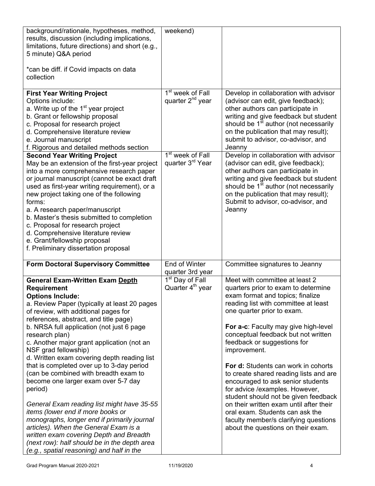| background/rationale, hypotheses, method,<br>results, discussion (including implications,<br>limitations, future directions) and short (e.g.,<br>5 minute) Q&A period                                                                                                                                                                                                                                                                                                                                                                                                                                                                                                                                                                                                                                                                                                   | weekend)                                                                                                                     |                                                                                                                                                                                                                                                                                                                                                                                                                                                                                                                                                                                                                                                                            |
|-------------------------------------------------------------------------------------------------------------------------------------------------------------------------------------------------------------------------------------------------------------------------------------------------------------------------------------------------------------------------------------------------------------------------------------------------------------------------------------------------------------------------------------------------------------------------------------------------------------------------------------------------------------------------------------------------------------------------------------------------------------------------------------------------------------------------------------------------------------------------|------------------------------------------------------------------------------------------------------------------------------|----------------------------------------------------------------------------------------------------------------------------------------------------------------------------------------------------------------------------------------------------------------------------------------------------------------------------------------------------------------------------------------------------------------------------------------------------------------------------------------------------------------------------------------------------------------------------------------------------------------------------------------------------------------------------|
| *can be diff. if Covid impacts on data<br>collection                                                                                                                                                                                                                                                                                                                                                                                                                                                                                                                                                                                                                                                                                                                                                                                                                    |                                                                                                                              |                                                                                                                                                                                                                                                                                                                                                                                                                                                                                                                                                                                                                                                                            |
| <b>First Year Writing Project</b><br>Options include:<br>a. Write up of the 1 <sup>st</sup> year project<br>b. Grant or fellowship proposal<br>c. Proposal for research project<br>d. Comprehensive literature review<br>e. Journal manuscript<br>f. Rigorous and detailed methods section<br><b>Second Year Writing Project</b><br>May be an extension of the first-year project<br>into a more comprehensive research paper<br>or journal manuscript (cannot be exact draft<br>used as first-year writing requirement), or a<br>new project taking one of the following<br>forms:<br>a. A research paper/manuscript<br>b. Master's thesis submitted to completion<br>c. Proposal for research project<br>d. Comprehensive literature review<br>e. Grant/fellowship proposal<br>f. Preliminary dissertation proposal                                                   | 1 <sup>st</sup> week of Fall<br>quarter 2 <sup>nd</sup> year<br>1 <sup>st</sup> week of Fall<br>quarter 3 <sup>rd</sup> Year | Develop in collaboration with advisor<br>(advisor can edit, give feedback);<br>other authors can participate in<br>writing and give feedback but student<br>should be 1 <sup>st</sup> author (not necessarily<br>on the publication that may result);<br>submit to advisor, co-advisor, and<br>Jeanny<br>Develop in collaboration with advisor<br>(advisor can edit, give feedback);<br>other authors can participate in<br>writing and give feedback but student<br>should be 1 <sup>st</sup> author (not necessarily<br>on the publication that may result);<br>Submit to advisor, co-advisor, and<br>Jeanny                                                             |
| <b>Form Doctoral Supervisory Committee</b>                                                                                                                                                                                                                                                                                                                                                                                                                                                                                                                                                                                                                                                                                                                                                                                                                              | End of Winter<br>quarter 3rd year                                                                                            | Committee signatures to Jeanny                                                                                                                                                                                                                                                                                                                                                                                                                                                                                                                                                                                                                                             |
| <b>General Exam-Written Exam Depth</b><br><b>Requirement</b><br><b>Options Include:</b><br>a. Review Paper (typically at least 20 pages<br>of review, with additional pages for<br>references, abstract, and title page)<br>b. NRSA full application (not just 6 page<br>research plan)<br>c. Another major grant application (not an<br>NSF grad fellowship)<br>d. Written exam covering depth reading list<br>that is completed over up to 3-day period<br>(can be combined with breadth exam to<br>become one larger exam over 5-7 day<br>period)<br>General Exam reading list might have 35-55<br>items (lower end if more books or<br>monographs, longer end if primarily journal<br>articles). When the General Exam is a<br>written exam covering Depth and Breadth<br>(next row): half should be in the depth area<br>(e.g., spatial reasoning) and half in the | 1 <sup>st</sup> Day of Fall<br>Quarter 4 <sup>th</sup> year                                                                  | Meet with committee at least 2<br>quarters prior to exam to determine<br>exam format and topics; finalize<br>reading list with committee at least<br>one quarter prior to exam.<br>For a-c: Faculty may give high-level<br>conceptual feedback but not written<br>feedback or suggestions for<br>improvement.<br>For d: Students can work in cohorts<br>to create shared reading lists and are<br>encouraged to ask senior students<br>for advice /examples. However,<br>student should not be given feedback<br>on their written exam until after their<br>oral exam. Students can ask the<br>faculty member/s clarifying questions<br>about the questions on their exam. |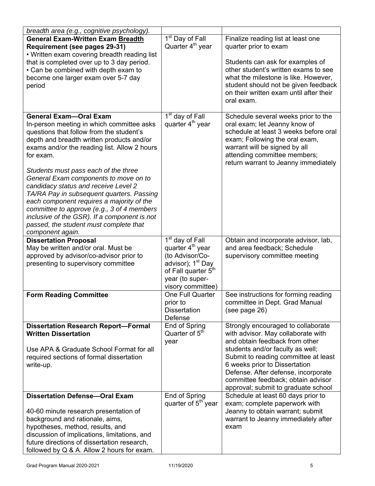| breadth area (e.g., cognitive psychology).                                             |                                 |                                                                          |
|----------------------------------------------------------------------------------------|---------------------------------|--------------------------------------------------------------------------|
| <b>General Exam-Written Exam Breadth</b>                                               | 1 <sup>st</sup> Day of Fall     | Finalize reading list at least one                                       |
| Requirement (see pages 29-31)                                                          | Quarter 4 <sup>th</sup> year    | quarter prior to exam                                                    |
| • Written exam covering breadth reading list                                           |                                 |                                                                          |
| that is completed over up to 3 day period.                                             |                                 | Students can ask for examples of                                         |
| • Can be combined with depth exam to                                                   |                                 | other student's written exams to see                                     |
| become one larger exam over 5-7 day                                                    |                                 | what the milestone is like. However,                                     |
| period                                                                                 |                                 | student should not be given feedback                                     |
|                                                                                        |                                 | on their written exam until after their                                  |
|                                                                                        |                                 | oral exam.                                                               |
|                                                                                        |                                 |                                                                          |
| <b>General Exam-Oral Exam</b>                                                          | 1 <sup>st</sup> day of Fall     | Schedule several weeks prior to the                                      |
| In-person meeting in which committee asks                                              | quarter 4 <sup>th</sup> year    | oral exam; let Jeanny know of                                            |
| questions that follow from the student's                                               |                                 | schedule at least 3 weeks before oral                                    |
| depth and breadth written products and/or                                              |                                 | exam; Following the oral exam,                                           |
| exams and/or the reading list. Allow 2 hours                                           |                                 | warrant will be signed by all                                            |
| for exam.                                                                              |                                 | attending committee members;                                             |
|                                                                                        |                                 | return warrant to Jeanny immediately                                     |
| Students must pass each of the three                                                   |                                 |                                                                          |
| General Exam components to move on to                                                  |                                 |                                                                          |
| candidacy status and receive Level 2                                                   |                                 |                                                                          |
| TA/RA Pay in subsequent quarters. Passing<br>each component requires a majority of the |                                 |                                                                          |
| committee to approve (e.g., 3 of 4 members                                             |                                 |                                                                          |
| inclusive of the GSR). If a component is not                                           |                                 |                                                                          |
| passed, the student must complete that                                                 |                                 |                                                                          |
| component again.                                                                       |                                 |                                                                          |
| <b>Dissertation Proposal</b>                                                           | 1 <sup>st</sup> day of Fall     | Obtain and incorporate advisor, lab,                                     |
| May be written and/or oral. Must be                                                    | quarter 4 <sup>th</sup> year    | and area feedback; Schedule                                              |
| approved by advisor/co-advisor prior to                                                | (to Advisor/Co-                 | supervisory committee meeting                                            |
| presenting to supervisory committee                                                    | advisor); 1 <sup>st</sup> Day   |                                                                          |
|                                                                                        | of Fall quarter 5 <sup>th</sup> |                                                                          |
|                                                                                        | year (to super-                 |                                                                          |
|                                                                                        | visory committee)               |                                                                          |
| <b>Form Reading Committee</b>                                                          | One Full Quarter                | See instructions for forming reading                                     |
|                                                                                        | prior to                        | committee in Dept. Grad Manual                                           |
|                                                                                        | <b>Dissertation</b>             | (see page 26)                                                            |
|                                                                                        | Defense                         |                                                                          |
| <b>Dissertation Research Report-Formal</b>                                             | End of Spring                   | Strongly encouraged to collaborate                                       |
| <b>Written Dissertation</b>                                                            | Quarter of 5 <sup>th</sup>      | with advisor. May collaborate with                                       |
|                                                                                        | year                            | and obtain feedback from other                                           |
| Use APA & Graduate School Format for all                                               |                                 | students and/or faculty as well;<br>Submit to reading committee at least |
| required sections of formal dissertation                                               |                                 | 6 weeks prior to Dissertation                                            |
| write-up.                                                                              |                                 | Defense. After defense, incorporate                                      |
|                                                                                        |                                 | committee feedback; obtain advisor                                       |
|                                                                                        |                                 | approval; submit to graduate school                                      |
| <b>Dissertation Defense-Oral Exam</b>                                                  | End of Spring                   | Schedule at least 60 days prior to                                       |
|                                                                                        | quarter of $5th$ year           | exam; complete paperwork with                                            |
| 40-60 minute research presentation of                                                  |                                 | Jeanny to obtain warrant; submit                                         |
| background and rationale, aims,                                                        |                                 | warrant to Jeanny immediately after                                      |
| hypotheses, method, results, and                                                       |                                 | exam                                                                     |
| discussion of implications, limitations, and                                           |                                 |                                                                          |
| future directions of dissertation research,                                            |                                 |                                                                          |
| followed by Q & A. Allow 2 hours for exam.                                             |                                 |                                                                          |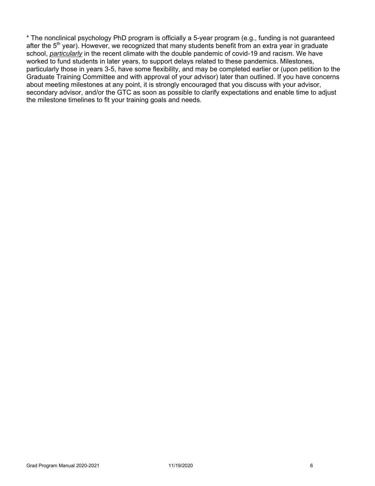\* The nonclinical psychology PhD program is officially a 5-year program (e.g., funding is not guaranteed after the  $5<sup>th</sup>$  year). However, we recognized that many students benefit from an extra year in graduate school, *particularly* in the recent climate with the double pandemic of covid-19 and racism. We have worked to fund students in later years, to support delays related to these pandemics. Milestones, particularly those in years 3-5, have some flexibility, and may be completed earlier or (upon petition to the Graduate Training Committee and with approval of your advisor) later than outlined. If you have concerns about meeting milestones at any point, it is strongly encouraged that you discuss with your advisor, secondary advisor, and/or the GTC as soon as possible to clarify expectations and enable time to adjust the milestone timelines to fit your training goals and needs.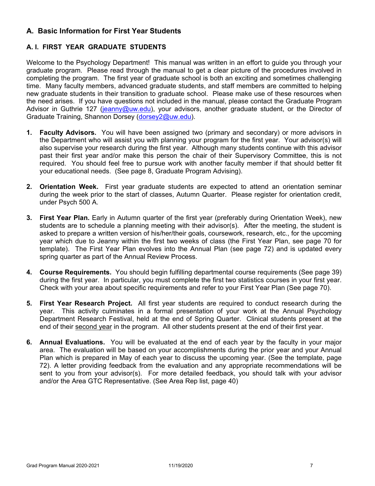# **A. Basic Information for First Year Students**

# **A. I. FIRST YEAR GRADUATE STUDENTS**

Welcome to the Psychology Department! This manual was written in an effort to guide you through your graduate program. Please read through the manual to get a clear picture of the procedures involved in completing the program. The first year of graduate school is both an exciting and sometimes challenging time. Many faculty members, advanced graduate students, and staff members are committed to helping new graduate students in their transition to graduate school. Please make use of these resources when the need arises. If you have questions not included in the manual, please contact the Graduate Program Advisor in Guthrie 127 (jeanny@uw.edu), your advisors, another graduate student, or the Director of Graduate Training, Shannon Dorsey (dorsey2@uw.edu).

- **1. Faculty Advisors.** You will have been assigned two (primary and secondary) or more advisors in the Department who will assist you with planning your program for the first year. Your advisor(s) will also supervise your research during the first year. Although many students continue with this advisor past their first year and/or make this person the chair of their Supervisory Committee, this is not required. You should feel free to pursue work with another faculty member if that should better fit your educational needs. (See page 8, Graduate Program Advising).
- **2. Orientation Week.** First year graduate students are expected to attend an orientation seminar during the week prior to the start of classes, Autumn Quarter. Please register for orientation credit, under Psych 500 A.
- **3. First Year Plan.** Early in Autumn quarter of the first year (preferably during Orientation Week), new students are to schedule a planning meeting with their advisor(s). After the meeting, the student is asked to prepare a written version of his/her/their goals, coursework, research, etc., for the upcoming year which due to Jeanny within the first two weeks of class (the First Year Plan, see page 70 for template). The First Year Plan evolves into the Annual Plan (see page 72) and is updated every spring quarter as part of the Annual Review Process.
- **4. Course Requirements.** You should begin fulfilling departmental course requirements (See page 39) during the first year. In particular, you must complete the first two statistics courses in your first year. Check with your area about specific requirements and refer to your First Year Plan (See page 70).
- **5. First Year Research Project.** All first year students are required to conduct research during the year. This activity culminates in a formal presentation of your work at the Annual Psychology Department Research Festival, held at the end of Spring Quarter. Clinical students present at the end of their second year in the program. All other students present at the end of their first year.
- **6. Annual Evaluations.** You will be evaluated at the end of each year by the faculty in your major area. The evaluation will be based on your accomplishments during the prior year and your Annual Plan which is prepared in May of each year to discuss the upcoming year. (See the template, page 72). A letter providing feedback from the evaluation and any appropriate recommendations will be sent to you from your advisor(s). For more detailed feedback, you should talk with your advisor and/or the Area GTC Representative. (See Area Rep list, page 40)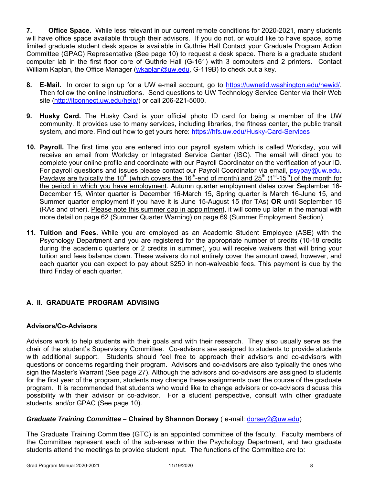**7. Office Space.** While less relevant in our current remote conditions for 2020-2021, many students will have office space available through their advisors. If you do not, or would like to have space, some limited graduate student desk space is available in Guthrie Hall Contact your Graduate Program Action Committee (GPAC) Representative (See page 10) to request a desk space. There is a graduate student computer lab in the first floor core of Guthrie Hall (G-161) with 3 computers and 2 printers. Contact William Kaplan, the Office Manager (wkaplan@uw.edu, G-119B) to check out a key.

- **8. E-Mail.** In order to sign up for a UW e-mail account, go to https://uwnetid.washington.edu/newid/. Then follow the online instructions. Send questions to UW Technology Service Center via their Web site (http://itconnect.uw.edu/help/) or call 206-221-5000.
- **9. Husky Card.** The Husky Card is your official photo ID card for being a member of the UW community. It provides use to many services, including libraries, the fitness center, the public transit system, and more. Find out how to get yours here: https://hfs.uw.edu/Husky-Card-Services
- **10. Payroll.** The first time you are entered into our payroll system which is called Workday, you will receive an email from Workday or Integrated Service Center (ISC). The email will direct you to complete your online profile and coordinate with our Payroll Coordinator on the verification of your ID. For payroll questions and issues please contact our Payroll Coordinator via email, psypay@uw.edu. Paydays are typically the 10<sup>th</sup> (which covers the 16<sup>th</sup>-end of month) and 25<sup>th</sup> (1<sup>st</sup>-15<sup>th</sup>) of the month for the period in which you have employment. Autumn quarter employment dates cover September 16- December 15, Winter quarter is December 16-March 15, Spring quarter is March 16-June 15, and Summer quarter employment if you have it is June 15-August 15 (for TAs) **OR** until September 15 (RAs and other). Please note this summer gap in appointment, it will come up later in the manual with more detail on page 62 (Summer Quarter Warning) on page 69 (Summer Employment Section).
- **11. Tuition and Fees.** While you are employed as an Academic Student Employee (ASE) with the Psychology Department and you are registered for the appropriate number of credits (10-18 credits during the academic quarters or 2 credits in summer), you will receive waivers that will bring your tuition and fees balance down. These waivers do not entirely cover the amount owed, however, and each quarter you can expect to pay about \$250 in non-waiveable fees. This payment is due by the third Friday of each quarter.

# **A. II. GRADUATE PROGRAM ADVISING**

# **Advisors/Co-Advisors**

Advisors work to help students with their goals and with their research. They also usually serve as the chair of the student's Supervisory Committee. Co-advisors are assigned to students to provide students with additional support. Students should feel free to approach their advisors and co-advisors with questions or concerns regarding their program. Advisors and co-advisors are also typically the ones who sign the Master's Warrant (See page 27). Although the advisors and co-advisors are assigned to students for the first year of the program, students may change these assignments over the course of the graduate program. It is recommended that students who would like to change advisors or co-advisors discuss this possibility with their advisor or co-advisor. For a student perspective, consult with other graduate students, and/or GPAC (See page 10).

### *Graduate Training Committee –* **Chaired by Shannon Dorsey** ( e-mail: dorsey2@uw.edu)

The Graduate Training Committee (GTC) is an appointed committee of the faculty. Faculty members of the Committee represent each of the sub-areas within the Psychology Department, and two graduate students attend the meetings to provide student input. The functions of the Committee are to: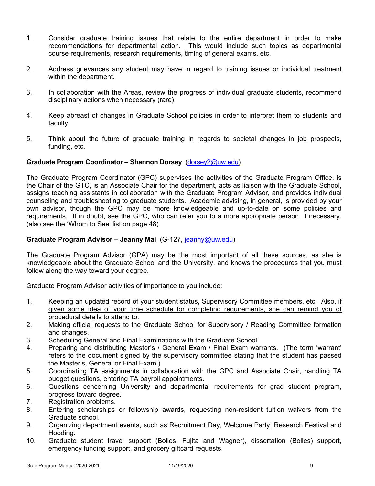- 1. Consider graduate training issues that relate to the entire department in order to make recommendations for departmental action. This would include such topics as departmental course requirements, research requirements, timing of general exams, etc.
- 2. Address grievances any student may have in regard to training issues or individual treatment within the department.
- 3. In collaboration with the Areas, review the progress of individual graduate students, recommend disciplinary actions when necessary (rare).
- 4. Keep abreast of changes in Graduate School policies in order to interpret them to students and faculty.
- 5. Think about the future of graduate training in regards to societal changes in job prospects, funding, etc.

### **Graduate Program Coordinator – Shannon Dorsey** (dorsey2@uw.edu)

The Graduate Program Coordinator (GPC) supervises the activities of the Graduate Program Office, is the Chair of the GTC, is an Associate Chair for the department, acts as liaison with the Graduate School, assigns teaching assistants in collaboration with the Graduate Program Advisor, and provides individual counseling and troubleshooting to graduate students. Academic advising, in general, is provided by your own advisor, though the GPC may be more knowledgeable and up-to-date on some policies and requirements. If in doubt, see the GPC, who can refer you to a more appropriate person, if necessary. (also see the 'Whom to See' list on page 48)

### **Graduate Program Advisor – Jeanny Mai** (G-127, jeanny@uw.edu)

The Graduate Program Advisor (GPA) may be the most important of all these sources, as she is knowledgeable about the Graduate School and the University, and knows the procedures that you must follow along the way toward your degree.

Graduate Program Advisor activities of importance to you include:

- 1. Keeping an updated record of your student status, Supervisory Committee members, etc. Also, if given some idea of your time schedule for completing requirements, she can remind you of procedural details to attend to.
- 2. Making official requests to the Graduate School for Supervisory / Reading Committee formation and changes.
- 3. Scheduling General and Final Examinations with the Graduate School.
- 4. Preparing and distributing Master's / General Exam / Final Exam warrants. (The term 'warrant' refers to the document signed by the supervisory committee stating that the student has passed the Master's, General or Final Exam.)
- 5. Coordinating TA assignments in collaboration with the GPC and Associate Chair, handling TA budget questions, entering TA payroll appointments.
- 6. Questions concerning University and departmental requirements for grad student program, progress toward degree.
- 7. Registration problems.
- 8. Entering scholarships or fellowship awards, requesting non-resident tuition waivers from the Graduate school.
- 9. Organizing department events, such as Recruitment Day, Welcome Party, Research Festival and Hooding.
- 10. Graduate student travel support (Bolles, Fujita and Wagner), dissertation (Bolles) support, emergency funding support, and grocery giftcard requests.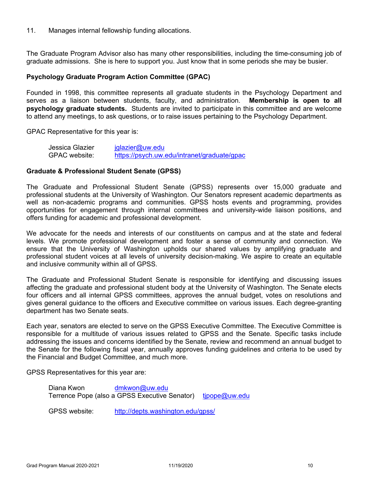11. Manages internal fellowship funding allocations.

The Graduate Program Advisor also has many other responsibilities, including the time-consuming job of graduate admissions. She is here to support you. Just know that in some periods she may be busier.

#### **Psychology Graduate Program Action Committee (GPAC)**

Founded in 1998, this committee represents all graduate students in the Psychology Department and serves as a liaison between students, faculty, and administration. **Membership is open to all psychology graduate students.** Students are invited to participate in this committee and are welcome to attend any meetings, to ask questions, or to raise issues pertaining to the Psychology Department.

GPAC Representative for this year is:

| Jessica Glazier | jglazier@uw.edu                             |
|-----------------|---------------------------------------------|
| GPAC website:   | https://psych.uw.edu/intranet/graduate/gpac |

#### **Graduate & Professional Student Senate (GPSS)**

The Graduate and Professional Student Senate (GPSS) represents over 15,000 graduate and professional students at the University of Washington. Our Senators represent academic departments as well as non-academic programs and communities. GPSS hosts events and programming, provides opportunities for engagement through internal committees and university-wide liaison positions, and offers funding for academic and professional development.

We advocate for the needs and interests of our constituents on campus and at the state and federal levels. We promote professional development and foster a sense of community and connection. We ensure that the University of Washington upholds our shared values by amplifying graduate and professional student voices at all levels of university decision-making. We aspire to create an equitable and inclusive community within all of GPSS.

The Graduate and Professional Student Senate is responsible for identifying and discussing issues affecting the graduate and professional student body at the University of Washington. The Senate elects four officers and all internal GPSS committees, approves the annual budget, votes on resolutions and gives general guidance to the officers and Executive committee on various issues. Each degree-granting department has two Senate seats.

Each year, senators are elected to serve on the GPSS Executive Committee. The Executive Committee is responsible for a multitude of various issues related to GPSS and the Senate. Specific tasks include addressing the issues and concerns identified by the Senate, review and recommend an annual budget to the Senate for the following fiscal year, annually approves funding guidelines and criteria to be used by the Financial and Budget Committee, and much more.

GPSS Representatives for this year are:

| Diana Kwon | dmkwon@uw.edu                                               |  |
|------------|-------------------------------------------------------------|--|
|            | Terrence Pope (also a GPSS Executive Senator) tipope@uw.edu |  |

GPSS website: http://depts.washington.edu/gpss/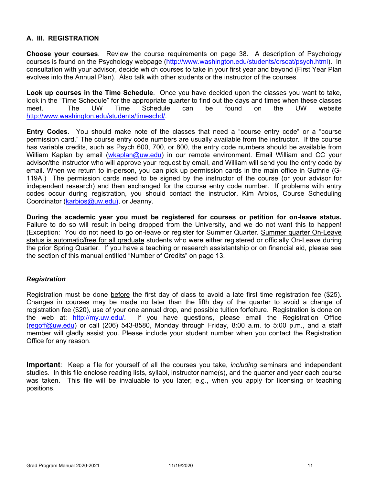# **A. III. REGISTRATION**

**Choose your courses**. Review the course requirements on page 38. A description of Psychology courses is found on the Psychology webpage (http://www.washington.edu/students/crscat/psych.html). In consultation with your advisor, decide which courses to take in your first year and beyond (First Year Plan evolves into the Annual Plan). Also talk with other students or the instructor of the courses.

**Look up courses in the Time Schedule**. Once you have decided upon the classes you want to take, look in the "Time Schedule" for the appropriate quarter to find out the days and times when these classes meet. The UW Time Schedule can be found on the UW website http://www.washington.edu/students/timeschd/.

**Entry Codes**. You should make note of the classes that need a "course entry code" or a "course permission card." The course entry code numbers are usually available from the instructor. If the course has variable credits, such as Psych 600, 700, or 800, the entry code numbers should be available from William Kaplan by email (wkaplan@uw.edu) in our remote environment. Email William and CC your advisor/the instructor who will approve your request by email, and William will send you the entry code by email. When we return to in-person, you can pick up permission cards in the main office in Guthrie (G-119A.) The permission cards need to be signed by the instructor of the course (or your advisor for independent research) and then exchanged for the course entry code number. If problems with entry codes occur during registration, you should contact the instructor, Kim Arbios, Course Scheduling Coordinator (karbios@uw.edu), or Jeanny.

**During the academic year you must be registered for courses or petition for on-leave status.**  Failure to do so will result in being dropped from the University, and we do not want this to happen! (Exception: You do not need to go on-leave or register for Summer Quarter. Summer quarter On-Leave status is automatic/free for all graduate students who were either registered or officially On-Leave during the prior Spring Quarter. If you have a teaching or research assistantship or on financial aid, please see the section of this manual entitled "Number of Credits" on page 13.

# *Registration*

Registration must be done before the first day of class to avoid a late first time registration fee (\$25). Changes in courses may be made no later than the fifth day of the quarter to avoid a change of registration fee (\$20), use of your one annual drop, and possible tuition forfeiture. Registration is done on the web at: http://my.uw.edu/. If you have questions, please email the Registration Office  $($ regoff@uw.edu) or call (206) 543-8580, Monday through Friday, 8:00 a.m. to 5:00 p.m., and a staff member will gladly assist you. Please include your student number when you contact the Registration Office for any reason.

**Important**: Keep a file for yourself of all the courses you take, *including* seminars and independent studies. In this file enclose reading lists, syllabi, instructor name(s), and the quarter and year each course was taken. This file will be invaluable to you later; e.g., when you apply for licensing or teaching positions.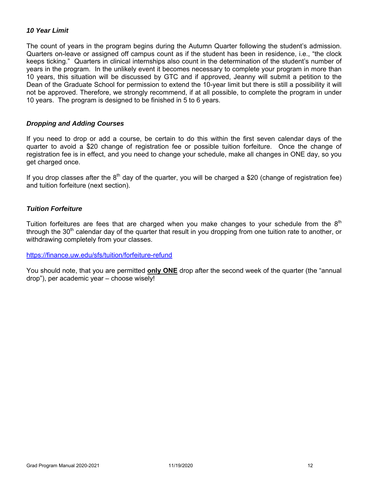### *10 Year Limit*

The count of years in the program begins during the Autumn Quarter following the student's admission. Quarters on-leave or assigned off campus count as if the student has been in residence, i.e., "the clock keeps ticking." Quarters in clinical internships also count in the determination of the student's number of years in the program. In the unlikely event it becomes necessary to complete your program in more than 10 years, this situation will be discussed by GTC and if approved, Jeanny will submit a petition to the Dean of the Graduate School for permission to extend the 10-year limit but there is still a possibility it will not be approved. Therefore, we strongly recommend, if at all possible, to complete the program in under 10 years. The program is designed to be finished in 5 to 6 years.

#### *Dropping and Adding Courses*

If you need to drop or add a course, be certain to do this within the first seven calendar days of the quarter to avoid a \$20 change of registration fee or possible tuition forfeiture. Once the change of registration fee is in effect, and you need to change your schedule, make all changes in ONE day, so you get charged once.

If you drop classes after the  $8<sup>th</sup>$  day of the quarter, you will be charged a \$20 (change of registration fee) and tuition forfeiture (next section).

### *Tuition Forfeiture*

Tuition forfeitures are fees that are charged when you make changes to your schedule from the  $8<sup>th</sup>$ through the 30<sup>th</sup> calendar day of the quarter that result in you dropping from one tuition rate to another, or withdrawing completely from your classes.

https://finance.uw.edu/sfs/tuition/forfeiture-refund

You should note, that you are permitted **only ONE** drop after the second week of the quarter (the "annual drop"), per academic year – choose wisely!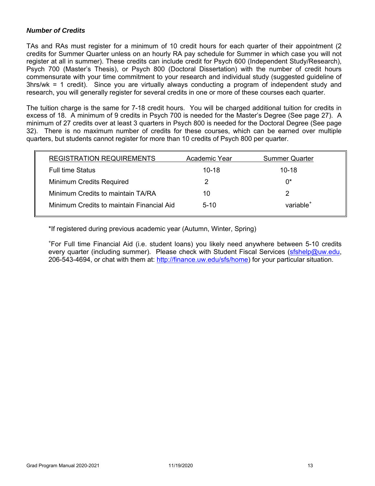### *Number of Credits*

TAs and RAs must register for a minimum of 10 credit hours for each quarter of their appointment (2 credits for Summer Quarter unless on an hourly RA pay schedule for Summer in which case you will not register at all in summer). These credits can include credit for Psych 600 (Independent Study/Research), Psych 700 (Master's Thesis), or Psych 800 (Doctoral Dissertation) with the number of credit hours commensurate with your time commitment to your research and individual study (suggested guideline of 3hrs/wk = 1 credit). Since you are virtually always conducting a program of independent study and research, you will generally register for several credits in one or more of these courses each quarter.

The tuition charge is the same for 7-18 credit hours. You will be charged additional tuition for credits in excess of 18. A minimum of 9 credits in Psych 700 is needed for the Master's Degree (See page 27). A minimum of 27 credits over at least 3 quarters in Psych 800 is needed for the Doctoral Degree (See page 32). There is no maximum number of credits for these courses, which can be earned over multiple quarters, but students cannot register for more than 10 credits of Psych 800 per quarter.

| <b>REGISTRATION REQUIREMENTS</b>          | Academic Year | <b>Summer Quarter</b> |
|-------------------------------------------|---------------|-----------------------|
| <b>Full time Status</b>                   | $10 - 18$     | $10 - 18$             |
| <b>Minimum Credits Required</b>           | 2             | በ*                    |
| Minimum Credits to maintain TA/RA         | 10            |                       |
| Minimum Credits to maintain Financial Aid | $5-10$        | variable <sup>+</sup> |

\*If registered during previous academic year (Autumn, Winter, Spring)

+ For Full time Financial Aid (i.e. student loans) you likely need anywhere between 5-10 credits every quarter (including summer). Please check with Student Fiscal Services (sfshelp@uw.edu, 206-543-4694, or chat with them at: http://finance.uw.edu/sfs/home) for your particular situation.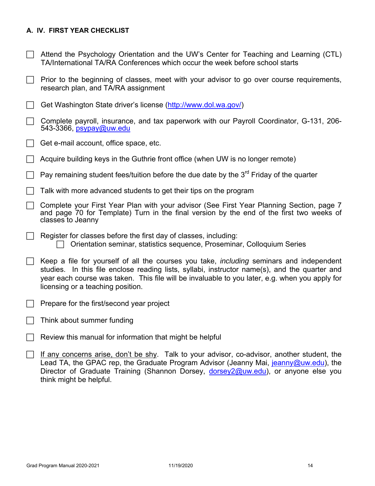# **A. IV. FIRST YEAR CHECKLIST**

- $\Box$  Attend the Psychology Orientation and the UW's Center for Teaching and Learning (CTL) TA/International TA/RA Conferences which occur the week before school starts
- $\Box$  Prior to the beginning of classes, meet with your advisor to go over course requirements, research plan, and TA/RA assignment
- Get Washington State driver's license (http://www.dol.wa.gov/)
- $\Box$  Complete payroll, insurance, and tax paperwork with our Payroll Coordinator, G-131, 206-543-3366, psypay@uw.edu
- $\Box$  Get e-mail account, office space, etc.
- Acquire building keys in the Guthrie front office (when UW is no longer remote)
- Pay remaining student fees/tuition before the due date by the  $3<sup>rd</sup>$  Friday of the quarter
- $\Box$  Talk with more advanced students to get their tips on the program
- Complete your First Year Plan with your advisor (See First Year Planning Section, page 7 and page 70 for Template) Turn in the final version by the end of the first two weeks of classes to Jeanny
- $\Box$  Register for classes before the first day of classes, including:  $\Box$  Orientation seminar, statistics sequence, Proseminar, Colloquium Series
- Keep a file for yourself of all the courses you take, *including* seminars and independent studies. In this file enclose reading lists, syllabi, instructor name(s), and the quarter and year each course was taken. This file will be invaluable to you later, e.g. when you apply for licensing or a teaching position.
- $\Box$  Prepare for the first/second year project
- Think about summer funding
- $\Box$  Review this manual for information that might be helpful
- $\Box$  If any concerns arise, don't be shy. Talk to your advisor, co-advisor, another student, the Lead TA, the GPAC rep, the Graduate Program Advisor (Jeanny Mai, jeanny@uw.edu), the Director of Graduate Training (Shannon Dorsey, dorsey2@uw.edu), or anyone else you think might be helpful.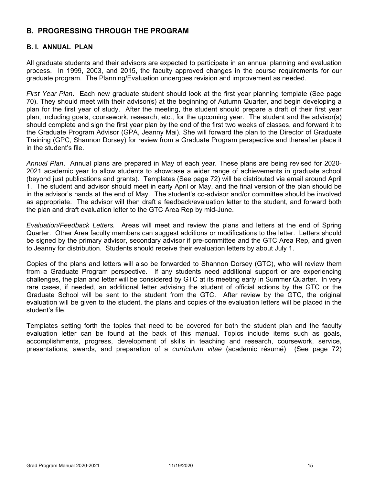# **B. PROGRESSING THROUGH THE PROGRAM**

### **B. I. ANNUAL PLAN**

All graduate students and their advisors are expected to participate in an annual planning and evaluation process. In 1999, 2003, and 2015, the faculty approved changes in the course requirements for our graduate program. The Planning/Evaluation undergoes revision and improvement as needed.

*First Year Plan*. Each new graduate student should look at the first year planning template (See page 70). They should meet with their advisor(s) at the beginning of Autumn Quarter, and begin developing a plan for the first year of study. After the meeting, the student should prepare a draft of their first year plan, including goals, coursework, research, etc., for the upcoming year. The student and the advisor(s) should complete and sign the first year plan by the end of the first two weeks of classes, and forward it to the Graduate Program Advisor (GPA, Jeanny Mai). She will forward the plan to the Director of Graduate Training (GPC, Shannon Dorsey) for review from a Graduate Program perspective and thereafter place it in the student's file.

*Annual Plan*. Annual plans are prepared in May of each year. These plans are being revised for 2020- 2021 academic year to allow students to showcase a wider range of achievements in graduate school (beyond just publications and grants). Templates (See page 72) will be distributed via email around April 1. The student and advisor should meet in early April or May, and the final version of the plan should be in the advisor's hands at the end of May. The student's co-advisor and/or committee should be involved as appropriate. The advisor will then draft a feedback/evaluation letter to the student, and forward both the plan and draft evaluation letter to the GTC Area Rep by mid-June.

*Evaluation/Feedback Letters.* Areas will meet and review the plans and letters at the end of Spring Quarter. Other Area faculty members can suggest additions or modifications to the letter. Letters should be signed by the primary advisor, secondary advisor if pre-committee and the GTC Area Rep, and given to Jeanny for distribution. Students should receive their evaluation letters by about July 1.

Copies of the plans and letters will also be forwarded to Shannon Dorsey (GTC), who will review them from a Graduate Program perspective. If any students need additional support or are experiencing challenges, the plan and letter will be considered by GTC at its meeting early in Summer Quarter. In very rare cases, if needed, an additional letter advising the student of official actions by the GTC or the Graduate School will be sent to the student from the GTC. After review by the GTC, the original evaluation will be given to the student, the plans and copies of the evaluation letters will be placed in the student's file.

Templates setting forth the topics that need to be covered for both the student plan and the faculty evaluation letter can be found at the back of this manual. Topics include items such as goals, accomplishments, progress, development of skills in teaching and research, coursework, service, presentations, awards, and preparation of a *curriculum vitae* (academic résumé) (See page 72)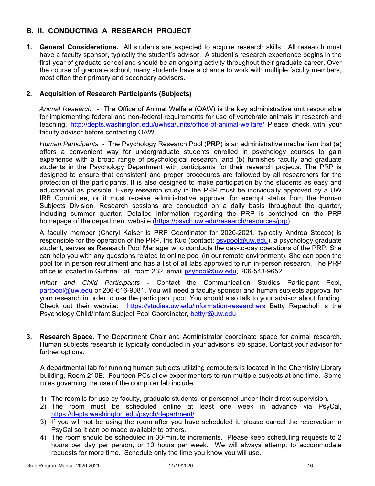# **B. II. CONDUCTING A RESEARCH PROJECT**

**1. General Considerations.** All students are expected to acquire research skills. All research must have a faculty sponsor, typically the student's advisor. A student's research experience begins in the first year of graduate school and should be an ongoing activity throughout their graduate career. Over the course of graduate school, many students have a chance to work with multiple faculty members, most often their primary and secondary advisors.

# **2. Acquisition of Research Participants (Subjects)**

*Animal Research* - The Office of Animal Welfare (OAW) is the key administrative unit responsible for implementing federal and non-federal requirements for use of vertebrate animals in research and teaching. http://depts.washington.edu/uwhsa/units/office-of-animal-welfare/ Please check with your faculty advisor before contacting OAW.

*Human Participants -* The Psychology Research Pool (**PRP**) is an administrative mechanism that (a) offers a convenient way for undergraduate students enrolled in psychology courses to gain experience with a broad range of psychological research, and (b) furnishes faculty and graduate students in the Psychology Department with participants for their research projects. The PRP is designed to ensure that consistent and proper procedures are followed by all researchers for the protection of the participants. It is also designed to make participation by the students as easy and educational as possible. Every research study in the PRP must be individually approved by a UW IRB Committee, or it must receive administrative approval for exempt status from the Human Subjects Division. Research sessions are conducted on a daily basis throughout the quarter, including summer quarter. Detailed information regarding the PRP is contained on the PRP homepage of the department website (https://psych.uw.edu/research/resources/prp).

A faculty member (Cheryl Kaiser is PRP Coordinator for 2020-2021, typically Andrea Stocco) is responsible for the operation of the PRP. Iris Kuo (contact: psypool@uw.edu), a psychology graduate student, serves as Research Pool Manager who conducts the day-to-day operations of the PRP. She can help you with any questions related to online pool (in our remote environment). She can open the pool for in person recruitment and has a list of all labs approved to run in-person research. The PRP office is located in Guthrie Hall, room 232, email psypool@uw.edu, 206-543-9652.

*Infant and Child Participants* - Contact the Communication Studies Participant Pool, partpool@uw.edu or 206-616-9081. You will need a faculty sponsor and human subjects approval for your research in order to use the participant pool. You should also talk to your advisor about funding. Check out their website: https://studies.uw.edu/information-researchers Betty Repacholi is the Psychology Child/Infant Subject Pool Coordinator, bettyr@uw.edu

**3. Research Space.** The Department Chair and Administrator coordinate space for animal research. Human subjects research is typically conducted in your advisor's lab space. Contact your advisor for further options.

A departmental lab for running human subjects utilizing computers is located in the Chemistry Library building, Room 210E. Fourteen PCs allow experimenters to run multiple subjects at one time. Some rules governing the use of the computer lab include:

- 1) The room is for use by faculty, graduate students, or personnel under their direct supervision.
- 2) The room must be scheduled online at least one week in advance via PsyCal, https://depts.washington.edu/psych/department/
- 3) If you will not be using the room after you have scheduled it, please cancel the reservation in PsyCal so it can be made available to others.
- 4) The room should be scheduled in 30-minute increments. Please keep scheduling requests to 2 hours per day per person, or 10 hours per week. We will always attempt to accommodate requests for more time. Schedule only the time you know you will use.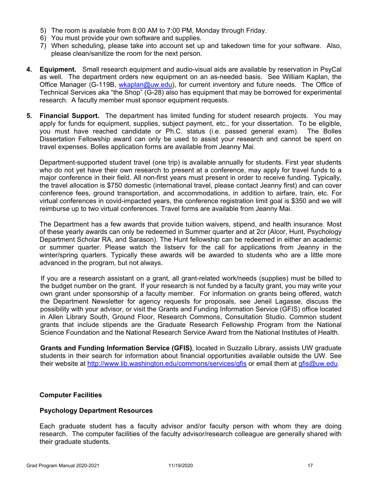- 5) The room is available from 8:00 AM to 7:00 PM, Monday through Friday.
- 6) You must provide your own software and supplies.
- 7) When scheduling, please take into account set up and takedown time for your software. Also, please clean/sanitize the room for the next person.
- **4. Equipment.** Small research equipment and audio-visual aids are available by reservation in PsyCal as well. The department orders new equipment on an as-needed basis. See William Kaplan, the Office Manager (G-119B, wkaplan@uw.edu), for current inventory and future needs. The Office of Technical Services aka "the Shop" (G-28) also has equipment that may be borrowed for experimental research. A faculty member must sponsor equipment requests.
- **5. Financial Support.** The department has limited funding for student research projects. You may apply for funds for equipment, supplies, subject payment, etc., for your dissertation. To be eligible, you must have reached candidate or Ph.C. status (i.e. passed general exam). The Bolles Dissertation Fellowship award can only be used to assist your research and cannot be spent on travel expenses. Bolles application forms are available from Jeanny Mai.

Department-supported student travel (one trip) is available annually for students. First year students who do not yet have their own research to present at a conference, may apply for travel funds to a major conference in their field. All non-first years must present in order to receive funding. Typically, the travel allocation is \$750 domestic (international travel, please contact Jeanny first) and can cover conference fees, ground transportation, and accommodations, in addition to airfare, train, etc. For virtual conferences in covid-impacted years, the conference registration limit goal is \$350 and we will reimburse up to two virtual conferences. Travel forms are available from Jeanny Mai.

The Department has a few awards that provide tuition waivers, stipend, and health insurance. Most of these yearly awards can only be redeemed in Summer quarter and at 2cr (Alcor, Hunt, Psychology Department Scholar RA, and Sarason). The Hunt fellowship can be redeemed in either an academic or summer quarter. Please watch the listserv for the call for applications from Jeanny in the winter/spring quarters. Typically these awards will be awarded to students who are a little more advanced in the program, but not always.

If you are a research assistant on a grant, all grant-related work/needs (supplies) must be billed to the budget number on the grant. If your research is not funded by a faculty grant, you may write your own grant under sponsorship of a faculty member. For information on grants being offered, watch the Department Newsletter for agency requests for proposals, see Jeneil Lagasse, discuss the possibility with your advisor, or visit the Grants and Funding Information Service (GFIS) office located in Allen Library South, Ground Floor, Research Commons, Consultation Studio. Common student grants that include stipends are the Graduate Research Fellowship Program from the National Science Foundation and the National Research Service Award from the National Institutes of Health.

**Grants and Funding Information Service (GFIS)**, located in Suzzallo Library, assists UW graduate students in their search for information about financial opportunities available outside the UW. See their website at http://www.lib.washington.edu/commons/services/gfis or email them at gfis@uw.edu.

# **Computer Facilities**

#### **Psychology Department Resources**

Each graduate student has a faculty advisor and/or faculty person with whom they are doing research. The computer facilities of the faculty advisor/research colleague are generally shared with their graduate students.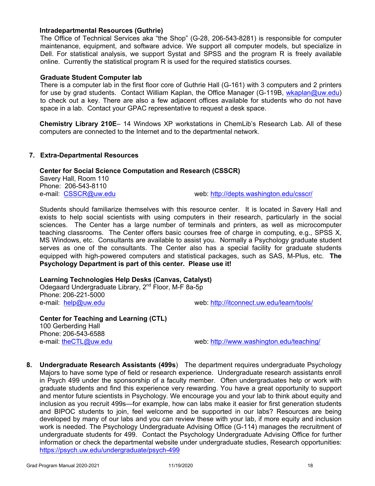#### **Intradepartmental Resources (Guthrie)**

The Office of Technical Services aka "the Shop" (G-28, 206-543-8281) is responsible for computer maintenance, equipment, and software advice. We support all computer models, but specialize in Dell. For statistical analysis, we support Systat and SPSS and the program R is freely available online. Currently the statistical program R is used for the required statistics courses.

#### **Graduate Student Computer lab**

There is a computer lab in the first floor core of Guthrie Hall (G-161) with 3 computers and 2 printers for use by grad students. Contact William Kaplan, the Office Manager (G-119B, wkaplan@uw.edu) to check out a key. There are also a few adjacent offices available for students who do not have space in a lab. Contact your GPAC representative to request a desk space.

**Chemistry Library 210E**– 14 Windows XP workstations in ChemLib's Research Lab. All of these computers are connected to the Internet and to the departmental network.

#### **7. Extra-Departmental Resources**

#### **Center for Social Science Computation and Research (CSSCR)**

Savery Hall, Room 110 Phone: 206-543-8110

e-mail: CSSCR@uw.edu web: http://depts.washington.edu/csscr/

Students should familiarize themselves with this resource center. It is located in Savery Hall and exists to help social scientists with using computers in their research, particularly in the social sciences. The Center has a large number of terminals and printers, as well as microcomputer teaching classrooms. The Center offers basic courses free of charge in computing, e.g., SPSS X, MS Windows, etc. Consultants are available to assist you. Normally a Psychology graduate student serves as one of the consultants. The Center also has a special facility for graduate students equipped with high-powered computers and statistical packages, such as SAS, M-Plus, etc. **The Psychology Department is part of this center. Please use it!**

### **Learning Technologies Help Desks (Canvas, Catalyst)**

Odegaard Undergraduate Library, 2nd Floor, M-F 8a-5p Phone: 206-221-5000 e-mail: help@uw.edu web: http://itconnect.uw.edu/learn/tools/

**Center for Teaching and Learning (CTL)**  100 Gerberding Hall Phone: 206-543-6588<br>e-mail: <u>theCTL@uw.edu</u>

web: http://www.washington.edu/teaching/

**8. Undergraduate Research Assistants (499s**) The department requires undergraduate Psychology Majors to have some type of field or research experience. Undergraduate research assistants enroll in Psych 499 under the sponsorship of a faculty member. Often undergraduates help or work with graduate students and find this experience very rewarding. You have a great opportunity to support and mentor future scientists in Psychology. We encourage you and your lab to think about equity and inclusion as you recruit 499s—for example, how can labs make it easier for first generation students and BIPOC students to join, feel welcome and be supported in our labs? Resources are being developed by many of our labs and you can review these with your lab, if more equity and inclusion work is needed. The Psychology Undergraduate Advising Office (G-114) manages the recruitment of undergraduate students for 499. Contact the Psychology Undergraduate Advising Office for further information or check the departmental website under undergraduate studies, Research opportunities: https://psych.uw.edu/undergraduate/psych-499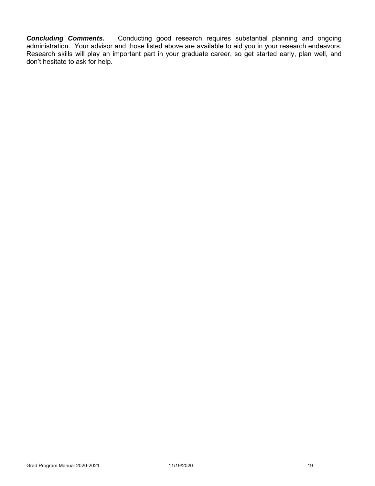**Concluding Comments.** Conducting good research requires substantial planning and ongoing administration. Your advisor and those listed above are available to aid you in your research endeavors. Research skills will play an important part in your graduate career, so get started early, plan well, and don't hesitate to ask for help.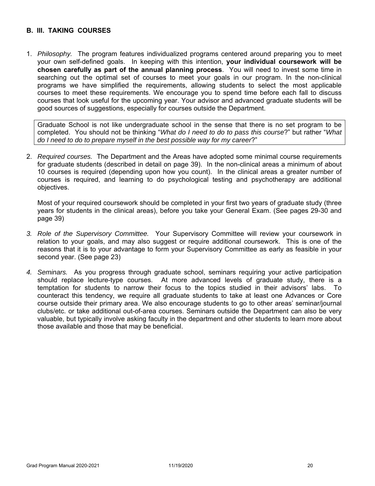# **B. III. TAKING COURSES**

1. *Philosophy.* The program features individualized programs centered around preparing you to meet your own self-defined goals. In keeping with this intention, **your individual coursework will be chosen carefully as part of the annual planning process**. You will need to invest some time in searching out the optimal set of courses to meet your goals in our program. In the non-clinical programs we have simplified the requirements, allowing students to select the most applicable courses to meet these requirements. We encourage you to spend time before each fall to discuss courses that look useful for the upcoming year. Your advisor and advanced graduate students will be good sources of suggestions, especially for courses outside the Department.

Graduate School is not like undergraduate school in the sense that there is no set program to be completed. You should not be thinking "*What do I need to do to pass this course*?" but rather "*What do I need to do to prepare myself in the best possible way for my career*?"

2. *Required courses.* The Department and the Areas have adopted some minimal course requirements for graduate students (described in detail on page 39). In the non-clinical areas a minimum of about 10 courses is required (depending upon how you count). In the clinical areas a greater number of courses is required, and learning to do psychological testing and psychotherapy are additional objectives.

Most of your required coursework should be completed in your first two years of graduate study (three years for students in the clinical areas), before you take your General Exam. (See pages 29-30 and page 39)

- *3. Role of the Supervisory Committee.* Your Supervisory Committee will review your coursework in relation to your goals, and may also suggest or require additional coursework. This is one of the reasons that it is to your advantage to form your Supervisory Committee as early as feasible in your second year. (See page 23)
- *4. Seminars.* As you progress through graduate school, seminars requiring your active participation should replace lecture-type courses. At more advanced levels of graduate study, there is a temptation for students to narrow their focus to the topics studied in their advisors' labs. To counteract this tendency, we require all graduate students to take at least one Advances or Core course outside their primary area. We also encourage students to go to other areas' seminar/journal clubs/etc. or take additional out-of-area courses. Seminars outside the Department can also be very valuable, but typically involve asking faculty in the department and other students to learn more about those available and those that may be beneficial.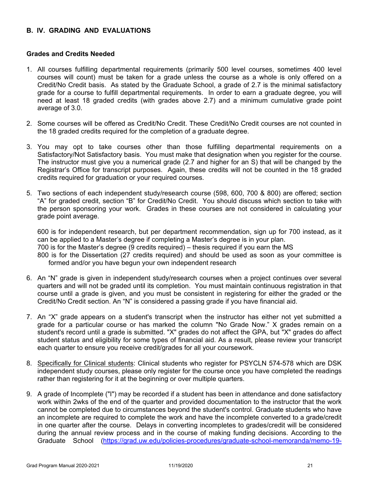# **B. IV. GRADING AND EVALUATIONS**

#### **Grades and Credits Needed**

- 1. All courses fulfilling departmental requirements (primarily 500 level courses, sometimes 400 level courses will count) must be taken for a grade unless the course as a whole is only offered on a Credit/No Credit basis. As stated by the Graduate School, a grade of 2.7 is the minimal satisfactory grade for a course to fulfill departmental requirements. In order to earn a graduate degree, you will need at least 18 graded credits (with grades above 2.7) and a minimum cumulative grade point average of 3.0.
- 2. Some courses will be offered as Credit/No Credit. These Credit/No Credit courses are not counted in the 18 graded credits required for the completion of a graduate degree.
- 3. You may opt to take courses other than those fulfilling departmental requirements on a Satisfactory/Not Satisfactory basis. You must make that designation when you register for the course. The instructor must give you a numerical grade (2.7 and higher for an S) that will be changed by the Registrar's Office for transcript purposes. Again, these credits will not be counted in the 18 graded credits required for graduation or your required courses.
- 5. Two sections of each independent study/research course (598, 600, 700 & 800) are offered; section "A" for graded credit, section "B" for Credit/No Credit. You should discuss which section to take with the person sponsoring your work. Grades in these courses are not considered in calculating your grade point average.

600 is for independent research, but per department recommendation, sign up for 700 instead, as it can be applied to a Master's degree if completing a Master's degree is in your plan. 700 is for the Master's degree (9 credits required) – thesis required if you earn the MS 800 is for the Dissertation (27 credits required) and should be used as soon as your committee is formed and/or you have begun your own independent research

- 6. An "N" grade is given in independent study/research courses when a project continues over several quarters and will not be graded until its completion. You must maintain continuous registration in that course until a grade is given, and you must be consistent in registering for either the graded or the Credit/No Credit section. An "N" is considered a passing grade if you have financial aid.
- 7. An "X" grade appears on a student's transcript when the instructor has either not yet submitted a grade for a particular course or has marked the column "No Grade Now." X grades remain on a student's record until a grade is submitted. "X" grades do not affect the GPA, but "X" grades do affect student status and eligibility for some types of financial aid. As a result, please review your transcript each quarter to ensure you receive credit/grades for all your coursework.
- 8. Specifically for Clinical students: Clinical students who register for PSYCLN 574-578 which are DSK independent study courses, please only register for the course once you have completed the readings rather than registering for it at the beginning or over multiple quarters.
- 9. A grade of Incomplete ("I") may be recorded if a student has been in attendance and done satisfactory work within 2wks of the end of the quarter and provided documentation to the instructor that the work cannot be completed due to circumstances beyond the student's control. Graduate students who have an incomplete are required to complete the work and have the incomplete converted to a grade/credit in one quarter after the course. Delays in converting incompletes to grades/credit will be considered during the annual review process and in the course of making funding decisions. According to the Graduate School (https://grad.uw.edu/policies-procedures/graduate-school-memoranda/memo-19-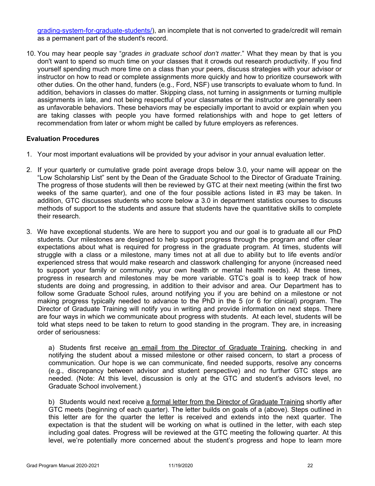grading-system-for-graduate-students/), an incomplete that is not converted to grade/credit will remain as a permanent part of the student's record.

10. You may hear people say "*grades in graduate school don't matter*." What they mean by that is you don't want to spend so much time on your classes that it crowds out research productivity. If you find yourself spending much more time on a class than your peers, discuss strategies with your advisor or instructor on how to read or complete assignments more quickly and how to prioritize coursework with other duties. On the other hand, funders (e.g., Ford, NSF) use transcripts to evaluate whom to fund. In addition, behaviors in classes do matter. Skipping class, not turning in assignments or turning multiple assignments in late, and not being respectful of your classmates or the instructor are generally seen as unfavorable behaviors. These behaviors may be especially important to avoid or explain when you are taking classes with people you have formed relationships with and hope to get letters of recommendation from later or whom might be called by future employers as references.

#### **Evaluation Procedures**

- 1. Your most important evaluations will be provided by your advisor in your annual evaluation letter.
- 2. If your quarterly or cumulative grade point average drops below 3.0, your name will appear on the "Low Scholarship List" sent by the Dean of the Graduate School to the Director of Graduate Training. The progress of those students will then be reviewed by GTC at their next meeting (within the first two weeks of the same quarter), and one of the four possible actions listed in #3 may be taken. In addition, GTC discusses students who score below a 3.0 in department statistics courses to discuss methods of support to the students and assure that students have the quantitative skills to complete their research.
- 3. We have exceptional students. We are here to support you and our goal is to graduate all our PhD students. Our milestones are designed to help support progress through the program and offer clear expectations about what is required for progress in the graduate program. At times, students will struggle with a class or a milestone, many times not at all due to ability but to life events and/or experienced stress that would make research and classwork challenging for anyone (increased need to support your family or community, your own health or mental health needs). At these times, progress in research and milestones may be more variable. GTC's goal is to keep track of how students are doing and progressing, in addition to their advisor and area. Our Department has to follow some Graduate School rules, around notifying you if you are behind on a milestone or not making progress typically needed to advance to the PhD in the 5 (or 6 for clinical) program. The Director of Graduate Training will notify you in writing and provide information on next steps. There are four ways in which we communicate about progress with students. At each level, students will be told what steps need to be taken to return to good standing in the program. They are, in increasing order of seriousness:

a) Students first receive an email from the Director of Graduate Training, checking in and notifying the student about a missed milestone or other raised concern, to start a process of communication. Our hope is we can communicate, find needed supports, resolve any concerns (e.g., discrepancy between advisor and student perspective) and no further GTC steps are needed. (Note: At this level, discussion is only at the GTC and student's advisors level, no Graduate School involvement.)

b) Students would next receive a formal letter from the Director of Graduate Training shortly after GTC meets (beginning of each quarter). The letter builds on goals of a (above). Steps outlined in this letter are for the quarter the letter is received and extends into the next quarter. The expectation is that the student will be working on what is outlined in the letter, with each step including goal dates. Progress will be reviewed at the GTC meeting the following quarter. At this level, we're potentially more concerned about the student's progress and hope to learn more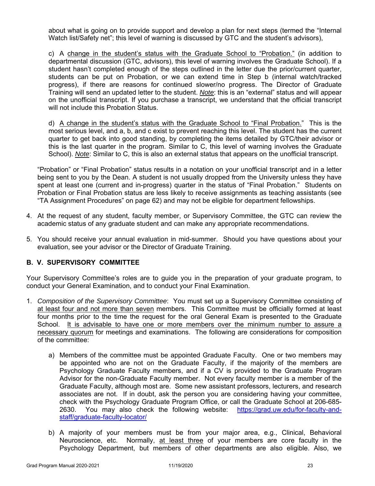about what is going on to provide support and develop a plan for next steps (termed the "Internal Watch list/Safety net"; this level of warning is discussed by GTC and the student's advisors),

c) A change in the student's status with the Graduate School to "Probation." (in addition to departmental discussion (GTC, advisors), this level of warning involves the Graduate School). If a student hasn't completed enough of the steps outlined in the letter due the prior/current quarter, students can be put on Probation, or we can extend time in Step b (internal watch/tracked progress), if there are reasons for continued slower/no progress. The Director of Graduate Training will send an updated letter to the student. *Note*: this is an "external" status and will appear on the unofficial transcript. If you purchase a transcript, we understand that the official transcript will not include this Probation Status.

d) A change in the student's status with the Graduate School to "Final Probation." This is the most serious level, and a, b, and c exist to prevent reaching this level. The student has the current quarter to get back into good standing, by completing the items detailed by GTC/their advisor or this is the last quarter in the program. Similar to C, this level of warning involves the Graduate School). *Note*: Similar to C, this is also an external status that appears on the unofficial transcript.

"Probation" or "Final Probation" status results in a notation on your unofficial transcript and in a letter being sent to you by the Dean. A student is not usually dropped from the University unless they have spent at least one (current and in-progress) quarter in the status of "Final Probation." Students on Probation or Final Probation status are less likely to receive assignments as teaching assistants (see "TA Assignment Procedures" on page 62) and may not be eligible for department fellowships.

- 4. At the request of any student, faculty member, or Supervisory Committee, the GTC can review the academic status of any graduate student and can make any appropriate recommendations.
- 5. You should receive your annual evaluation in mid-summer. Should you have questions about your evaluation, see your advisor or the Director of Graduate Training.

# **B. V. SUPERVISORY COMMITTEE**

Your Supervisory Committee's roles are to guide you in the preparation of your graduate program, to conduct your General Examination, and to conduct your Final Examination.

- 1. *Composition of the Supervisory Committee*: You must set up a Supervisory Committee consisting of at least four and not more than seven members. This Committee must be officially formed at least four months prior to the time the request for the oral General Exam is presented to the Graduate School. It is advisable to have one or more members over the minimum number to assure a necessary quorum for meetings and examinations. The following are considerations for composition of the committee:
	- a) Members of the committee must be appointed Graduate Faculty. One or two members may be appointed who are not on the Graduate Faculty, if the majority of the members are Psychology Graduate Faculty members, and if a CV is provided to the Graduate Program Advisor for the non-Graduate Faculty member. Not every faculty member is a member of the Graduate Faculty, although most are. Some new assistant professors, lecturers, and research associates are not. If in doubt, ask the person you are considering having your committee, check with the Psychology Graduate Program Office, or call the Graduate School at 206-685- 2630. You may also check the following website: https://grad.uw.edu/for-faculty-andstaff/graduate-faculty-locator/
	- b) A majority of your members must be from your major area, e.g., Clinical, Behavioral Neuroscience, etc. Normally, at least three of your members are core faculty in the Psychology Department, but members of other departments are also eligible. Also, we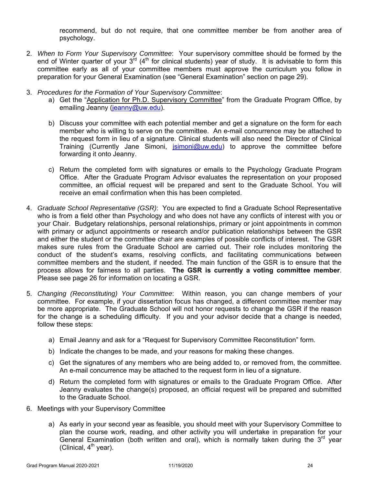recommend, but do not require, that one committee member be from another area of psychology.

- 2. *When to Form Your Supervisory Committee*: Your supervisory committee should be formed by the end of Winter quarter of your  $3^{rd}$  (4<sup>th</sup> for clinical students) year of study. It is advisable to form this committee early as all of your committee members must approve the curriculum you follow in preparation for your General Examination (see "General Examination" section on page 29).
- 3. *Procedures for the Formation of Your Supervisory Committee*:
	- a) Get the "Application for Ph.D. Supervisory Committee" from the Graduate Program Office, by emailing Jeanny (jeanny@uw.edu).
	- b) Discuss your committee with each potential member and get a signature on the form for each member who is willing to serve on the committee. An e-mail concurrence may be attached to the request form in lieu of a signature. Clinical students will also need the Director of Clinical Training (Currently Jane Simoni, *jsimoni@uw.edu*) to approve the committee before forwarding it onto Jeanny.
	- c) Return the completed form with signatures or emails to the Psychology Graduate Program Office. After the Graduate Program Advisor evaluates the representation on your proposed committee, an official request will be prepared and sent to the Graduate School. You will receive an email confirmation when this has been completed.
- 4. *Graduate School Representative (GSR)*: You are expected to find a Graduate School Representative who is from a field other than Psychology and who does not have any conflicts of interest with you or your Chair. Budgetary relationships, personal relationships, primary or joint appointments in common with primary or adjunct appointments or research and/or publication relationships between the GSR and either the student or the committee chair are examples of possible conflicts of interest. The GSR makes sure rules from the Graduate School are carried out. Their role includes monitoring the conduct of the student's exams, resolving conflicts, and facilitating communications between committee members and the student, if needed. The main function of the GSR is to ensure that the process allows for fairness to all parties. **The GSR is currently a voting committee member**. Please see page 26 for information on locating a GSR.
- 5. *Changing (Reconstituting) Your Committee*: Within reason, you can change members of your committee. For example, if your dissertation focus has changed, a different committee member may be more appropriate. The Graduate School will not honor requests to change the GSR if the reason for the change is a scheduling difficulty. If you and your advisor decide that a change is needed, follow these steps:
	- a) Email Jeanny and ask for a "Request for Supervisory Committee Reconstitution" form.
	- b) Indicate the changes to be made, and your reasons for making these changes.
	- c) Get the signatures of any members who are being added to, or removed from, the committee. An e-mail concurrence may be attached to the request form in lieu of a signature.
	- d) Return the completed form with signatures or emails to the Graduate Program Office. After Jeanny evaluates the change(s) proposed, an official request will be prepared and submitted to the Graduate School.
- 6. Meetings with your Supervisory Committee
	- a) As early in your second year as feasible, you should meet with your Supervisory Committee to plan the course work, reading, and other activity you will undertake in preparation for your General Examination (both written and oral), which is normally taken during the  $3<sup>rd</sup>$  year (Clinical,  $4<sup>th</sup>$  year).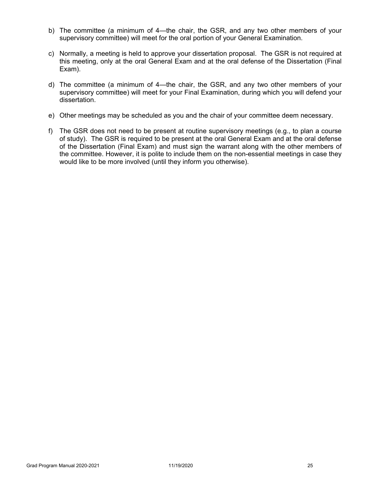- b) The committee (a minimum of 4—the chair, the GSR, and any two other members of your supervisory committee) will meet for the oral portion of your General Examination.
- c) Normally, a meeting is held to approve your dissertation proposal. The GSR is not required at this meeting, only at the oral General Exam and at the oral defense of the Dissertation (Final Exam).
- d) The committee (a minimum of 4—the chair, the GSR, and any two other members of your supervisory committee) will meet for your Final Examination, during which you will defend your dissertation.
- e) Other meetings may be scheduled as you and the chair of your committee deem necessary.
- f) The GSR does not need to be present at routine supervisory meetings (e.g., to plan a course of study). The GSR is required to be present at the oral General Exam and at the oral defense of the Dissertation (Final Exam) and must sign the warrant along with the other members of the committee. However, it is polite to include them on the non-essential meetings in case they would like to be more involved (until they inform you otherwise).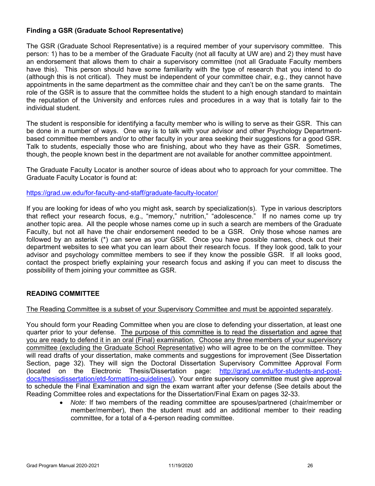# **Finding a GSR (Graduate School Representative)**

The GSR (Graduate School Representative) is a required member of your supervisory committee. This person: 1) has to be a member of the Graduate Faculty (not all faculty at UW are) and 2) they must have an endorsement that allows them to chair a supervisory committee (not all Graduate Faculty members have this). This person should have some familiarity with the type of research that you intend to do (although this is not critical). They must be independent of your committee chair, e.g., they cannot have appointments in the same department as the committee chair and they can't be on the same grants. The role of the GSR is to assure that the committee holds the student to a high enough standard to maintain the reputation of the University and enforces rules and procedures in a way that is totally fair to the individual student.

The student is responsible for identifying a faculty member who is willing to serve as their GSR. This can be done in a number of ways. One way is to talk with your advisor and other Psychology Departmentbased committee members and/or to other faculty in your area seeking their suggestions for a good GSR. Talk to students, especially those who are finishing, about who they have as their GSR. Sometimes, though, the people known best in the department are not available for another committee appointment.

The Graduate Faculty Locator is another source of ideas about who to approach for your committee. The Graduate Faculty Locator is found at:

#### https://grad.uw.edu/for-faculty-and-staff/graduate-faculty-locator/

If you are looking for ideas of who you might ask, search by specialization(s). Type in various descriptors that reflect your research focus, e.g., "memory," nutrition," "adolescence." If no names come up try another topic area. All the people whose names come up in such a search are members of the Graduate Faculty, but not all have the chair endorsement needed to be a GSR. Only those whose names are followed by an asterisk (\*) can serve as your GSR. Once you have possible names, check out their department websites to see what you can learn about their research focus. If they look good, talk to your advisor and psychology committee members to see if they know the possible GSR. If all looks good, contact the prospect briefly explaining your research focus and asking if you can meet to discuss the possibility of them joining your committee as GSR.

# **READING COMMITTEE**

#### The Reading Committee is a subset of your Supervisory Committee and must be appointed separately.

You should form your Reading Committee when you are close to defending your dissertation, at least one quarter prior to your defense. The purpose of this committee is to read the dissertation and agree that you are ready to defend it in an oral (Final) examination. Choose any three members of your supervisory committee (excluding the Graduate School Representative) who will agree to be on the committee. They will read drafts of your dissertation, make comments and suggestions for improvement (See Dissertation Section, page 32). They will sign the Doctoral Dissertation Supervisory Committee Approval Form (located on the Electronic Thesis/Dissertation page: http://grad.uw.edu/for-students-and-postdocs/thesisdissertation/etd-formatting-guidelines/). Your entire supervisory committee must give approval to schedule the Final Examination and sign the exam warrant after your defense (See details about the Reading Committee roles and expectations for the Dissertation/Final Exam on pages 32-33.

> *Note:* If two members of the reading committee are spouses/partnered (chair/member or member/member), then the student must add an additional member to their reading committee, for a total of a 4-person reading committee.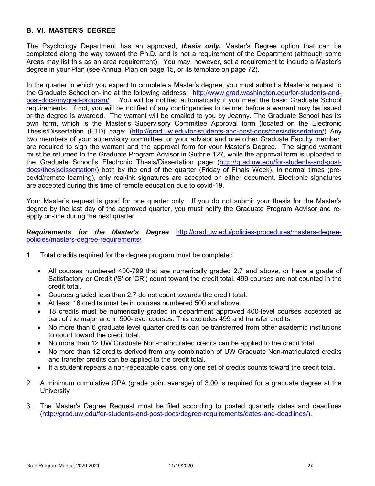### **B. VI. MASTER'S DEGREE**

The Psychology Department has an approved, *thesis only,* Master's Degree option that can be completed along the way toward the Ph.D. and is not a requirement of the Department (although some Areas may list this as an area requirement). You may, however, set a requirement to include a Master's degree in your Plan (see Annual Plan on page 15, or its template on page 72).

In the quarter in which you expect to complete a Master's degree, you must submit a Master's request to the Graduate School on-line at the following address: http://www.grad.washington.edu/for-students-andpost-docs/mygrad-program/. You will be notified automatically if you meet the basic Graduate School requirements. If not, you will be notified of any contingencies to be met before a warrant may be issued or the degree is awarded. The warrant will be emailed to you by Jeanny. The Graduate School has its own form, which is the Master's Supervisory Committee Approval form (located on the Electronic Thesis/Dissertation (ETD) page: (http://grad.uw.edu/for-students-and-post-docs/thesisdissertation/) Any two members of your supervisory committee, or your advisor and one other Graduate Faculty member, are required to sign the warrant and the approval form for your Master's Degree. The signed warrant must be returned to the Graduate Program Advisor in Guthrie 127, while the approval form is uploaded to the Graduate School's Electronic Thesis/Dissertation page (http://grad.uw.edu/for-students-and-postdocs/thesisdissertation/) both by the end of the quarter (Friday of Finals Week). In normal times (precovid/remote learning), only real/ink signatures are accepted on either document. Electronic signatures are accepted during this time of remote education due to covid-19.

Your Master's request is good for one quarter only. If you do not submit your thesis for the Master's degree by the last day of the approved quarter, you must notify the Graduate Program Advisor and reapply on-line during the next quarter.

*Requirements for the Master's Degree* http://grad.uw.edu/policies-procedures/masters-degreepolicies/masters-degree-requirements/

- 1. Total credits required for the degree program must be completed
	- All courses numbered 400-799 that are numerically graded 2.7 and above, or have a grade of Satisfactory or Credit ('S' or 'CR') count toward the credit total. 499 courses are not counted in the credit total.
	- Courses graded less than 2.7 do not count towards the credit total.
	- At least 18 credits must be in courses numbered 500 and above.
	- 18 credits must be numerically graded in department approved 400-level courses accepted as part of the major and in 500-level courses. This excludes 499 and transfer credits.
	- No more than 6 graduate level quarter credits can be transferred from other academic institutions to count toward the credit total.
	- No more than 12 UW Graduate Non-matriculated credits can be applied to the credit total.
	- No more than 12 credits derived from any combination of UW Graduate Non-matriculated credits and transfer credits can be applied to the credit total.
	- If a student repeats a non-repeatable class, only one set of credits counts toward the credit total.
- 2. A minimum cumulative GPA (grade point average) of 3.00 is required for a graduate degree at the **University**
- 3. The Master's Degree Request must be filed according to posted quarterly dates and deadlines (http://grad.uw.edu/for-students-and-post-docs/degree-requirements/dates-and-deadlines/).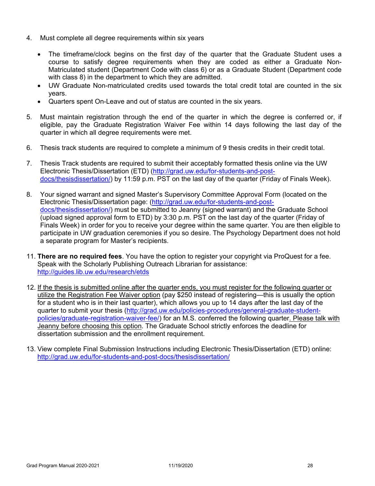- 4. Must complete all degree requirements within six years
	- The timeframe/clock begins on the first day of the quarter that the Graduate Student uses a course to satisfy degree requirements when they are coded as either a Graduate Non-Matriculated student (Department Code with class 6) or as a Graduate Student (Department code with class 8) in the department to which they are admitted.
	- UW Graduate Non-matriculated credits used towards the total credit total are counted in the six years.
	- Quarters spent On-Leave and out of status are counted in the six years.
- 5. Must maintain registration through the end of the quarter in which the degree is conferred or, if eligible, pay the Graduate Registration Waiver Fee within 14 days following the last day of the quarter in which all degree requirements were met.
- 6. Thesis track students are required to complete a minimum of 9 thesis credits in their credit total.
- 7. Thesis Track students are required to submit their acceptably formatted thesis online via the UW Electronic Thesis/Dissertation (ETD) (http://grad.uw.edu/for-students-and-postdocs/thesisdissertation/) by 11:59 p.m. PST on the last day of the quarter (Friday of Finals Week).
- 8. Your signed warrant and signed Master's Supervisory Committee Approval Form (located on the Electronic Thesis/Dissertation page: (http://grad.uw.edu/for-students-and-postdocs/thesisdissertation/) must be submitted to Jeanny (signed warrant) and the Graduate School (upload signed approval form to ETD) by 3:30 p.m. PST on the last day of the quarter (Friday of Finals Week) in order for you to receive your degree within the same quarter. You are then eligible to participate in UW graduation ceremonies if you so desire. The Psychology Department does not hold a separate program for Master's recipients.
- 11. **There are no required fees**. You have the option to register your copyright via ProQuest for a fee. Speak with the Scholarly Publishing Outreach Librarian for assistance: http://guides.lib.uw.edu/research/etds
- 12. If the thesis is submitted online after the quarter ends, you must register for the following quarter or utilize the Registration Fee Waiver option (pay \$250 instead of registering—this is usually the option for a student who is in their last quarter), which allows you up to 14 days after the last day of the quarter to submit your thesis (http://grad.uw.edu/policies-procedures/general-graduate-studentpolicies/graduate-registration-waiver-fee/) for an M.S. conferred the following quarter. Please talk with Jeanny before choosing this option. The Graduate School strictly enforces the deadline for dissertation submission and the enrollment requirement.
- 13. View complete Final Submission Instructions including Electronic Thesis/Dissertation (ETD) online: http://grad.uw.edu/for-students-and-post-docs/thesisdissertation/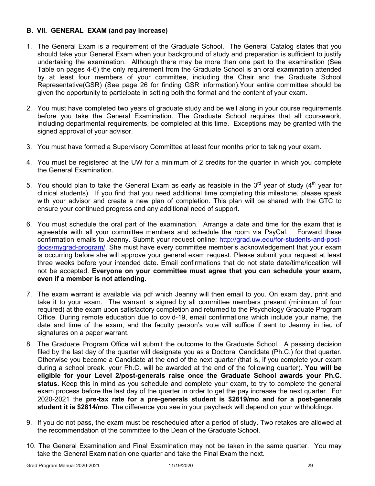# **B. VII. GENERAL EXAM (and pay increase)**

- 1. The General Exam is a requirement of the Graduate School. The General Catalog states that you should take your General Exam when your background of study and preparation is sufficient to justify undertaking the examination. Although there may be more than one part to the examination (See Table on pages 4-6) the only requirement from the Graduate School is an oral examination attended by at least four members of your committee, including the Chair and the Graduate School Representative(GSR) (See page 26 for finding GSR information).Your entire committee should be given the opportunity to participate in setting both the format and the content of your exam.
- 2. You must have completed two years of graduate study and be well along in your course requirements before you take the General Examination. The Graduate School requires that all coursework, including departmental requirements, be completed at this time. Exceptions may be granted with the signed approval of your advisor.
- 3. You must have formed a Supervisory Committee at least four months prior to taking your exam.
- 4. You must be registered at the UW for a minimum of 2 credits for the quarter in which you complete the General Examination.
- 5. You should plan to take the General Exam as early as feasible in the 3<sup>rd</sup> year of study (4<sup>th</sup> year for clinical students). If you find that you need additional time completing this milestone, please speak with your advisor and create a new plan of completion. This plan will be shared with the GTC to ensure your continued progress and any additional need of support.
- 6. You must schedule the oral part of the examination. Arrange a date and time for the exam that is agreeable with all your committee members and schedule the room via PsyCal. Forward these confirmation emails to Jeanny. Submit your request online: http://grad.uw.edu/for-students-and-postdocs/mygrad-program/. She must have every committee member's acknowledgement that your exam is occurring before she will approve your general exam request. Please submit your request at least three weeks before your intended date. Email confirmations that do not state date/time/location will not be accepted. **Everyone on your committee must agree that you can schedule your exam, even if a member is not attending.**
- 7. The exam warrant is available via pdf which Jeanny will then email to you. On exam day, print and take it to your exam. The warrant is signed by all committee members present (minimum of four required) at the exam upon satisfactory completion and returned to the Psychology Graduate Program Office. During remote education due to covid-19, email confirmations which include your name, the date and time of the exam, and the faculty person's vote will suffice if sent to Jeanny in lieu of signatures on a paper warrant.
- 8. The Graduate Program Office will submit the outcome to the Graduate School. A passing decision filed by the last day of the quarter will designate you as a Doctoral Candidate (Ph.C.) for that quarter. Otherwise you become a Candidate at the end of the next quarter (that is, if you complete your exam during a school break, your Ph.C. will be awarded at the end of the following quarter). **You will be eligible for your Level 2/post-generals raise once the Graduate School awards your Ph.C. status.** Keep this in mind as you schedule and complete your exam, to try to complete the general exam process before the last day of the quarter in order to get the pay increase the next quarter. For 2020-2021 the **pre-tax rate for a pre-generals student is \$2619/mo and for a post-generals student it is \$2814/mo**. The difference you see in your paycheck will depend on your withholdings.
- 9. If you do not pass, the exam must be rescheduled after a period of study. Two retakes are allowed at the recommendation of the committee to the Dean of the Graduate School.
- 10. The General Examination and Final Examination may not be taken in the same quarter. You may take the General Examination one quarter and take the Final Exam the next.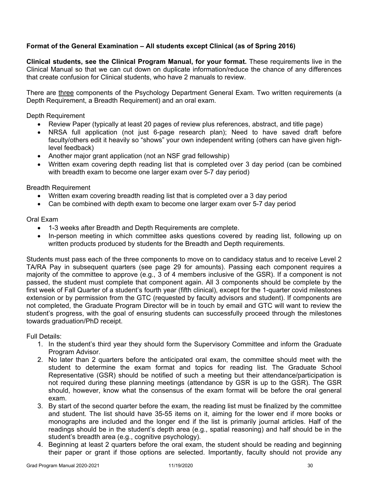# **Format of the General Examination – All students except Clinical (as of Spring 2016)**

**Clinical students, see the Clinical Program Manual, for your format.** These requirements live in the Clinical Manual so that we can cut down on duplicate information/reduce the chance of any differences that create confusion for Clinical students, who have 2 manuals to review.

There are three components of the Psychology Department General Exam. Two written requirements (a Depth Requirement, a Breadth Requirement) and an oral exam.

Depth Requirement

- Review Paper (typically at least 20 pages of review plus references, abstract, and title page)
- NRSA full application (not just 6-page research plan); Need to have saved draft before faculty/others edit it heavily so "shows" your own independent writing (others can have given highlevel feedback)
- Another major grant application (not an NSF grad fellowship)
- Written exam covering depth reading list that is completed over 3 day period (can be combined with breadth exam to become one larger exam over 5-7 day period)

Breadth Requirement

- Written exam covering breadth reading list that is completed over a 3 day period
- Can be combined with depth exam to become one larger exam over 5-7 day period

### Oral Exam

- 1-3 weeks after Breadth and Depth Requirements are complete.
- In-person meeting in which committee asks questions covered by reading list, following up on written products produced by students for the Breadth and Depth requirements.

Students must pass each of the three components to move on to candidacy status and to receive Level 2 TA/RA Pay in subsequent quarters (see page 29 for amounts). Passing each component requires a majority of the committee to approve (e.g., 3 of 4 members inclusive of the GSR). If a component is not passed, the student must complete that component again. All 3 components should be complete by the first week of Fall Quarter of a student's fourth year (fifth clinical), except for the 1-quarter covid milestones extension or by permission from the GTC (requested by faculty advisors and student). If components are not completed, the Graduate Program Director will be in touch by email and GTC will want to review the student's progress, with the goal of ensuring students can successfully proceed through the milestones towards graduation/PhD receipt.

Full Details:

- 1. In the student's third year they should form the Supervisory Committee and inform the Graduate Program Advisor.
- 2. No later than 2 quarters before the anticipated oral exam, the committee should meet with the student to determine the exam format and topics for reading list. The Graduate School Representative (GSR) should be notified of such a meeting but their attendance/participation is not required during these planning meetings (attendance by GSR is up to the GSR). The GSR should, however, know what the consensus of the exam format will be before the oral general exam.
- 3. By start of the second quarter before the exam, the reading list must be finalized by the committee and student. The list should have 35-55 items on it, aiming for the lower end if more books or monographs are included and the longer end if the list is primarily journal articles. Half of the readings should be in the student's depth area (e.g., spatial reasoning) and half should be in the student's breadth area (e.g., cognitive psychology).
- 4. Beginning at least 2 quarters before the oral exam, the student should be reading and beginning their paper or grant if those options are selected. Importantly, faculty should not provide any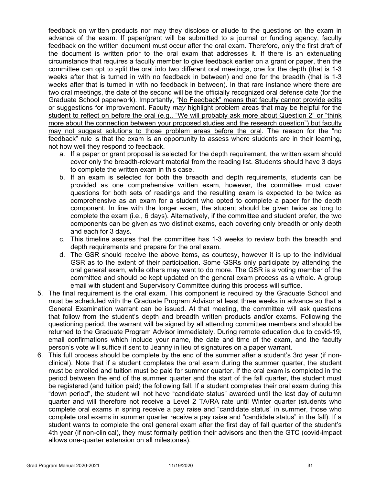feedback on written products nor may they disclose or allude to the questions on the exam in advance of the exam. If paper/grant will be submitted to a journal or funding agency, faculty feedback on the written document must occur after the oral exam. Therefore, only the first draft of the document is written prior to the oral exam that addresses it. If there is an extenuating circumstance that requires a faculty member to give feedback earlier on a grant or paper, then the committee can opt to split the oral into two different oral meetings, one for the depth (that is 1-3 weeks after that is turned in with no feedback in between) and one for the breadth (that is 1-3 weeks after that is turned in with no feedback in between). In that rare instance where there are two oral meetings, the date of the second will be the officially recognized oral defense date (for the Graduate School paperwork). Importantly, "No Feedback" means that faculty cannot provide edits or suggestions for improvement. Faculty *may* highlight problem areas that may be helpful for the student to reflect on before the oral (e.g., "We will probably ask more about Question 2" or "think more about the connection between your proposed studies and the research question") but faculty may not suggest solutions to those problem areas before the oral. The reason for the "no feedback" rule is that the exam is an opportunity to assess where students are in their learning, not how well they respond to feedback.

- a. If a paper or grant proposal is selected for the depth requirement, the written exam should cover only the breadth-relevant material from the reading list. Students should have 3 days to complete the written exam in this case.
- b. If an exam is selected for both the breadth and depth requirements, students can be provided as one comprehensive written exam, however, the committee must cover questions for both sets of readings and the resulting exam is expected to be twice as comprehensive as an exam for a student who opted to complete a paper for the depth component. In line with the longer exam, the student should be given twice as long to complete the exam (i.e., 6 days). Alternatively, if the committee and student prefer, the two components can be given as two distinct exams, each covering only breadth or only depth and each for 3 days.
- c. This timeline assures that the committee has 1-3 weeks to review both the breadth and depth requirements and prepare for the oral exam.
- d. The GSR should receive the above items, as courtesy, however it is up to the individual GSR as to the extent of their participation. Some GSRs only participate by attending the oral general exam, while others may want to do more. The GSR is a voting member of the committee and should be kept updated on the general exam process as a whole. A group email with student and Supervisory Committee during this process will suffice.
- 5. The final requirement is the oral exam. This component is required by the Graduate School and must be scheduled with the Graduate Program Advisor at least three weeks in advance so that a General Examination warrant can be issued. At that meeting, the committee will ask questions that follow from the student's depth and breadth written products and/or exams. Following the questioning period, the warrant will be signed by all attending committee members and should be returned to the Graduate Program Advisor immediately. During remote education due to covid-19, email confirmations which include your name, the date and time of the exam, and the faculty person's vote will suffice if sent to Jeanny in lieu of signatures on a paper warrant.
- 6. This full process should be complete by the end of the summer after a student's 3rd year (if nonclinical). Note that if a student completes the oral exam during the summer quarter, the student must be enrolled and tuition must be paid for summer quarter. If the oral exam is completed in the period between the end of the summer quarter and the start of the fall quarter, the student must be registered (and tuition paid) the following fall. If a student completes their oral exam during this "down period", the student will not have "candidate status" awarded until the last day of autumn quarter and will therefore not receive a Level 2 TA/RA rate until Winter quarter (students who complete oral exams in spring receive a pay raise and "candidate status" in summer, those who complete oral exams in summer quarter receive a pay raise and "candidate status" in the fall). If a student wants to complete the oral general exam after the first day of fall quarter of the student's 4th year (if non-clinical), they must formally petition their advisors and then the GTC (covid-impact allows one-quarter extension on all milestones).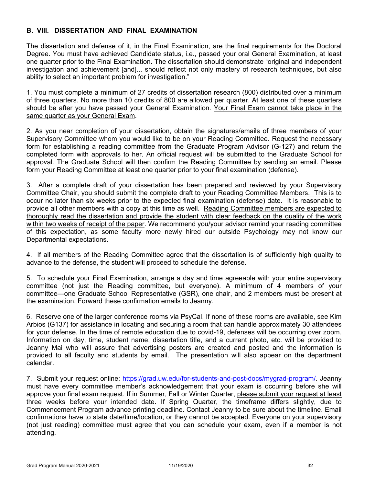# **B. VIII. DISSERTATION AND FINAL EXAMINATION**

The dissertation and defense of it, in the Final Examination, are the final requirements for the Doctoral Degree. You must have achieved Candidate status, i.e., passed your oral General Examination, at least one quarter prior to the Final Examination. The dissertation should demonstrate "original and independent investigation and achievement [and]... should reflect not only mastery of research techniques, but also ability to select an important problem for investigation."

1. You must complete a minimum of 27 credits of dissertation research (800) distributed over a minimum of three quarters. No more than 10 credits of 800 are allowed per quarter. At least one of these quarters should be after you have passed your General Examination. Your Final Exam cannot take place in the same quarter as your General Exam.

2. As you near completion of your dissertation, obtain the signatures/emails of three members of your Supervisory Committee whom you would like to be on your Reading Committee. Request the necessary form for establishing a reading committee from the Graduate Program Advisor (G-127) and return the completed form with approvals to her. An official request will be submitted to the Graduate School for approval. The Graduate School will then confirm the Reading Committee by sending an email. Please form your Reading Committee at least one quarter prior to your final examination (defense).

3. After a complete draft of your dissertation has been prepared and reviewed by your Supervisory Committee Chair, you should submit the complete draft to your Reading Committee Members. This is to occur no later than six weeks prior to the expected final examination (defense) date. It is reasonable to provide all other members with a copy at this time as well. Reading Committee members are expected to thoroughly read the dissertation and provide the student with clear feedback on the quality of the work within two weeks of receipt of the paper. We recommend you/your advisor remind your reading committee of this expectation, as some faculty more newly hired our outside Psychology may not know our Departmental expectations.

4. If all members of the Reading Committee agree that the dissertation is of sufficiently high quality to advance to the defense, the student will proceed to schedule the defense.

5. To schedule your Final Examination, arrange a day and time agreeable with your entire supervisory committee (not just the Reading committee, but everyone). A minimum of 4 members of your committee—one Graduate School Representative (GSR), one chair, and 2 members must be present at the examination. Forward these confirmation emails to Jeanny.

6. Reserve one of the larger conference rooms via PsyCal. If none of these rooms are available, see Kim Arbios (G137) for assistance in locating and securing a room that can handle approximately 30 attendees for your defense. In the time of remote education due to covid-19, defenses will be occurring over zoom. Information on day, time, student name, dissertation title, and a current photo, etc. will be provided to Jeanny Mai who will assure that advertising posters are created and posted and the information is provided to all faculty and students by email. The presentation will also appear on the department calendar.

7. Submit your request online: https://grad.uw.edu/for-students-and-post-docs/mygrad-program/. Jeanny must have every committee member's acknowledgement that your exam is occurring before she will approve your final exam request. If in Summer, Fall or Winter Quarter, please submit your request at least three weeks before your intended date. If Spring Quarter, the timeframe differs slightly, due to Commencement Program advance printing deadline. Contact Jeanny to be sure about the timeline. Email confirmations have to state date/time/location, or they cannot be accepted. Everyone on your supervisory (not just reading) committee must agree that you can schedule your exam, even if a member is not attending.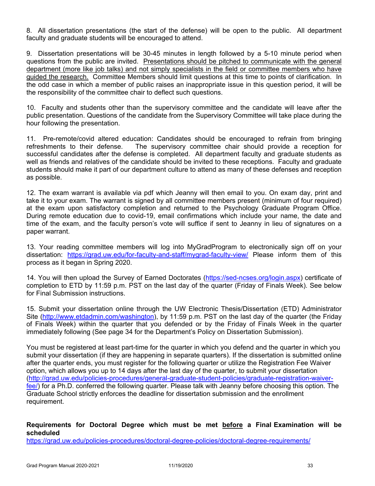8. All dissertation presentations (the start of the defense) will be open to the public. All department faculty and graduate students will be encouraged to attend.

9. Dissertation presentations will be 30-45 minutes in length followed by a 5-10 minute period when questions from the public are invited. Presentations should be pitched to communicate with the general department (more like job talks) and not simply specialists in the field or committee members who have guided the research. Committee Members should limit questions at this time to points of clarification. In the odd case in which a member of public raises an inappropriate issue in this question period, it will be the responsibility of the committee chair to deflect such questions.

10. Faculty and students other than the supervisory committee and the candidate will leave after the public presentation. Questions of the candidate from the Supervisory Committee will take place during the hour following the presentation.

11. Pre-remote/covid altered education: Candidates should be encouraged to refrain from bringing refreshments to their defense. The supervisory committee chair should provide a reception for successful candidates after the defense is completed. All department faculty and graduate students as well as friends and relatives of the candidate should be invited to these receptions. Faculty and graduate students should make it part of our department culture to attend as many of these defenses and reception as possible.

12. The exam warrant is available via pdf which Jeanny will then email to you. On exam day, print and take it to your exam. The warrant is signed by all committee members present (minimum of four required) at the exam upon satisfactory completion and returned to the Psychology Graduate Program Office. During remote education due to covid-19, email confirmations which include your name, the date and time of the exam, and the faculty person's vote will suffice if sent to Jeanny in lieu of signatures on a paper warrant.

13. Your reading committee members will log into MyGradProgram to electronically sign off on your dissertation: https://grad.uw.edu/for-faculty-and-staff/mygrad-faculty-view/ Please inform them of this process as it began in Spring 2020.

14. You will then upload the Survey of Earned Doctorates (https://sed-ncses.org/login.aspx) certificate of completion to ETD by 11:59 p.m. PST on the last day of the quarter (Friday of Finals Week). See below for Final Submission instructions.

15. Submit your dissertation online through the UW Electronic Thesis/Dissertation (ETD) Administrator Site (http://www.etdadmin.com/washington), by 11:59 p.m. PST on the last day of the quarter (the Friday of Finals Week) within the quarter that you defended or by the Friday of Finals Week in the quarter immediately following (See page 34 for the Department's Policy on Dissertation Submission).

You must be registered at least part-time for the quarter in which you defend and the quarter in which you submit your dissertation (if they are happening in separate quarters). If the dissertation is submitted online after the quarter ends, you must register for the following quarter or utilize the Registration Fee Waiver option, which allows you up to 14 days after the last day of the quarter, to submit your dissertation (http://grad.uw.edu/policies-procedures/general-graduate-student-policies/graduate-registration-waiverfee/) for a Ph.D. conferred the following quarter. Please talk with Jeanny before choosing this option. The Graduate School strictly enforces the deadline for dissertation submission and the enrollment requirement.

# **Requirements for Doctoral Degree which must be met before a Final Examination will be scheduled**

https://grad.uw.edu/policies-procedures/doctoral-degree-policies/doctoral-degree-requirements/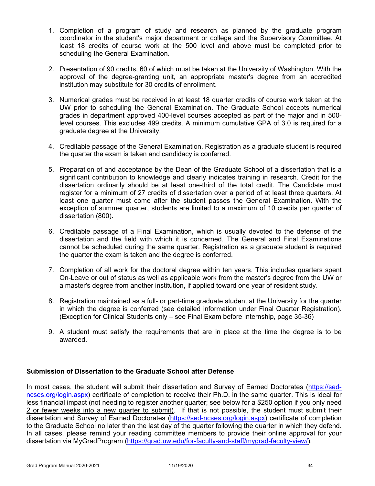- 1. Completion of a program of study and research as planned by the graduate program coordinator in the student's major department or college and the Supervisory Committee. At least 18 credits of course work at the 500 level and above must be completed prior to scheduling the General Examination.
- 2. Presentation of 90 credits, 60 of which must be taken at the University of Washington. With the approval of the degree-granting unit, an appropriate master's degree from an accredited institution may substitute for 30 credits of enrollment.
- 3. Numerical grades must be received in at least 18 quarter credits of course work taken at the UW prior to scheduling the General Examination. The Graduate School accepts numerical grades in department approved 400-level courses accepted as part of the major and in 500 level courses. This excludes 499 credits. A minimum cumulative GPA of 3.0 is required for a graduate degree at the University.
- 4. Creditable passage of the General Examination. Registration as a graduate student is required the quarter the exam is taken and candidacy is conferred.
- 5. Preparation of and acceptance by the Dean of the Graduate School of a dissertation that is a significant contribution to knowledge and clearly indicates training in research. Credit for the dissertation ordinarily should be at least one-third of the total credit. The Candidate must register for a minimum of 27 credits of dissertation over a period of at least three quarters. At least one quarter must come after the student passes the General Examination. With the exception of summer quarter, students are limited to a maximum of 10 credits per quarter of dissertation (800).
- 6. Creditable passage of a Final Examination, which is usually devoted to the defense of the dissertation and the field with which it is concerned. The General and Final Examinations cannot be scheduled during the same quarter. Registration as a graduate student is required the quarter the exam is taken and the degree is conferred.
- 7. Completion of all work for the doctoral degree within ten years. This includes quarters spent On-Leave or out of status as well as applicable work from the master's degree from the UW or a master's degree from another institution, if applied toward one year of resident study.
- 8. Registration maintained as a full- or part-time graduate student at the University for the quarter in which the degree is conferred (see detailed information under Final Quarter Registration). (Exception for Clinical Students only – see Final Exam before Internship, page 35-36)
- 9. A student must satisfy the requirements that are in place at the time the degree is to be awarded.

# **Submission of Dissertation to the Graduate School after Defense**

In most cases, the student will submit their dissertation and Survey of Earned Doctorates (https://sedncses.org/login.aspx) certificate of completion to receive their Ph.D. in the same quarter. This is ideal for less financial impact (not needing to register another quarter; see below for a \$250 option if you only need 2 or fewer weeks into a new quarter to submit). If that is not possible, the student must submit their dissertation and Survey of Earned Doctorates (https://sed-ncses.org/login.aspx) certificate of completion to the Graduate School no later than the last day of the quarter following the quarter in which they defend. In all cases, please remind your reading committee members to provide their online approval for your dissertation via MyGradProgram (https://grad.uw.edu/for-faculty-and-staff/mygrad-faculty-view/).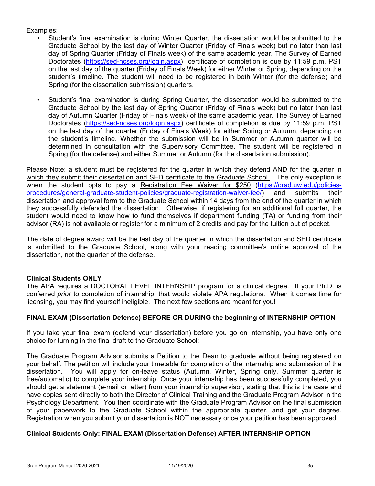### Examples:

- Student's final examination is during Winter Quarter, the dissertation would be submitted to the Graduate School by the last day of Winter Quarter (Friday of Finals week) but no later than last day of Spring Quarter (Friday of Finals week) of the same academic year. The Survey of Earned Doctorates (https://sed-ncses.org/login.aspx) certificate of completion is due by 11:59 p.m. PST on the last day of the quarter (Friday of Finals Week) for either Winter or Spring, depending on the student's timeline. The student will need to be registered in both Winter (for the defense) and Spring (for the dissertation submission) quarters.
- Student's final examination is during Spring Quarter, the dissertation would be submitted to the Graduate School by the last day of Spring Quarter (Friday of Finals week) but no later than last day of Autumn Quarter (Friday of Finals week) of the same academic year. The Survey of Earned Doctorates (https://sed-ncses.org/login.aspx) certificate of completion is due by 11:59 p.m. PST on the last day of the quarter (Friday of Finals Week) for either Spring or Autumn, depending on the student's timeline. Whether the submission will be in Summer or Autumn quarter will be determined in consultation with the Supervisory Committee. The student will be registered in Spring (for the defense) and either Summer or Autumn (for the dissertation submission).

Please Note: a student must be registered for the quarter in which they defend AND for the quarter in which they submit their dissertation and SED certificate to the Graduate School. The only exception is when the student opts to pay a Registration Fee Waiver for \$250 (https://grad.uw.edu/policiesprocedures/general-graduate-student-policies/graduate-registration-waiver-fee/) and submits their dissertation and approval form to the Graduate School within 14 days from the end of the quarter in which they successfully defended the dissertation. Otherwise, if registering for an additional full quarter, the student would need to know how to fund themselves if department funding (TA) or funding from their advisor (RA) is not available or register for a minimum of 2 credits and pay for the tuition out of pocket.

The date of degree award will be the last day of the quarter in which the dissertation and SED certificate is submitted to the Graduate School, along with your reading committee's online approval of the dissertation, not the quarter of the defense.

# **Clinical Students ONLY**

The APA requires a DOCTORAL LEVEL INTERNSHIP program for a clinical degree. If your Ph.D. is conferred *prior* to completion of internship, that would violate APA regulations. When it comes time for licensing, you may find yourself ineligible. The next few sections are meant for you!

# **FINAL EXAM (Dissertation Defense) BEFORE OR DURING the beginning of INTERNSHIP OPTION**

If you take your final exam (defend your dissertation) before you go on internship, you have only one choice for turning in the final draft to the Graduate School:

The Graduate Program Advisor submits a Petition to the Dean to graduate without being registered on your behalf. The petition will include your timetable for completion of the internship and submission of the dissertation. You will apply for on-leave status (Autumn, Winter, Spring only. Summer quarter is free/automatic) to complete your internship. Once your internship has been successfully completed, you should get a statement (e-mail or letter) from your internship supervisor, stating that this is the case and have copies sent directly to both the Director of Clinical Training and the Graduate Program Advisor in the Psychology Department. You then coordinate with the Graduate Program Advisor on the final submission of your paperwork to the Graduate School within the appropriate quarter, and get your degree. Registration when you submit your dissertation is NOT necessary once your petition has been approved.

# **Clinical Students Only: FINAL EXAM (Dissertation Defense) AFTER INTERNSHIP OPTION**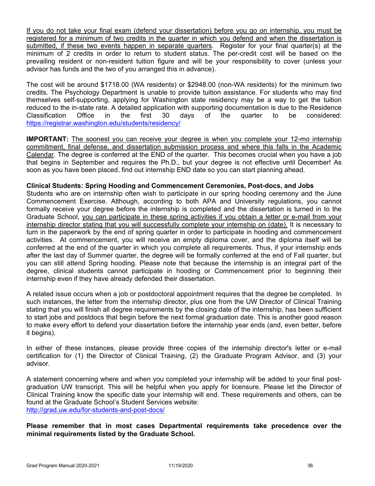If you do not take your final exam (defend your dissertation) before you go on internship, you must be registered for a minimum of two credits in the quarter in which you defend and when the dissertation is submitted, if these two events happen in separate quarters. Register for your final quarter(s) at the minimum of 2 credits in order to return to student status. The per-credit cost will be based on the prevailing resident or non-resident tuition figure and will be your responsibility to cover (unless your advisor has funds and the two of you arranged this in advance).

The cost will be around \$1718.00 (WA residents) or \$2948.00 (non-WA residents) for the minimum two credits. The Psychology Department is unable to provide tuition assistance. For students who may find themselves self-supporting, applying for Washington state residency may be a way to get the tuition reduced to the in-state rate. A detailed application with supporting documentation is due to the Residence Classification Office in the first 30 days of the quarter to be considered: https://registrar.washington.edu/students/residency/

**IMPORTANT:** The soonest you can receive your degree is when you complete your 12-mo internship commitment, final defense, and dissertation submission process and where this falls in the Academic Calendar. The degree is conferred at the END of the quarter. This becomes crucial when you have a job that begins in September and requires the Ph.D., but your degree is not effective until December! As soon as you have been placed, find out internship END date so you can start planning ahead.

#### **Clinical Students: Spring Hooding and Commencement Ceremonies, Post-docs, and Jobs**

Students who are on internship often wish to participate in our spring hooding ceremony and the June Commencement Exercise. Although, according to both APA and University regulations, you cannot formally receive your degree before the internship is completed and the dissertation is turned in to the Graduate School, you can participate in these spring activities if you obtain a letter or e-mail from your internship director stating that you will successfully complete your internship on (date). It is necessary to turn in the paperwork by the end of spring quarter in order to participate in hooding and commencement activities. At commencement, you will receive an empty diploma cover, and the diploma itself will be conferred at the end of the quarter in which you complete all requirements. Thus, if your internship ends after the last day of Summer quarter, the degree will be formally conferred at the end of Fall quarter, but you can still attend Spring hooding. Please note that because the internship is an integral part of the degree, clinical students cannot participate in hooding or Commencement prior to beginning their internship even if they have already defended their dissertation.

A related issue occurs when a job or postdoctoral appointment requires that the degree be completed. In such instances, the letter from the internship director, plus one from the UW Director of Clinical Training stating that you will finish all degree requirements by the closing date of the internship, has been sufficient to start jobs and postdocs that begin before the next formal graduation date. This is another good reason to make every effort to defend your dissertation before the internship year ends (and, even better, before it begins).

In either of these instances, please provide three copies of the internship director's letter or e-mail certification for (1) the Director of Clinical Training, (2) the Graduate Program Advisor, and (3) your advisor.

A statement concerning where and when you completed your internship will be added to your final postgraduation UW transcript. This will be helpful when you apply for licensure. Please let the Director of Clinical Training know the specific date your internship will end. These requirements and others, can be found at the Graduate School's Student Services website: http://grad.uw.edu/for-students-and-post-docs/

**Please remember that in most cases Departmental requirements take precedence over the minimal requirements listed by the Graduate School.**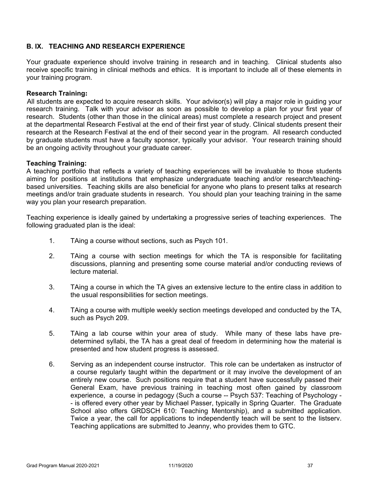# **B. IX. TEACHING AND RESEARCH EXPERIENCE**

Your graduate experience should involve training in research and in teaching. Clinical students also receive specific training in clinical methods and ethics. It is important to include all of these elements in your training program.

#### **Research Training:**

All students are expected to acquire research skills. Your advisor(s) will play a major role in guiding your research training. Talk with your advisor as soon as possible to develop a plan for your first year of research. Students (other than those in the clinical areas) must complete a research project and present at the departmental Research Festival at the end of their first year of study. Clinical students present their research at the Research Festival at the end of their second year in the program. All research conducted by graduate students must have a faculty sponsor, typically your advisor. Your research training should be an ongoing activity throughout your graduate career.

#### **Teaching Training:**

A teaching portfolio that reflects a variety of teaching experiences will be invaluable to those students aiming for positions at institutions that emphasize undergraduate teaching and/or research/teachingbased universities. Teaching skills are also beneficial for anyone who plans to present talks at research meetings and/or train graduate students in research. You should plan your teaching training in the same way you plan your research preparation.

Teaching experience is ideally gained by undertaking a progressive series of teaching experiences. The following graduated plan is the ideal:

- 1. TAing a course without sections, such as Psych 101.
- 2. TAing a course with section meetings for which the TA is responsible for facilitating discussions, planning and presenting some course material and/or conducting reviews of lecture material.
- 3. TAing a course in which the TA gives an extensive lecture to the entire class in addition to the usual responsibilities for section meetings.
- 4. TAing a course with multiple weekly section meetings developed and conducted by the TA, such as Psych 209.
- 5. TAing a lab course within your area of study. While many of these labs have predetermined syllabi, the TA has a great deal of freedom in determining how the material is presented and how student progress is assessed.
- 6. Serving as an independent course instructor. This role can be undertaken as instructor of a course regularly taught within the department or it may involve the development of an entirely new course. Such positions require that a student have successfully passed their General Exam, have previous training in teaching most often gained by classroom experience, a course in pedagogy (Such a course -- Psych 537: Teaching of Psychology - - is offered every other year by Michael Passer, typically in Spring Quarter. The Graduate School also offers GRDSCH 610: Teaching Mentorship), and a submitted application. Twice a year, the call for applications to independently teach will be sent to the listserv. Teaching applications are submitted to Jeanny, who provides them to GTC.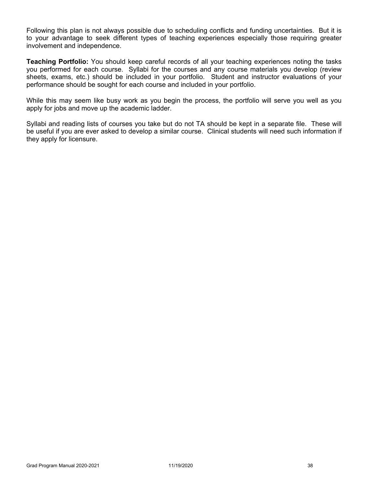Following this plan is not always possible due to scheduling conflicts and funding uncertainties. But it is to your advantage to seek different types of teaching experiences especially those requiring greater involvement and independence.

**Teaching Portfolio:** You should keep careful records of all your teaching experiences noting the tasks you performed for each course. Syllabi for the courses and any course materials you develop (review sheets, exams, etc.) should be included in your portfolio. Student and instructor evaluations of your performance should be sought for each course and included in your portfolio.

While this may seem like busy work as you begin the process, the portfolio will serve you well as you apply for jobs and move up the academic ladder.

Syllabi and reading lists of courses you take but do not TA should be kept in a separate file. These will be useful if you are ever asked to develop a similar course. Clinical students will need such information if they apply for licensure.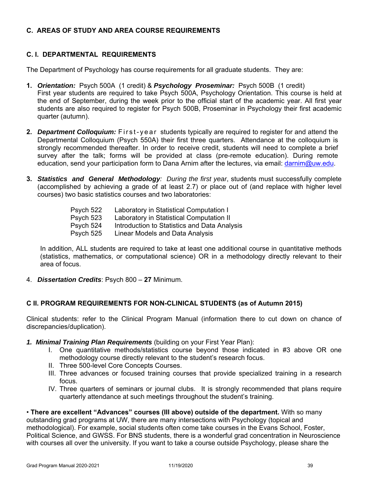# **C. AREAS OF STUDY AND AREA COURSE REQUIREMENTS**

# **C. I. DEPARTMENTAL REQUIREMENTS**

The Department of Psychology has course requirements for all graduate students. They are:

- **1.** *Orientation:* Psych 500A (1 credit) & *Psychology Proseminar:* Psych 500B (1 credit) First year students are required to take Psych 500A, Psychology Orientation. This course is held at the end of September, during the week prior to the official start of the academic year. All first year students are also required to register for Psych 500B, Proseminar in Psychology their first academic quarter (autumn).
- **2.** *Department Colloquium:* First-year students typically are required to register for and attend the Departmental Colloquium (Psych 550A) their first three quarters. Attendance at the colloquium is strongly recommended thereafter. In order to receive credit, students will need to complete a brief survey after the talk; forms will be provided at class (pre-remote education). During remote education, send your participation form to Dana Arnim after the lectures, via email: darnim@uw.edu.
- **3.** *Statistics and General Methodology: During the first year*, students must successfully complete (accomplished by achieving a grade of at least 2.7) or place out of (and replace with higher level courses) two basic statistics courses and two laboratories:

| Psych 522 | Laboratory in Statistical Computation I      |
|-----------|----------------------------------------------|
| Psych 523 | Laboratory in Statistical Computation II     |
| Psych 524 | Introduction to Statistics and Data Analysis |
| Psych 525 | Linear Models and Data Analysis              |

In addition, ALL students are required to take at least one additional course in quantitative methods (statistics, mathematics, or computational science) OR in a methodology directly relevant to their area of focus.

4. *Dissertation Credits*: Psych 800 – **27** Minimum.

#### **C II. PROGRAM REQUIREMENTS FOR NON-CLINICAL STUDENTS (as of Autumn 2015)**

Clinical students: refer to the Clinical Program Manual (information there to cut down on chance of discrepancies/duplication).

- *1. Minimal Training Plan Requirements* (building on your First Year Plan):
	- I. One quantitative methods/statistics course beyond those indicated in #3 above OR one methodology course directly relevant to the student's research focus.
	- II. Three 500-level Core Concepts Courses.
	- III. Three advances or focused training courses that provide specialized training in a research focus.
	- IV. Three quarters of seminars or journal clubs. It is strongly recommended that plans require quarterly attendance at such meetings throughout the student's training.

• **There are excellent "Advances" courses (III above) outside of the department.** With so many outstanding grad programs at UW, there are many intersections with Psychology (topical and methodological). For example, social students often come take courses in the Evans School, Foster, Political Science, and GWSS. For BNS students, there is a wonderful grad concentration in Neuroscience with courses all over the university. If you want to take a course outside Psychology, please share the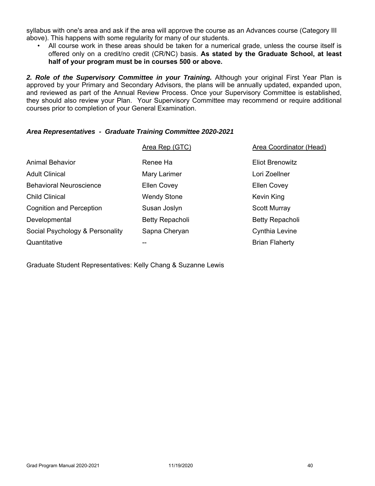syllabus with one's area and ask if the area will approve the course as an Advances course (Category III above). This happens with some regularity for many of our students.

• All course work in these areas should be taken for a numerical grade, unless the course itself is offered only on a credit/no credit (CR/NC) basis. **As stated by the Graduate School, at least half of your program must be in courses 500 or above.**

2. Role of the Supervisory Committee in your Training. Although your original First Year Plan is approved by your Primary and Secondary Advisors, the plans will be annually updated, expanded upon, and reviewed as part of the Annual Review Process. Once your Supervisory Committee is established, they should also review your Plan. Your Supervisory Committee may recommend or require additional courses prior to completion of your General Examination.

#### *Area Representatives - Graduate Training Committee 2020-2021*

|                                 | Area Rep (GTC)     | Area Coordinator (Head) |
|---------------------------------|--------------------|-------------------------|
| Animal Behavior                 | Renee Ha           | <b>Eliot Brenowitz</b>  |
| <b>Adult Clinical</b>           | Mary Larimer       | Lori Zoellner           |
| <b>Behavioral Neuroscience</b>  | <b>Ellen Covey</b> | <b>Ellen Covey</b>      |
| <b>Child Clinical</b>           | <b>Wendy Stone</b> | Kevin King              |
| <b>Cognition and Perception</b> | Susan Joslyn       | <b>Scott Murray</b>     |
| Developmental                   | Betty Repacholi    | Betty Repacholi         |
| Social Psychology & Personality | Sapna Cheryan      | Cynthia Levine          |
| Quantitative                    | --                 | <b>Brian Flaherty</b>   |

Graduate Student Representatives: Kelly Chang & Suzanne Lewis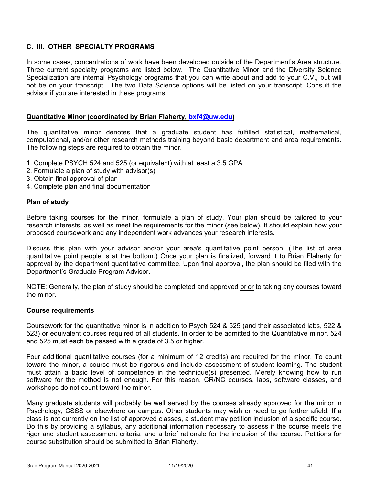# **C. III. OTHER SPECIALTY PROGRAMS**

In some cases, concentrations of work have been developed outside of the Department's Area structure. Three current specialty programs are listed below. The Quantitative Minor and the Diversity Science Specialization are internal Psychology programs that you can write about and add to your C.V., but will not be on your transcript. The two Data Science options will be listed on your transcript. Consult the advisor if you are interested in these programs.

#### **Quantitative Minor (coordinated by Brian Flaherty, bxf4@uw.edu)**

The quantitative minor denotes that a graduate student has fulfilled statistical, mathematical, computational, and/or other research methods training beyond basic department and area requirements. The following steps are required to obtain the minor.

- 1. Complete PSYCH 524 and 525 (or equivalent) with at least a 3.5 GPA
- 2. Formulate a plan of study with advisor(s)
- 3. Obtain final approval of plan
- 4. Complete plan and final documentation

#### **Plan of study**

Before taking courses for the minor, formulate a plan of study. Your plan should be tailored to your research interests, as well as meet the requirements for the minor (see below). It should explain how your proposed coursework and any independent work advances your research interests.

Discuss this plan with your advisor and/or your area's quantitative point person. (The list of area quantitative point people is at the bottom.) Once your plan is finalized, forward it to Brian Flaherty for approval by the department quantitative committee. Upon final approval, the plan should be filed with the Department's Graduate Program Advisor.

NOTE: Generally, the plan of study should be completed and approved prior to taking any courses toward the minor.

# **Course requirements**

Coursework for the quantitative minor is in addition to Psych 524 & 525 (and their associated labs, 522 & 523) or equivalent courses required of all students. In order to be admitted to the Quantitative minor, 524 and 525 must each be passed with a grade of 3.5 or higher.

Four additional quantitative courses (for a minimum of 12 credits) are required for the minor. To count toward the minor, a course must be rigorous and include assessment of student learning. The student must attain a basic level of competence in the technique(s) presented. Merely knowing how to run software for the method is not enough. For this reason, CR/NC courses, labs, software classes, and workshops do not count toward the minor.

Many graduate students will probably be well served by the courses already approved for the minor in Psychology, CSSS or elsewhere on campus. Other students may wish or need to go farther afield. If a class is not currently on the list of approved classes, a student may petition inclusion of a specific course. Do this by providing a syllabus, any additional information necessary to assess if the course meets the rigor and student assessment criteria, and a brief rationale for the inclusion of the course. Petitions for course substitution should be submitted to Brian Flaherty.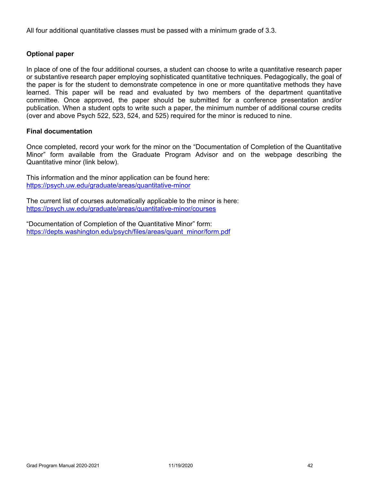All four additional quantitative classes must be passed with a minimum grade of 3.3.

# **Optional paper**

In place of one of the four additional courses, a student can choose to write a quantitative research paper or substantive research paper employing sophisticated quantitative techniques. Pedagogically, the goal of the paper is for the student to demonstrate competence in one or more quantitative methods they have learned. This paper will be read and evaluated by two members of the department quantitative committee. Once approved, the paper should be submitted for a conference presentation and/or publication. When a student opts to write such a paper, the minimum number of additional course credits (over and above Psych 522, 523, 524, and 525) required for the minor is reduced to nine.

#### **Final documentation**

Once completed, record your work for the minor on the "Documentation of Completion of the Quantitative Minor" form available from the Graduate Program Advisor and on the webpage describing the Quantitative minor (link below).

This information and the minor application can be found here: https://psych.uw.edu/graduate/areas/quantitative-minor

The current list of courses automatically applicable to the minor is here: https://psych.uw.edu/graduate/areas/quantitative-minor/courses

"Documentation of Completion of the Quantitative Minor" form: https://depts.washington.edu/psych/files/areas/quant\_minor/form.pdf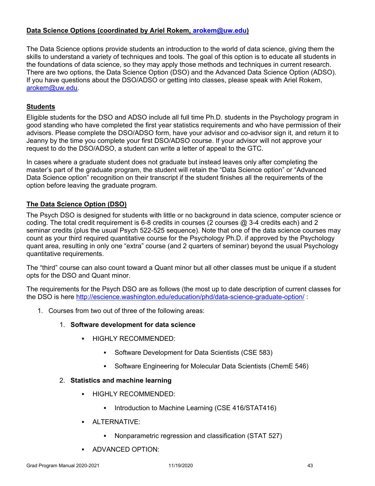# **Data Science Options (coordinated by Ariel Rokem, arokem@uw.edu)**

The Data Science options provide students an introduction to the world of data science, giving them the skills to understand a variety of techniques and tools. The goal of this option is to educate all students in the foundations of data science, so they may apply those methods and techniques in current research. There are two options, the Data Science Option (DSO) and the Advanced Data Science Option (ADSO). If you have questions about the DSO/ADSO or getting into classes, please speak with Ariel Rokem, arokem@uw.edu.

# **Students**

Eligible students for the DSO and ADSO include all full time Ph.D. students in the Psychology program in good standing who have completed the first year statistics requirements and who have permission of their advisors. Please complete the DSO/ADSO form, have your advisor and co-advisor sign it, and return it to Jeanny by the time you complete your first DSO/ADSO course. If your advisor will not approve your request to do the DSO/ADSO, a student can write a letter of appeal to the GTC.

In cases where a graduate student does not graduate but instead leaves only after completing the master's part of the graduate program, the student will retain the "Data Science option" or "Advanced Data Science option" recognition on their transcript if the student finishes all the requirements of the option before leaving the graduate program.

# **The Data Science Option (DSO)**

The Psych DSO is designed for students with little or no background in data science, computer science or coding. The total credit requirement is 6-8 credits in courses (2 courses @ 3-4 credits each) and 2 seminar credits (plus the usual Psych 522-525 sequence). Note that one of the data science courses may count as your third required quantitative course for the Psychology Ph.D. if approved by the Psychology quant area, resulting in only one "extra" course (and 2 quarters of seminar) beyond the usual Psychology quantitative requirements.

The "third" course can also count toward a Quant minor but all other classes must be unique if a student opts for the DSO and Quant minor.

The requirements for the Psych DSO are as follows (the most up to date description of current classes for the DSO is here http://escience.washington.edu/education/phd/data-science-graduate-option/:

- 1. Courses from two out of three of the following areas:
	- 1. **Software development for data science**
		- HIGHLY RECOMMENDED:
			- Software Development for Data Scientists (CSE 583)
			- Software Engineering for Molecular Data Scientists (ChemE 546)

#### 2. **Statistics and machine learning**

- **HIGHLY RECOMMENDED:** 
	- **Introduction to Machine Learning (CSE 416/STAT416)**
- **ALTERNATIVE:** 
	- Nonparametric regression and classification (STAT 527)
- **ADVANCED OPTION:**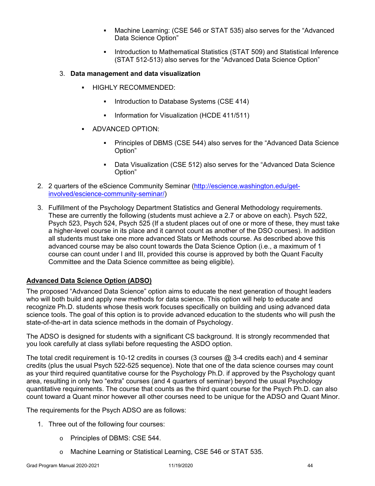- Machine Learning: (CSE 546 or STAT 535) also serves for the "Advanced Data Science Option"
- Introduction to Mathematical Statistics (STAT 509) and Statistical Inference (STAT 512-513) also serves for the "Advanced Data Science Option"

# 3. **Data management and data visualization**

- HIGHLY RECOMMENDED:
	- **Introduction to Database Systems (CSE 414)**
	- Information for Visualization (HCDE 411/511)
- **ADVANCED OPTION:** 
	- Principles of DBMS (CSE 544) also serves for the "Advanced Data Science Option"
	- Data Visualization (CSE 512) also serves for the "Advanced Data Science Option"
- 2. 2 quarters of the eScience Community Seminar (http://escience.washington.edu/getinvolved/escience-community-seminar/)
- 3. Fulfillment of the Psychology Department Statistics and General Methodology requirements. These are currently the following (students must achieve a 2.7 or above on each). Psych 522, Psych 523, Psych 524, Psych 525 (If a student places out of one or more of these, they must take a higher-level course in its place and it cannot count as another of the DSO courses). In addition all students must take one more advanced Stats or Methods course. As described above this advanced course may be also count towards the Data Science Option (i.e., a maximum of 1 course can count under I and III, provided this course is approved by both the Quant Faculty Committee and the Data Science committee as being eligible).

# **Advanced Data Science Option (ADSO)**

The proposed "Advanced Data Science" option aims to educate the next generation of thought leaders who will both build and apply new methods for data science. This option will help to educate and recognize Ph.D. students whose thesis work focuses specifically on building and using advanced data science tools. The goal of this option is to provide advanced education to the students who will push the state-of-the-art in data science methods in the domain of Psychology.

The ADSO is designed for students with a significant CS background. It is strongly recommended that you look carefully at class syllabi before requesting the ASDO option.

The total credit requirement is 10-12 credits in courses  $(3 \text{ courses } \textcircled{a} 3-4 \text{ credits each})$  and 4 seminar credits (plus the usual Psych 522-525 sequence). Note that one of the data science courses may count as your third required quantitative course for the Psychology Ph.D. if approved by the Psychology quant area, resulting in only two "extra" courses (and 4 quarters of seminar) beyond the usual Psychology quantitative requirements. The course that counts as the third quant course for the Psych Ph.D. can also count toward a Quant minor however all other courses need to be unique for the ADSO and Quant Minor.

The requirements for the Psych ADSO are as follows:

- 1. Three out of the following four courses:
	- o Principles of DBMS: CSE 544.
	- o Machine Learning or Statistical Learning, CSE 546 or STAT 535.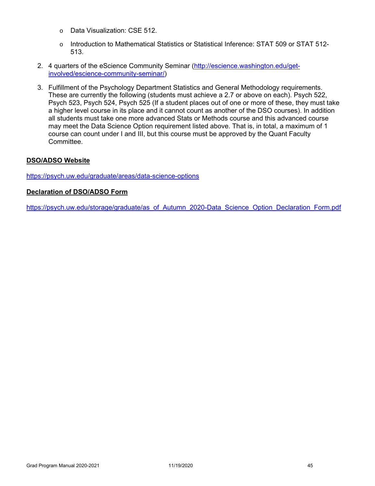- o Data Visualization: CSE 512.
- o Introduction to Mathematical Statistics or Statistical Inference: STAT 509 or STAT 512- 513.
- 2. 4 quarters of the eScience Community Seminar (http://escience.washington.edu/getinvolved/escience-community-seminar/)
- 3. Fulfillment of the Psychology Department Statistics and General Methodology requirements. These are currently the following (students must achieve a 2.7 or above on each). Psych 522, Psych 523, Psych 524, Psych 525 (If a student places out of one or more of these, they must take a higher level course in its place and it cannot count as another of the DSO courses). In addition all students must take one more advanced Stats or Methods course and this advanced course may meet the Data Science Option requirement listed above. That is, in total, a maximum of 1 course can count under I and III, but this course must be approved by the Quant Faculty Committee.

#### **DSO/ADSO Website**

https://psych.uw.edu/graduate/areas/data-science-options

#### **Declaration of DSO/ADSO Form**

https://psych.uw.edu/storage/graduate/as\_of\_Autumn\_2020-Data\_Science\_Option\_Declaration\_Form.pdf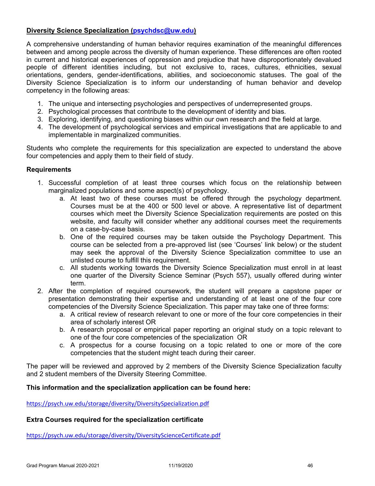# **Diversity Science Specialization (psychdsc@uw.edu)**

A comprehensive understanding of human behavior requires examination of the meaningful differences between and among people across the diversity of human experience. These differences are often rooted in current and historical experiences of oppression and prejudice that have disproportionately devalued people of different identities including, but not exclusive to, races, cultures, ethnicities, sexual orientations, genders, gender-identifications, abilities, and socioeconomic statuses. The goal of the Diversity Science Specialization is to inform our understanding of human behavior and develop competency in the following areas:

- 1. The unique and intersecting psychologies and perspectives of underrepresented groups.
- 2. Psychological processes that contribute to the development of identity and bias.
- 3. Exploring, identifying, and questioning biases within our own research and the field at large.
- 4. The development of psychological services and empirical investigations that are applicable to and implementable in marginalized communities.

Students who complete the requirements for this specialization are expected to understand the above four competencies and apply them to their field of study.

#### **Requirements**

- 1. Successful completion of at least three courses which focus on the relationship between marginalized populations and some aspect(s) of psychology.
	- a. At least two of these courses must be offered through the psychology department. Courses must be at the 400 or 500 level or above. A representative list of department courses which meet the Diversity Science Specialization requirements are posted on this website, and faculty will consider whether any additional courses meet the requirements on a case-by-case basis.
	- b. One of the required courses may be taken outside the Psychology Department. This course can be selected from a pre-approved list (see 'Courses' link below) or the student may seek the approval of the Diversity Science Specialization committee to use an unlisted course to fulfill this requirement.
	- c. All students working towards the Diversity Science Specialization must enroll in at least one quarter of the Diversity Science Seminar (Psych 557), usually offered during winter term.
- 2. After the completion of required coursework, the student will prepare a capstone paper or presentation demonstrating their expertise and understanding of at least one of the four core competencies of the Diversity Science Specialization. This paper may take one of three forms:
	- a. A critical review of research relevant to one or more of the four core competencies in their area of scholarly interest OR
	- b. A research proposal or empirical paper reporting an original study on a topic relevant to one of the four core competencies of the specialization OR
	- c. A prospectus for a course focusing on a topic related to one or more of the core competencies that the student might teach during their career.

The paper will be reviewed and approved by 2 members of the Diversity Science Specialization faculty and 2 student members of the Diversity Steering Committee.

#### **This information and the specialization application can be found here:**

https://psych.uw.edu/storage/diversity/DiversitySpecialization.pdf

#### **Extra Courses required for the specialization certificate**

https://psych.uw.edu/storage/diversity/DiversityScienceCertificate.pdf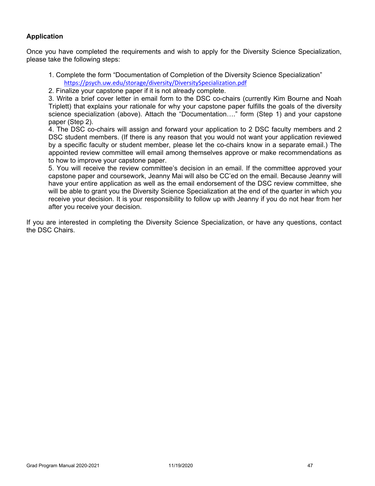# **Application**

Once you have completed the requirements and wish to apply for the Diversity Science Specialization, please take the following steps:

- 1. Complete the form "Documentation of Completion of the Diversity Science Specialization" https://psych.uw.edu/storage/diversity/DiversitySpecialization.pdf
- 2. Finalize your capstone paper if it is not already complete.

3. Write a brief cover letter in email form to the DSC co-chairs (currently Kim Bourne and Noah Triplett) that explains your rationale for why your capstone paper fulfills the goals of the diversity science specialization (above). Attach the "Documentation…." form (Step 1) and your capstone paper (Step 2).

4. The DSC co-chairs will assign and forward your application to 2 DSC faculty members and 2 DSC student members. (If there is any reason that you would not want your application reviewed by a specific faculty or student member, please let the co-chairs know in a separate email.) The appointed review committee will email among themselves approve or make recommendations as to how to improve your capstone paper.

5. You will receive the review committee's decision in an email. If the committee approved your capstone paper and coursework, Jeanny Mai will also be CC'ed on the email. Because Jeanny will have your entire application as well as the email endorsement of the DSC review committee, she will be able to grant you the Diversity Science Specialization at the end of the quarter in which you receive your decision. It is your responsibility to follow up with Jeanny if you do not hear from her after you receive your decision.

If you are interested in completing the Diversity Science Specialization, or have any questions, contact the DSC Chairs.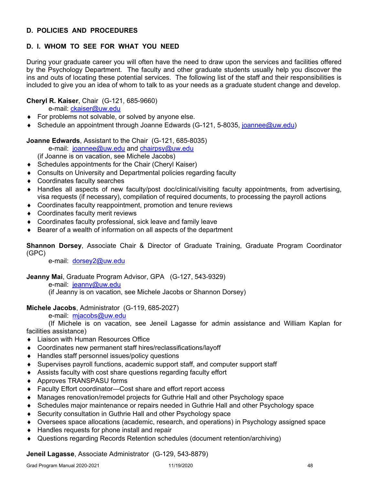# **D. POLICIES AND PROCEDURES**

# **D. I. WHOM TO SEE FOR WHAT YOU NEED**

During your graduate career you will often have the need to draw upon the services and facilities offered by the Psychology Department. The faculty and other graduate students usually help you discover the ins and outs of locating these potential services. The following list of the staff and their responsibilities is included to give you an idea of whom to talk to as your needs as a graduate student change and develop.

# **Cheryl R. Kaiser**, Chair (G-121, 685-9660)

e-mail: ckaiser@uw.edu

- ◆ For problems not solvable, or solved by anyone else.
- ◆ Schedule an appointment through Joanne Edwards (G-121, 5-8035, joannee@uw.edu)

**Joanne Edwards**, Assistant to the Chair (G-121, 685-8035)

e-mail: joannee@uw.edu and chairpsy@uw.edu

(if Joanne is on vacation, see Michele Jacobs)

- Schedules appointments for the Chair (Cheryl Kaiser)
- Consults on University and Departmental policies regarding faculty
- Coordinates faculty searches
- Handles all aspects of new faculty/post doc/clinical/visiting faculty appointments, from advertising, visa requests (if necessary), compilation of required documents, to processing the payroll actions
- Coordinates faculty reappointment, promotion and tenure reviews
- Coordinates faculty merit reviews
- Coordinates faculty professional, sick leave and family leave
- Bearer of a wealth of information on all aspects of the department

**Shannon Dorsey**, Associate Chair & Director of Graduate Training, Graduate Program Coordinator (GPC)

e-mail: dorsey2@uw.edu

**Jeanny Mai**, Graduate Program Advisor, GPA (G-127, 543-9329)

e-mail: jeanny@uw.edu

(if Jeanny is on vacation, see Michele Jacobs or Shannon Dorsey)

# **Michele Jacobs**, Administrator (G-119, 685-2027)

e-mail: mjacobs@uw.edu

 (If Michele is on vacation, see Jeneil Lagasse for admin assistance and William Kaplan for facilities assistance)

- Liaison with Human Resources Office
- Coordinates new permanent staff hires/reclassifications/layoff
- ◆ Handles staff personnel issues/policy questions
- Supervises payroll functions, academic support staff, and computer support staff
- Assists faculty with cost share questions regarding faculty effort
- ◆ Approves TRANSPASU forms
- Faculty Effort coordinator—Cost share and effort report access
- Manages renovation/remodel projects for Guthrie Hall and other Psychology space
- Schedules major maintenance or repairs needed in Guthrie Hall and other Psychology space
- Security consultation in Guthrie Hall and other Psychology space
- Oversees space allocations (academic, research, and operations) in Psychology assigned space
- ◆ Handles requests for phone install and repair
- Questions regarding Records Retention schedules (document retention/archiving)

**Jeneil Lagasse**, Associate Administrator (G-129, 543-8879)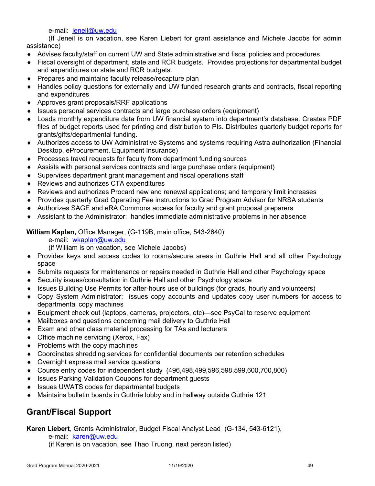e-mail: jeneil@uw.edu

 (If Jeneil is on vacation, see Karen Liebert for grant assistance and Michele Jacobs for admin assistance)

- Advises faculty/staff on current UW and State administrative and fiscal policies and procedures
- Fiscal oversight of department, state and RCR budgets. Provides projections for departmental budget and expenditures on state and RCR budgets.
- ◆ Prepares and maintains faculty release/recapture plan
- Handles policy questions for externally and UW funded research grants and contracts, fiscal reporting and expenditures
- ◆ Approves grant proposals/RRF applications
- Issues personal services contracts and large purchase orders (equipment)
- Loads monthly expenditure data from UW financial system into department's database. Creates PDF files of budget reports used for printing and distribution to PIs. Distributes quarterly budget reports for grants/gifts/departmental funding.
- Authorizes access to UW Administrative Systems and systems requiring Astra authorization (Financial Desktop, eProcurement, Equipment Insurance)
- ◆ Processes travel requests for faculty from department funding sources
- Assists with personal services contracts and large purchase orders (equipment)
- Supervises department grant management and fiscal operations staff
- ◆ Reviews and authorizes CTA expenditures
- Reviews and authorizes Procard new and renewal applications; and temporary limit increases
- Provides quarterly Grad Operating Fee instructions to Grad Program Advisor for NRSA students
- ◆ Authorizes SAGE and eRA Commons access for faculty and grant proposal preparers
- Assistant to the Administrator: handles immediate administrative problems in her absence

**William Kaplan,** Office Manager, (G-119B, main office, 543-2640)

e-mail: wkaplan@uw.edu

(if William is on vacation, see Michele Jacobs)

- Provides keys and access codes to rooms/secure areas in Guthrie Hall and all other Psychology space
- Submits requests for maintenance or repairs needed in Guthrie Hall and other Psychology space
- ◆ Security issues/consultation in Guthrie Hall and other Psychology space
- Issues Building Use Permits for after-hours use of buildings (for grads, hourly and volunteers)
- Copy System Administrator: issues copy accounts and updates copy user numbers for access to departmental copy machines
- Equipment check out (laptops, cameras, projectors, etc)—see PsyCal to reserve equipment
- Mailboxes and questions concerning mail delivery to Guthrie Hall
- ◆ Exam and other class material processing for TAs and lecturers
- ◆ Office machine servicing (Xerox, Fax)
- $\bullet$  Problems with the copy machines
- Coordinates shredding services for confidential documents per retention schedules
- Overnight express mail service questions
- Course entry codes for independent study (496,498,499,596,598,599,600,700,800)
- ◆ Issues Parking Validation Coupons for department quests
- ♦ Issues UWATS codes for departmental budgets
- Maintains bulletin boards in Guthrie lobby and in hallway outside Guthrie 121

# **Grant/Fiscal Support**

**Karen Liebert**, Grants Administrator, Budget Fiscal Analyst Lead (G-134, 543-6121),

#### e-mail: karen@uw.edu

(if Karen is on vacation, see Thao Truong, next person listed)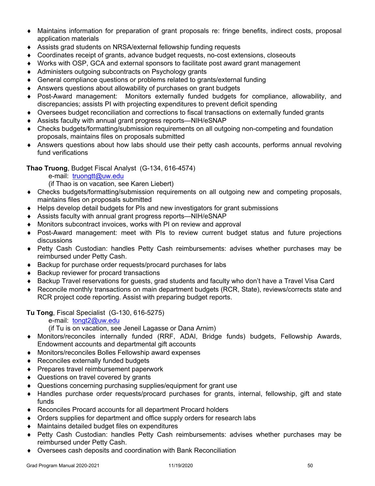- Maintains information for preparation of grant proposals re: fringe benefits, indirect costs, proposal application materials
- Assists grad students on NRSA/external fellowship funding requests
- Coordinates receipt of grants, advance budget requests, no-cost extensions, closeouts
- Works with OSP, GCA and external sponsors to facilitate post award grant management
- Administers outgoing subcontracts on Psychology grants
- General compliance questions or problems related to grants/external funding
- Answers questions about allowability of purchases on grant budgets
- Post-Award management: Monitors externally funded budgets for compliance, allowability, and discrepancies; assists PI with projecting expenditures to prevent deficit spending
- Oversees budget reconciliation and corrections to fiscal transactions on externally funded grants
- Assists faculty with annual grant progress reports—NIH/eSNAP
- Checks budgets/formatting/submission requirements on all outgoing non-competing and foundation proposals, maintains files on proposals submitted
- Answers questions about how labs should use their petty cash accounts, performs annual revolving fund verifications

# **Thao Truong**, Budget Fiscal Analyst (G-134, 616-4574)

e-mail: truongtt@uw.edu

(if Thao is on vacation, see Karen Liebert)

- Checks budgets/formatting/submission requirements on all outgoing new and competing proposals, maintains files on proposals submitted
- Helps develop detail budgets for PIs and new investigators for grant submissions
- Assists faculty with annual grant progress reports—NIH/eSNAP
- Monitors subcontract invoices, works with PI on review and approval
- Post-Award management: meet with PIs to review current budget status and future projections discussions
- Petty Cash Custodian: handles Petty Cash reimbursements: advises whether purchases may be reimbursed under Petty Cash.
- ◆ Backup for purchase order requests/procard purchases for labs
- ◆ Backup reviewer for procard transactions
- ◆ Backup Travel reservations for guests, grad students and faculty who don't have a Travel Visa Card
- Reconcile monthly transactions on main department budgets (RCR, State), reviews/corrects state and RCR project code reporting. Assist with preparing budget reports.

**Tu Tong**, Fiscal Specialist (G-130, 616-5275)

e-mail: tongt2@uw.edu

(if Tu is on vacation, see Jeneil Lagasse or Dana Arnim)

- Monitors/reconciles internally funded (RRF, ADAI, Bridge funds) budgets, Fellowship Awards, Endowment accounts and departmental gift accounts
- Monitors/reconciles Bolles Fellowship award expenses
- ◆ Reconciles externally funded budgets
- ◆ Prepares travel reimbursement paperwork
- ◆ Questions on travel covered by grants
- Questions concerning purchasing supplies/equipment for grant use
- Handles purchase order requests/procard purchases for grants, internal, fellowship, gift and state funds
- Reconciles Procard accounts for all department Procard holders
- Orders supplies for department and office supply orders for research labs
- Maintains detailed budget files on expenditures
- Petty Cash Custodian: handles Petty Cash reimbursements: advises whether purchases may be reimbursed under Petty Cash.
- Oversees cash deposits and coordination with Bank Reconciliation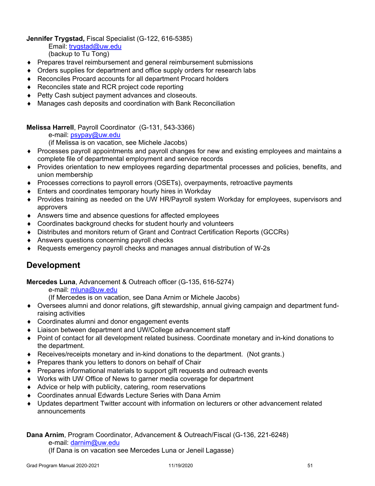**Jennifer Trygstad,** Fiscal Specialist (G-122, 616-5385)

 Email: trygstad@uw.edu (backup to Tu Tong)

- Prepares travel reimbursement and general reimbursement submissions
- Orders supplies for department and office supply orders for research labs
- Reconciles Procard accounts for all department Procard holders
- ◆ Reconciles state and RCR project code reporting
- ◆ Petty Cash subject payment advances and closeouts.
- Manages cash deposits and coordination with Bank Reconciliation

**Melissa Harrell**, Payroll Coordinator (G-131, 543-3366)

e-mail: psypay@uw.edu

(if Melissa is on vacation, see Michele Jacobs)

- Processes payroll appointments and payroll changes for new and existing employees and maintains a complete file of departmental employment and service records
- Provides orientation to new employees regarding departmental processes and policies, benefits, and union membership
- Processes corrections to payroll errors (OSETs), overpayments, retroactive payments
- Enters and coordinates temporary hourly hires in Workday
- Provides training as needed on the UW HR/Payroll system Workday for employees, supervisors and approvers
- Answers time and absence questions for affected employees
- Coordinates background checks for student hourly and volunteers
- Distributes and monitors return of Grant and Contract Certification Reports (GCCRs)
- ◆ Answers questions concerning payroll checks
- Requests emergency payroll checks and manages annual distribution of W-2s

# **Development**

**Mercedes Luna**, Advancement & Outreach officer (G-135, 616-5274)

e-mail: mluna@uw.edu

(If Mercedes is on vacation, see Dana Arnim or Michele Jacobs)

- Oversees alumni and donor relations, gift stewardship, annual giving campaign and department fundraising activities
- Coordinates alumni and donor engagement events
- Liaison between department and UW/College advancement staff
- Point of contact for all development related business. Coordinate monetary and in-kind donations to the department.
- Receives/receipts monetary and in-kind donations to the department. (Not grants.)
- ◆ Prepares thank you letters to donors on behalf of Chair
- Prepares informational materials to support gift requests and outreach events
- Works with UW Office of News to garner media coverage for department
- Advice or help with publicity, catering, room reservations
- Coordinates annual Edwards Lecture Series with Dana Arnim
- Updates department Twitter account with information on lecturers or other advancement related announcements

# **Dana Arnim**, Program Coordinator, Advancement & Outreach/Fiscal (G-136, 221-6248)

e-mail: darnim@uw.edu

(If Dana is on vacation see Mercedes Luna or Jeneil Lagasse)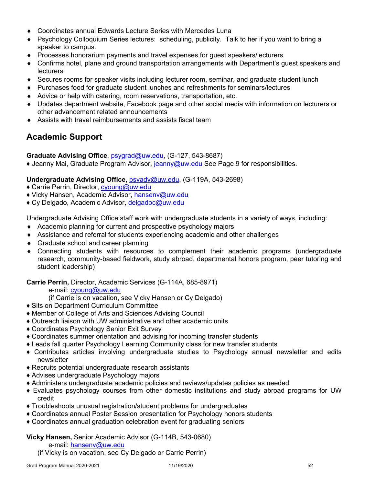- Coordinates annual Edwards Lecture Series with Mercedes Luna
- Psychology Colloquium Series lectures: scheduling, publicity. Talk to her if you want to bring a speaker to campus.
- Processes honorarium payments and travel expenses for guest speakers/lecturers
- Confirms hotel, plane and ground transportation arrangements with Department's guest speakers and lecturers
- Secures rooms for speaker visits including lecturer room, seminar, and graduate student lunch
- Purchases food for graduate student lunches and refreshments for seminars/lectures
- Advice or help with catering, room reservations, transportation, etc.
- Updates department website, Facebook page and other social media with information on lecturers or other advancement related announcements
- Assists with travel reimbursements and assists fiscal team

# **Academic Support**

**Graduate Advising Office**, psygrad@uw.edu, (G-127, 543-8687)

♦ Jeanny Mai, Graduate Program Advisor, jeanny@uw.edu See Page 9 for responsibilities.

# **Undergraduate Advising Office,** psyadv@uw.edu, (G-119A, 543-2698)

- ♦ Carrie Perrin, Director, cyoung@uw.edu
- ♦ Vicky Hansen, Academic Advisor, hansenv@uw.edu
- ◆ Cy Delgado, Academic Advisor, delgadoc@uw.edu

Undergraduate Advising Office staff work with undergraduate students in a variety of ways, including:

- Academic planning for current and prospective psychology majors
- Assistance and referral for students experiencing academic and other challenges
- ◆ Graduate school and career planning
- Connecting students with resources to complement their academic programs (undergraduate research, community-based fieldwork, study abroad, departmental honors program, peer tutoring and student leadership)

**Carrie Perrin,** Director, Academic Services (G-114A, 685-8971)

e-mail: cyoung@uw.edu

- (if Carrie is on vacation, see Vicky Hansen or Cy Delgado)
- ♦ Sits on Department Curriculum Committee
- ♦ Member of College of Arts and Sciences Advising Council
- ♦ Outreach liaison with UW administrative and other academic units
- ♦ Coordinates Psychology Senior Exit Survey
- ♦ Coordinates summer orientation and advising for incoming transfer students
- ♦ Leads fall quarter Psychology Learning Community class for new transfer students
- ♦ Contributes articles involving undergraduate studies to Psychology annual newsletter and edits newsletter
- ♦ Recruits potential undergraduate research assistants
- ♦ Advises undergraduate Psychology majors
- ♦ Administers undergraduate academic policies and reviews/updates policies as needed
- ♦ Evaluates psychology courses from other domestic institutions and study abroad programs for UW credit
- ♦ Troubleshoots unusual registration/student problems for undergraduates
- ♦ Coordinates annual Poster Session presentation for Psychology honors students
- ♦ Coordinates annual graduation celebration event for graduating seniors

# **Vicky Hansen,** Senior Academic Advisor (G-114B, 543-0680)

e-mail: hansenv@uw.edu

(if Vicky is on vacation, see Cy Delgado or Carrie Perrin)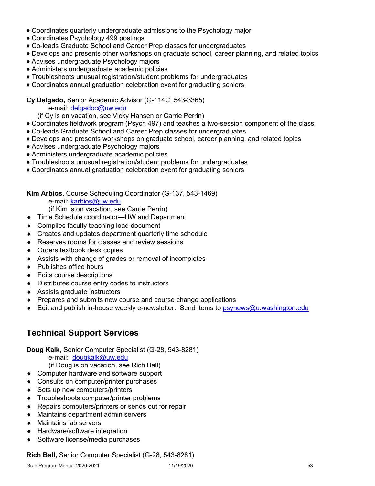- ♦ Coordinates quarterly undergraduate admissions to the Psychology major
- ♦ Coordinates Psychology 499 postings
- ♦ Co-leads Graduate School and Career Prep classes for undergraduates
- ♦ Develops and presents other workshops on graduate school, career planning, and related topics
- ♦ Advises undergraduate Psychology majors
- ♦ Administers undergraduate academic policies
- ♦ Troubleshoots unusual registration/student problems for undergraduates
- ♦ Coordinates annual graduation celebration event for graduating seniors

# **Cy Delgado,** Senior Academic Advisor (G-114C, 543-3365)

e-mail: delgadoc@uw.edu

(if Cy is on vacation, see Vicky Hansen or Carrie Perrin)

- ♦ Coordinates fieldwork program (Psych 497) and teaches a two-session component of the class
- ♦ Co-leads Graduate School and Career Prep classes for undergraduates
- ♦ Develops and presents workshops on graduate school, career planning, and related topics
- ♦ Advises undergraduate Psychology majors
- ♦ Administers undergraduate academic policies
- ♦ Troubleshoots unusual registration/student problems for undergraduates
- ♦ Coordinates annual graduation celebration event for graduating seniors

# **Kim Arbios,** Course Scheduling Coordinator (G-137, 543-1469)

e-mail: karbios@uw.edu

(if Kim is on vacation, see Carrie Perrin)

- ◆ Time Schedule coordinator—UW and Department
- Compiles faculty teaching load document
- Creates and updates department quarterly time schedule
- ◆ Reserves rooms for classes and review sessions
- Orders textbook desk copies
- Assists with change of grades or removal of incompletes
- ◆ Publishes office hours
- ◆ Edits course descriptions
- Distributes course entry codes to instructors
- Assists graduate instructors
- ◆ Prepares and submits new course and course change applications
- Edit and publish in-house weekly e-newsletter. Send items to psynews@u.washington.edu

# **Technical Support Services**

**Doug Kalk,** Senior Computer Specialist (G-28, 543-8281)

e-mail: dougkalk@uw.edu

(if Doug is on vacation, see Rich Ball)

- ◆ Computer hardware and software support
- ◆ Consults on computer/printer purchases
- ◆ Sets up new computers/printers
- Troubleshoots computer/printer problems
- ◆ Repairs computers/printers or sends out for repair
- Maintains department admin servers
- Maintains lab servers
- ◆ Hardware/software integration
- ◆ Software license/media purchases

# **Rich Ball,** Senior Computer Specialist (G-28, 543-8281)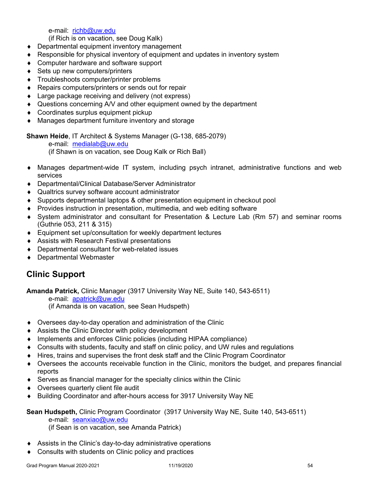e-mail: richb@uw.edu

(if Rich is on vacation, see Doug Kalk)

- ◆ Departmental equipment inventory management
- Responsible for physical inventory of equipment and updates in inventory system
- ◆ Computer hardware and software support
- ◆ Sets up new computers/printers
- Troubleshoots computer/printer problems
- ◆ Repairs computers/printers or sends out for repair
- ◆ Large package receiving and delivery (not express)
- Questions concerning A/V and other equipment owned by the department
- ◆ Coordinates surplus equipment pickup
- Manages department furniture inventory and storage

**Shawn Heide**, IT Architect & Systems Manager (G-138, 685-2079)

e-mail: medialab@uw.edu

(if Shawn is on vacation, see Doug Kalk or Rich Ball)

- Manages department-wide IT system, including psych intranet, administrative functions and web services
- ◆ Departmental/Clinical Database/Server Administrator
- Qualtrics survey software account administrator
- Supports departmental laptops & other presentation equipment in checkout pool
- Provides instruction in presentation, multimedia, and web editing software
- System administrator and consultant for Presentation & Lecture Lab (Rm 57) and seminar rooms (Guthrie 053, 211 & 315)
- Equipment set up/consultation for weekly department lectures
- ◆ Assists with Research Festival presentations
- Departmental consultant for web-related issues
- ◆ Departmental Webmaster

# **Clinic Support**

**Amanda Patrick,** Clinic Manager (3917 University Way NE, Suite 140, 543-6511)

e-mail: apatrick@uw.edu

(if Amanda is on vacation, see Sean Hudspeth)

- Oversees day-to-day operation and administration of the Clinic
- Assists the Clinic Director with policy development
- Implements and enforces Clinic policies (including HIPAA compliance)
- Consults with students, faculty and staff on clinic policy, and UW rules and regulations
- Hires, trains and supervises the front desk staff and the Clinic Program Coordinator
- Oversees the accounts receivable function in the Clinic, monitors the budget, and prepares financial reports
- Serves as financial manager for the specialty clinics within the Clinic
- Oversees quarterly client file audit
- ◆ Building Coordinator and after-hours access for 3917 University Way NE

# **Sean Hudspeth,** Clinic Program Coordinator (3917 University Way NE, Suite 140, 543-6511)

e-mail: seanxiao@uw.edu

(if Sean is on vacation, see Amanda Patrick)

- Assists in the Clinic's day-to-day administrative operations
- Consults with students on Clinic policy and practices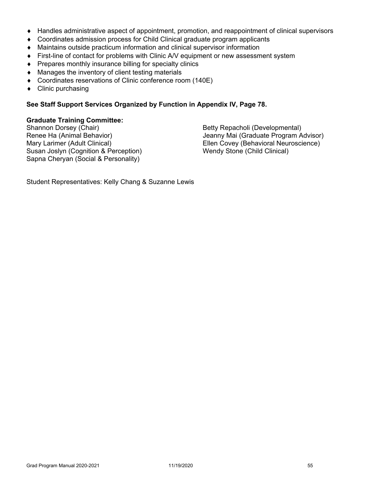- Handles administrative aspect of appointment, promotion, and reappointment of clinical supervisors
- Coordinates admission process for Child Clinical graduate program applicants
- Maintains outside practicum information and clinical supervisor information
- First-line of contact for problems with Clinic A/V equipment or new assessment system
- Prepares monthly insurance billing for specialty clinics
- Manages the inventory of client testing materials
- Coordinates reservations of Clinic conference room (140E)
- Clinic purchasing

# **See Staff Support Services Organized by Function in Appendix IV, Page 78.**

# **Graduate Training Committee:**

Susan Joslyn (Cognition & Perception) Wendy Stone (Child Clinical) Sapna Cheryan (Social & Personality)

Betty Repacholi (Developmental) Renee Ha (Animal Behavior) Jeanny Mai (Graduate Program Advisor) Mary Larimer (Adult Clinical) **Ellen Covey (Behavioral Neuroscience**)

Student Representatives: Kelly Chang & Suzanne Lewis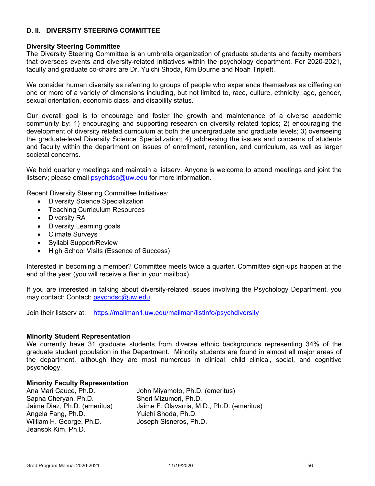# **D. II. DIVERSITY STEERING COMMITTEE**

#### **Diversity Steering Committee**

The Diversity Steering Committee is an umbrella organization of graduate students and faculty members that oversees events and diversity-related initiatives within the psychology department. For 2020-2021, faculty and graduate co-chairs are Dr. Yuichi Shoda, Kim Bourne and Noah Triplett.

We consider human diversity as referring to groups of people who experience themselves as differing on one or more of a variety of dimensions including, but not limited to, race, culture, ethnicity, age, gender, sexual orientation, economic class, and disability status.

Our overall goal is to encourage and foster the growth and maintenance of a diverse academic community by: 1) encouraging and supporting research on diversity related topics; 2) encouraging the development of diversity related curriculum at both the undergraduate and graduate levels; 3) overseeing the graduate-level Diversity Science Specialization; 4) addressing the issues and concerns of students and faculty within the department on issues of enrollment, retention, and curriculum, as well as larger societal concerns.

We hold quarterly meetings and maintain a listserv. Anyone is welcome to attend meetings and joint the listserv; please email psychdsc@uw.edu for more information.

Recent Diversity Steering Committee Initiatives:

- Diversity Science Specialization
- Teaching Curriculum Resources
- Diversity RA
- Diversity Learning goals
- Climate Surveys
- Syllabi Support/Review
- High School Visits (Essence of Success)

Interested in becoming a member? Committee meets twice a quarter. Committee sign-ups happen at the end of the year (you will receive a flier in your mailbox).

If you are interested in talking about diversity-related issues involving the Psychology Department, you may contact: Contact: psychdsc@uw.edu

Join their listserv at: https://mailman1.uw.edu/mailman/listinfo/psychdiversity

#### **Minority Student Representation**

We currently have 31 graduate students from diverse ethnic backgrounds representing 34% of the graduate student population in the Department. Minority students are found in almost all major areas of the department, although they are most numerous in clinical, child clinical, social, and cognitive psychology.

#### **Minority Faculty Representation**

Ana Mari Cauce, Ph.D. John Miyamoto, Ph.D. (emeritus) Sapna Cheryan, Ph.D. Sheri Mizumori, Ph.D. Angela Fang, Ph.D. Yuichi Shoda, Ph.D. William H. George, Ph.D. Joseph Sisneros, Ph.D. Jeansok Kim, Ph.D.

Jaime Diaz, Ph.D. (emeritus) Jaime F. Olavarria, M.D., Ph.D. (emeritus)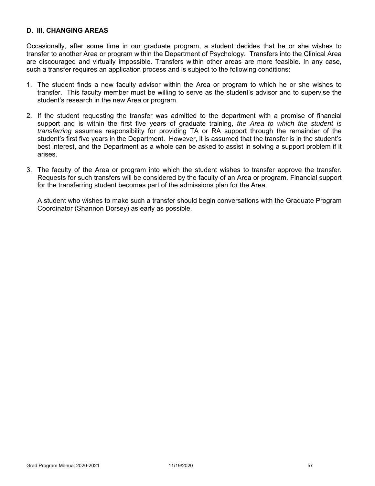# **D. III. CHANGING AREAS**

Occasionally, after some time in our graduate program, a student decides that he or she wishes to transfer to another Area or program within the Department of Psychology. Transfers into the Clinical Area are discouraged and virtually impossible. Transfers within other areas are more feasible. In any case, such a transfer requires an application process and is subject to the following conditions:

- 1. The student finds a new faculty advisor within the Area or program to which he or she wishes to transfer. This faculty member must be willing to serve as the student's advisor and to supervise the student's research in the new Area or program.
- 2. If the student requesting the transfer was admitted to the department with a promise of financial support and is within the first five years of graduate training, *the Area to which the student is transferring* assumes responsibility for providing TA or RA support through the remainder of the student's first five years in the Department. However, it is assumed that the transfer is in the student's best interest, and the Department as a whole can be asked to assist in solving a support problem if it arises.
- 3. The faculty of the Area or program into which the student wishes to transfer approve the transfer. Requests for such transfers will be considered by the faculty of an Area or program. Financial support for the transferring student becomes part of the admissions plan for the Area.

 A student who wishes to make such a transfer should begin conversations with the Graduate Program Coordinator (Shannon Dorsey) as early as possible.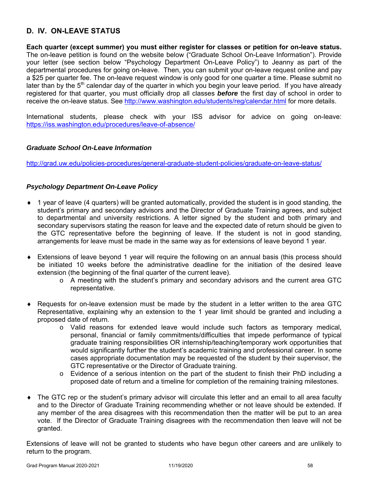# **D. IV. ON-LEAVE STATUS**

**Each quarter (except summer) you must either register for classes or petition for on-leave status.** The on-leave petition is found on the website below ("Graduate School On-Leave Information"). Provide your letter (see section below "Psychology Department On-Leave Policy") to Jeanny as part of the departmental procedures for going on-leave. Then, you can submit your on-leave request online and pay a \$25 per quarter fee. The on-leave request window is only good for one quarter a time. Please submit no later than by the  $5<sup>th</sup>$  calendar day of the quarter in which you begin your leave period. If you have already registered for that quarter, you must officially drop all classes *before* the first day of school in order to receive the on-leave status. See http://www.washington.edu/students/reg/calendar.html for more details.

International students, please check with your ISS advisor for advice on going on-leave: https://iss.washington.edu/procedures/leave-of-absence/

#### *Graduate School On-Leave Information*

http://grad.uw.edu/policies-procedures/general-graduate-student-policies/graduate-on-leave-status/

#### *Psychology Department On-Leave Policy*

- 1 year of leave (4 quarters) will be granted automatically, provided the student is in good standing, the student's primary and secondary advisors and the Director of Graduate Training agrees, and subject to departmental and university restrictions. A letter signed by the student and both primary and secondary supervisors stating the reason for leave and the expected date of return should be given to the GTC representative before the beginning of leave. If the student is not in good standing, arrangements for leave must be made in the same way as for extensions of leave beyond 1 year.
- Extensions of leave beyond 1 year will require the following on an annual basis (this process should be initiated 10 weeks before the administrative deadline for the initiation of the desired leave extension (the beginning of the final quarter of the current leave).
	- o A meeting with the student's primary and secondary advisors and the current area GTC representative.
- Requests for on-leave extension must be made by the student in a letter written to the area GTC Representative, explaining why an extension to the 1 year limit should be granted and including a proposed date of return.
	- o Valid reasons for extended leave would include such factors as temporary medical, personal, financial or family commitments/difficulties that impede performance of typical graduate training responsibilities OR internship/teaching/temporary work opportunities that would significantly further the student's academic training and professional career. In some cases appropriate documentation may be requested of the student by their supervisor, the GTC representative or the Director of Graduate training.
	- o Evidence of a serious intention on the part of the student to finish their PhD including a proposed date of return and a timeline for completion of the remaining training milestones.
- The GTC rep or the student's primary advisor will circulate this letter and an email to all area faculty and to the Director of Graduate Training recommending whether or not leave should be extended. If any member of the area disagrees with this recommendation then the matter will be put to an area vote. If the Director of Graduate Training disagrees with the recommendation then leave will not be granted.

Extensions of leave will not be granted to students who have begun other careers and are unlikely to return to the program.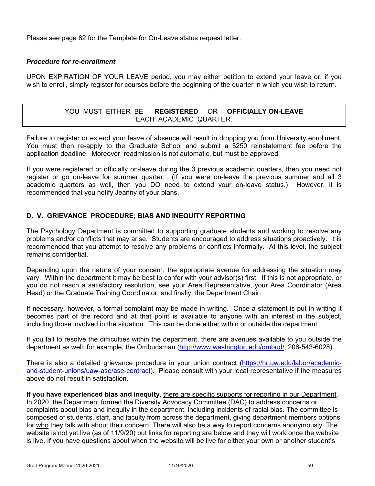Please see page 82 for the Template for On-Leave status request letter.

#### *Procedure for re-enrollment*

UPON EXPIRATION OF YOUR LEAVE period, you may either petition to extend your leave or, if you wish to enroll, simply register for courses before the beginning of the quarter in which you wish to return.

# YOU MUST EITHER BE **REGISTERED** OR **OFFICIALLY ON-LEAVE** EACH ACADEMIC QUARTER.

Failure to register or extend your leave of absence will result in dropping you from University enrollment. You must then re-apply to the Graduate School and submit a \$250 reinstatement fee before the application deadline. Moreover, readmission is not automatic, but must be approved.

If you were registered or officially on-leave during the 3 previous academic quarters, then you need not register or go on-leave for summer quarter. (If you were on-leave the previous summer and all 3 academic quarters as well, then you DO need to extend your on-leave status.) However, it is recommended that you notify Jeanny of your plans.

# **D. V. GRIEVANCE PROCEDURE; BIAS AND INEQUITY REPORTING**

The Psychology Department is committed to supporting graduate students and working to resolve any problems and/or conflicts that may arise. Students are encouraged to address situations proactively. It is recommended that you attempt to resolve any problems or conflicts informally. At this level, the subject remains confidential.

Depending upon the nature of your concern, the appropriate avenue for addressing the situation may vary. Within the department it may be best to confer with your advisor(s) first. If this is not appropriate, or you do not reach a satisfactory resolution, see your Area Representative, your Area Coordinator (Area Head) or the Graduate Training Coordinator, and finally, the Department Chair.

If necessary, however, a formal complaint may be made in writing. Once a statement is put in writing it becomes part of the record and at that point is available to anyone with an interest in the subject, including those involved in the situation. This can be done either within or outside the department.

If you fail to resolve the difficulties within the department, there are avenues available to you outside the department as well; for example, the Ombudsman (http://www.washington.edu/ombud/, 206-543-6028).

There is also a detailed grievance procedure in your union contract (https://hr.uw.edu/labor/academicand-student-unions/uaw-ase/ase-contract). Please consult with your local representative if the measures above do not result in satisfaction.

**If you have experienced bias and inequity**, there are specific supports for reporting in our Department. In 2020, the Department formed the Diversity Advocacy Committee (DAC) to address concerns or complaints about bias and inequity in the department, including incidents of racial bias. The committee is composed of students, staff, and faculty from across the department, giving department members options for who they talk with about their concern. There will also be a way to report concerns anonymously. The website is not yet live (as of 11/9/20) but links for reporting are below and they will work once the website is live. If you have questions about when the website will be live for either your own or another student's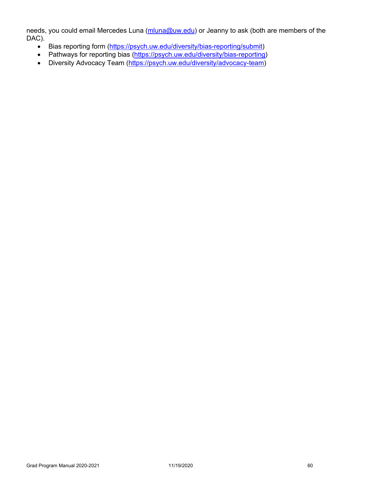needs, you could email Mercedes Luna (mluna@uw.edu) or Jeanny to ask (both are members of the DAC).

- Bias reporting form (https://psych.uw.edu/diversity/bias-reporting/submit)
- Pathways for reporting bias (https://psych.uw.edu/diversity/bias-reporting)
- Diversity Advocacy Team (https://psych.uw.edu/diversity/advocacy-team)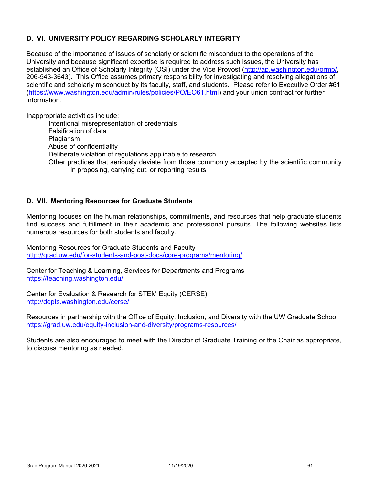# **D. VI. UNIVERSITY POLICY REGARDING SCHOLARLY INTEGRITY**

Because of the importance of issues of scholarly or scientific misconduct to the operations of the University and because significant expertise is required to address such issues, the University has established an Office of Scholarly Integrity (OSI) under the Vice Provost (http://ap.washington.edu/ormp/, 206-543-3643). This Office assumes primary responsibility for investigating and resolving allegations of scientific and scholarly misconduct by its faculty, staff, and students. Please refer to Executive Order #61 (https://www.washington.edu/admin/rules/policies/PO/EO61.html) and your union contract for further information.

Inappropriate activities include:

Intentional misrepresentation of credentials Falsification of data Plagiarism Abuse of confidentiality Deliberate violation of regulations applicable to research Other practices that seriously deviate from those commonly accepted by the scientific community in proposing, carrying out, or reporting results

# **D. VII. Mentoring Resources for Graduate Students**

Mentoring focuses on the human relationships, commitments, and resources that help graduate students find success and fulfillment in their academic and professional pursuits. The following websites lists numerous resources for both students and faculty.

Mentoring Resources for Graduate Students and Faculty http://grad.uw.edu/for-students-and-post-docs/core-programs/mentoring/

Center for Teaching & Learning, Services for Departments and Programs https://teaching.washington.edu/

Center for Evaluation & Research for STEM Equity (CERSE) http://depts.washington.edu/cerse/

Resources in partnership with the Office of Equity, Inclusion, and Diversity with the UW Graduate School https://grad.uw.edu/equity-inclusion-and-diversity/programs-resources/

Students are also encouraged to meet with the Director of Graduate Training or the Chair as appropriate, to discuss mentoring as needed.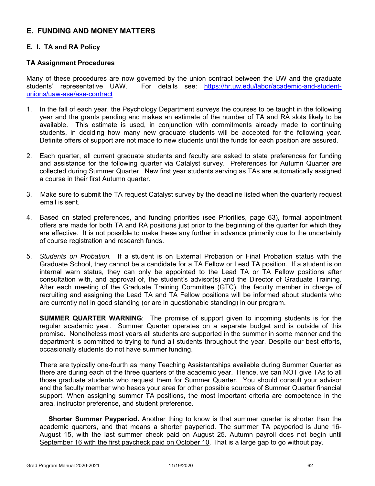# **E. FUNDING AND MONEY MATTERS**

# **E. I. TA and RA Policy**

# **TA Assignment Procedures**

Many of these procedures are now governed by the union contract between the UW and the graduate students' representative UAW. For details see: https://hr.uw.edu/labor/academic-and-studentunions/uaw-ase/ase-contract

- 1. In the fall of each year, the Psychology Department surveys the courses to be taught in the following year and the grants pending and makes an estimate of the number of TA and RA slots likely to be available. This estimate is used, in conjunction with commitments already made to continuing students, in deciding how many new graduate students will be accepted for the following year. Definite offers of support are not made to new students until the funds for each position are assured.
- 2. Each quarter, all current graduate students and faculty are asked to state preferences for funding and assistance for the following quarter via Catalyst survey. Preferences for Autumn Quarter are collected during Summer Quarter. New first year students serving as TAs are automatically assigned a course in their first Autumn quarter.
- 3. Make sure to submit the TA request Catalyst survey by the deadline listed when the quarterly request email is sent.
- 4. Based on stated preferences, and funding priorities (see Priorities, page 63), formal appointment offers are made for both TA and RA positions just prior to the beginning of the quarter for which they are effective. It is not possible to make these any further in advance primarily due to the uncertainty of course registration and research funds.
- 5. *Students on Probation.* If a student is on External Probation or Final Probation status with the Graduate School, they cannot be a candidate for a TA Fellow or Lead TA position. If a student is on internal warn status, they can only be appointed to the Lead TA or TA Fellow positions after consultation with, and approval of, the student's advisor(s) and the Director of Graduate Training. After each meeting of the Graduate Training Committee (GTC), the faculty member in charge of recruiting and assigning the Lead TA and TA Fellow positions will be informed about students who are currently not in good standing (or are in questionable standing) in our program.

**SUMMER QUARTER WARNING**: The promise of support given to incoming students is for the regular academic year. Summer Quarter operates on a separate budget and is outside of this promise. Nonetheless most years all students are supported in the summer in some manner and the department is committed to trying to fund all students throughout the year. Despite our best efforts, occasionally students do not have summer funding.

There are typically one-fourth as many Teaching Assistantships available during Summer Quarter as there are during each of the three quarters of the academic year. Hence, we can NOT give TAs to all those graduate students who request them for Summer Quarter. You should consult your advisor and the faculty member who heads your area for other possible sources of Summer Quarter financial support. When assigning summer TA positions, the most important criteria are competence in the area, instructor preference, and student preference.

**Shorter Summer Payperiod.** Another thing to know is that summer quarter is shorter than the academic quarters, and that means a shorter payperiod. The summer TA payperiod is June 16- August 15, with the last summer check paid on August 25. Autumn payroll does not begin until September 16 with the first paycheck paid on October 10. That is a large gap to go without pay.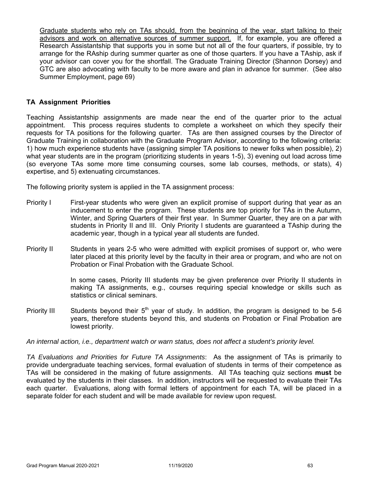Graduate students who rely on TAs should, from the beginning of the year, start talking to their advisors and work on alternative sources of summer support. If, for example, you are offered a Research Assistantship that supports you in some but not all of the four quarters, if possible, try to arrange for the RAship during summer quarter as one of those quarters. If you have a TAship, ask if your advisor can cover you for the shortfall. The Graduate Training Director (Shannon Dorsey) and GTC are also advocating with faculty to be more aware and plan in advance for summer. (See also Summer Employment, page 69)

#### **TA Assignment Priorities**

Teaching Assistantship assignments are made near the end of the quarter prior to the actual appointment. This process requires students to complete a worksheet on which they specify their requests for TA positions for the following quarter. TAs are then assigned courses by the Director of Graduate Training in collaboration with the Graduate Program Advisor, according to the following criteria: 1) how much experience students have (assigning simpler TA positions to newer folks when possible), 2) what year students are in the program (prioritizing students in years 1-5), 3) evening out load across time (so everyone TAs some more time consuming courses, some lab courses, methods, or stats), 4) expertise, and 5) extenuating circumstances.

The following priority system is applied in the TA assignment process:

- Priority I First-year students who were given an explicit promise of support during that year as an inducement to enter the program. These students are top priority for TAs in the Autumn, Winter, and Spring Quarters of their first year. In Summer Quarter, they are on a par with students in Priority II and III. Only Priority I students are guaranteed a TAship during the academic year, though in a typical year all students are funded.
- Priority II Students in years 2-5 who were admitted with explicit promises of support or, who were later placed at this priority level by the faculty in their area or program, and who are not on Probation or Final Probation with the Graduate School.

In some cases, Priority III students may be given preference over Priority II students in making TA assignments, e.g., courses requiring special knowledge or skills such as statistics or clinical seminars.

Priority III Students beyond their  $5<sup>th</sup>$  year of study. In addition, the program is designed to be 5-6 years, therefore students beyond this, and students on Probation or Final Probation are lowest priority.

#### *An internal action, i.e., department watch or warn status, does not affect a student's priority level.*

*TA Evaluations and Priorities for Future TA Assignments*: As the assignment of TAs is primarily to provide undergraduate teaching services, formal evaluation of students in terms of their competence as TAs will be considered in the making of future assignments. All TAs teaching quiz sections **must** be evaluated by the students in their classes. In addition, instructors will be requested to evaluate their TAs each quarter. Evaluations, along with formal letters of appointment for each TA, will be placed in a separate folder for each student and will be made available for review upon request.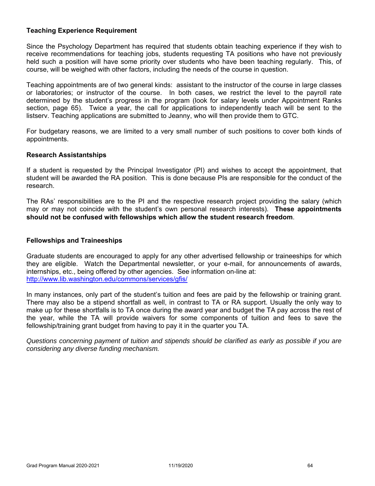# **Teaching Experience Requirement**

Since the Psychology Department has required that students obtain teaching experience if they wish to receive recommendations for teaching jobs, students requesting TA positions who have not previously held such a position will have some priority over students who have been teaching regularly. This, of course, will be weighed with other factors, including the needs of the course in question.

Teaching appointments are of two general kinds: assistant to the instructor of the course in large classes or laboratories; or instructor of the course. In both cases, we restrict the level to the payroll rate determined by the student's progress in the program (look for salary levels under Appointment Ranks section, page 65). Twice a year, the call for applications to independently teach will be sent to the listserv. Teaching applications are submitted to Jeanny, who will then provide them to GTC.

For budgetary reasons, we are limited to a very small number of such positions to cover both kinds of appointments.

#### **Research Assistantships**

If a student is requested by the Principal Investigator (PI) and wishes to accept the appointment, that student will be awarded the RA position. This is done because PIs are responsible for the conduct of the research.

The RAs' responsibilities are to the PI and the respective research project providing the salary (which may or may not coincide with the student's own personal research interests). **These appointments should not be confused with fellowships which allow the student research freedom**.

#### **Fellowships and Traineeships**

Graduate students are encouraged to apply for any other advertised fellowship or traineeships for which they are eligible. Watch the Departmental newsletter, or your e-mail, for announcements of awards, internships, etc., being offered by other agencies. See information on-line at: http://www.lib.washington.edu/commons/services/gfis/

In many instances, only part of the student's tuition and fees are paid by the fellowship or training grant. There may also be a stipend shortfall as well, in contrast to TA or RA support. Usually the only way to make up for these shortfalls is to TA once during the award year and budget the TA pay across the rest of the year, while the TA will provide waivers for some components of tuition and fees to save the fellowship/training grant budget from having to pay it in the quarter you TA.

*Questions concerning payment of tuition and stipends should be clarified as early as possible if you are considering any diverse funding mechanism.*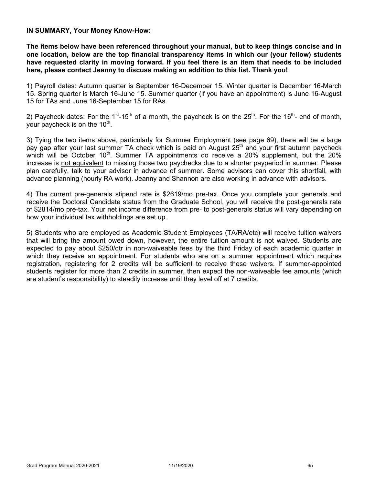**IN SUMMARY, Your Money Know-How:** 

**The items below have been referenced throughout your manual, but to keep things concise and in one location, below are the top financial transparency items in which our (your fellow) students have requested clarity in moving forward. If you feel there is an item that needs to be included here, please contact Jeanny to discuss making an addition to this list. Thank you!** 

1) Payroll dates: Autumn quarter is September 16-December 15. Winter quarter is December 16-March 15. Spring quarter is March 16-June 15. Summer quarter (if you have an appointment) is June 16-August 15 for TAs and June 16-September 15 for RAs.

2) Paycheck dates: For the 1<sup>st</sup>-15<sup>th</sup> of a month, the paycheck is on the 25<sup>th</sup>. For the 16<sup>th</sup>- end of month, your paycheck is on the  $10<sup>th</sup>$ .

3) Tying the two items above, particularly for Summer Employment (see page 69), there will be a large pay gap after your last summer TA check which is paid on August 25<sup>th</sup> and your first autumn paycheck which will be October  $10<sup>th</sup>$ . Summer TA appointments do receive a 20% supplement, but the 20% increase is not equivalent to missing those two paychecks due to a shorter payperiod in summer. Please plan carefully, talk to your advisor in advance of summer. Some advisors can cover this shortfall, with advance planning (hourly RA work). Jeanny and Shannon are also working in advance with advisors.

4) The current pre-generals stipend rate is \$2619/mo pre-tax. Once you complete your generals and receive the Doctoral Candidate status from the Graduate School, you will receive the post-generals rate of \$2814/mo pre-tax. Your net income difference from pre- to post-generals status will vary depending on how your individual tax withholdings are set up.

5) Students who are employed as Academic Student Employees (TA/RA/etc) will receive tuition waivers that will bring the amount owed down, however, the entire tuition amount is not waived. Students are expected to pay about \$250/qtr in non-waiveable fees by the third Friday of each academic quarter in which they receive an appointment. For students who are on a summer appointment which requires registration, registering for 2 credits will be sufficient to receive these waivers. If summer-appointed students register for more than 2 credits in summer, then expect the non-waiveable fee amounts (which are student's responsibility) to steadily increase until they level off at 7 credits.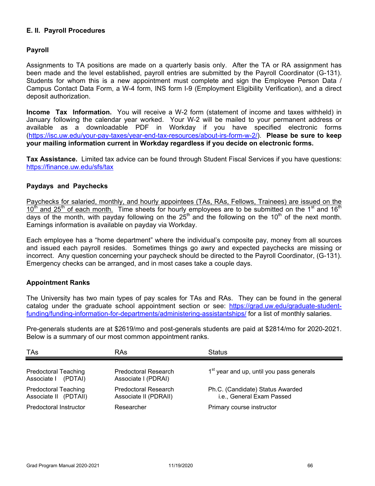# **E. II. Payroll Procedures**

#### **Payroll**

Assignments to TA positions are made on a quarterly basis only. After the TA or RA assignment has been made and the level established, payroll entries are submitted by the Payroll Coordinator (G-131). Students for whom this is a new appointment must complete and sign the Employee Person Data / Campus Contact Data Form, a W-4 form, INS form I-9 (Employment Eligibility Verification), and a direct deposit authorization.

**Income Tax Information.** You will receive a W-2 form (statement of income and taxes withheld) in January following the calendar year worked. Your W-2 will be mailed to your permanent address or available as a downloadable PDF in Workday if you have specified electronic forms (https://isc.uw.edu/your-pay-taxes/year-end-tax-resources/about-irs-form-w-2/). **Please be sure to keep your mailing information current in Workday regardless if you decide on electronic forms.** 

**Tax Assistance.** Limited tax advice can be found through Student Fiscal Services if you have questions: https://finance.uw.edu/sfs/tax

#### **Paydays and Paychecks**

Paychecks for salaried, monthly, and hourly appointees (TAs, RAs, Fellows, Trainees) are issued on the  $10<sup>th</sup>$  and 25<sup>th</sup> of each month. Time sheets for hourly employees are to be submitted on the 1<sup>st</sup> and 16<sup>th</sup> days of the month, with payday following on the  $25<sup>th</sup>$  and the following on the 10<sup>th</sup> of the next month. Earnings information is available on payday via Workday.

Each employee has a "home department" where the individual's composite pay, money from all sources and issued each payroll resides. Sometimes things go awry and expected paychecks are missing or incorrect. Any question concerning your paycheck should be directed to the Payroll Coordinator, (G-131). Emergency checks can be arranged, and in most cases take a couple days.

#### **Appointment Ranks**

The University has two main types of pay scales for TAs and RAs. They can be found in the general catalog under the graduate school appointment section or see: https://grad.uw.edu/graduate-studentfunding/funding-information-for-departments/administering-assistantships/ for a list of monthly salaries.

Pre-generals students are at \$2619/mo and post-generals students are paid at \$2814/mo for 2020-2021. Below is a summary of our most common appointment ranks.

| TAs                                                  | RAs                                                  | <b>Status</b>                                                 |
|------------------------------------------------------|------------------------------------------------------|---------------------------------------------------------------|
| <b>Predoctoral Teaching</b><br>Associate   (PDTAI)   | Predoctoral Research<br>Associate I (PDRAI)          | 1 <sup>st</sup> year and up, until you pass generals          |
| <b>Predoctoral Teaching</b><br>Associate II (PDTAII) | <b>Predoctoral Research</b><br>Associate II (PDRAII) | Ph.C. (Candidate) Status Awarded<br>i.e., General Exam Passed |
| <b>Predoctoral Instructor</b>                        | Researcher                                           | Primary course instructor                                     |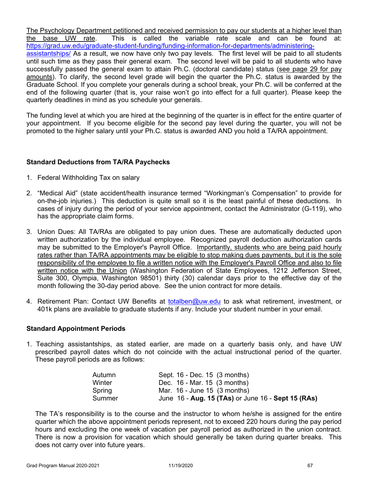The Psychology Department petitioned and received permission to pay our students at a higher level than the base UW rate. This is called the variable rate scale and can be found at: https://grad.uw.edu/graduate-student-funding/funding-information-for-departments/administeringassistantships/ As a result, we now have only two pay levels. The first level will be paid to all students until such time as they pass their general exam. The second level will be paid to all students who have successfully passed the general exam to attain Ph.C. (doctoral candidate) status (see page 29 for pay amounts). To clarify, the second level grade will begin the quarter the Ph.C. status is awarded by the Graduate School. If you complete your generals during a school break, your Ph.C. will be conferred at the end of the following quarter (that is, your raise won't go into effect for a full quarter). Please keep the quarterly deadlines in mind as you schedule your generals.

The funding level at which you are hired at the beginning of the quarter is in effect for the entire quarter of your appointment. If you become eligible for the second pay level during the quarter, you will not be promoted to the higher salary until your Ph.C. status is awarded AND you hold a TA/RA appointment.

# **Standard Deductions from TA/RA Paychecks**

- 1. Federal Withholding Tax on salary
- 2. "Medical Aid" (state accident/health insurance termed "Workingman's Compensation" to provide for on-the-job injuries.) This deduction is quite small so it is the least painful of these deductions. In cases of injury during the period of your service appointment, contact the Administrator (G-119), who has the appropriate claim forms.
- 3. Union Dues: All TA/RAs are obligated to pay union dues. These are automatically deducted upon written authorization by the individual employee. Recognized payroll deduction authorization cards may be submitted to the Employer's Payroll Office. Importantly, students who are being paid hourly rates rather than TA/RA appointments may be eligible to stop making dues payments, but it is the sole responsibility of the employee to file a written notice with the Employer's Payroll Office and also to file written notice with the Union (Washington Federation of State Employees, 1212 Jefferson Street, Suite 300, Olympia, Washington 98501) thirty (30) calendar days prior to the effective day of the month following the 30-day period above. See the union contract for more details.
- 4. Retirement Plan: Contact UW Benefits at totalben@uw.edu to ask what retirement, investment, or 401k plans are available to graduate students if any. Include your student number in your email.

#### **Standard Appointment Periods**

1. Teaching assistantships, as stated earlier, are made on a quarterly basis only, and have UW prescribed payroll dates which do not coincide with the actual instructional period of the quarter. These payroll periods are as follows:

| Autumn | Sept. 16 - Dec. 15 (3 months)                      |
|--------|----------------------------------------------------|
| Winter | Dec. 16 - Mar. 15 (3 months)                       |
| Spring | Mar. $16$ - June $15$ (3 months)                   |
| Summer | June 16 - Aug. 15 (TAs) or June 16 - Sept 15 (RAs) |

The TA's responsibility is to the course and the instructor to whom he/she is assigned for the entire quarter which the above appointment periods represent, not to exceed 220 hours during the pay period hours and excluding the one week of vacation per payroll period as authorized in the union contract. There is now a provision for vacation which should generally be taken during quarter breaks. This does not carry over into future years.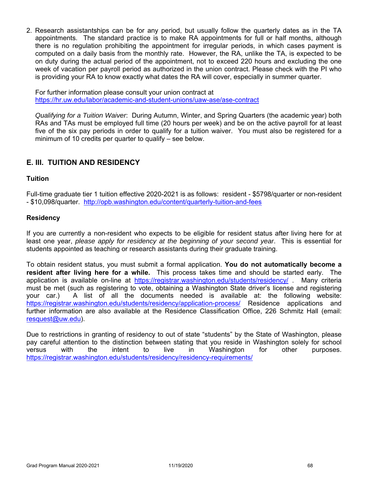2. Research assistantships can be for any period, but usually follow the quarterly dates as in the TA appointments. The standard practice is to make RA appointments for full or half months, although there is no regulation prohibiting the appointment for irregular periods, in which cases payment is computed on a daily basis from the monthly rate. However, the RA, unlike the TA, is expected to be on duty during the actual period of the appointment, not to exceed 220 hours and excluding the one week of vacation per payroll period as authorized in the union contract. Please check with the PI who is providing your RA to know exactly what dates the RA will cover, especially in summer quarter.

For further information please consult your union contract at https://hr.uw.edu/labor/academic-and-student-unions/uaw-ase/ase-contract

*Qualifying for a Tuition Waiver*: During Autumn, Winter, and Spring Quarters (the academic year) both RAs and TAs must be employed full time (20 hours per week) and be on the active payroll for at least five of the six pay periods in order to qualify for a tuition waiver. You must also be registered for a minimum of 10 credits per quarter to qualify – see below.

# **E. III. TUITION AND RESIDENCY**

#### **Tuition**

Full-time graduate tier 1 tuition effective 2020-2021 is as follows: resident - \$5798/quarter or non-resident - \$10,098/quarter. http://opb.washington.edu/content/quarterly-tuition-and-fees

#### **Residency**

If you are currently a non-resident who expects to be eligible for resident status after living here for at least one year, *please apply for residency at the beginning of your second year*. This is essential for students appointed as teaching or research assistants during their graduate training.

To obtain resident status, you must submit a formal application. **You do not automatically become a resident after living here for a while.** This process takes time and should be started early. The application is available on-line at https://registrar.washington.edu/students/residency/ . Many criteria must be met (such as registering to vote, obtaining a Washington State driver's license and registering your car.) A list of all the documents needed is available at: the following website: https://registrar.washington.edu/students/residency/application-process/ Residence applications and further information are also available at the Residence Classification Office, 226 Schmitz Hall (email: resquest@uw.edu).

Due to restrictions in granting of residency to out of state "students" by the State of Washington, please pay careful attention to the distinction between stating that you reside in Washington solely for school versus with the intent to live in Washington for other purposes. https://registrar.washington.edu/students/residency/residency-requirements/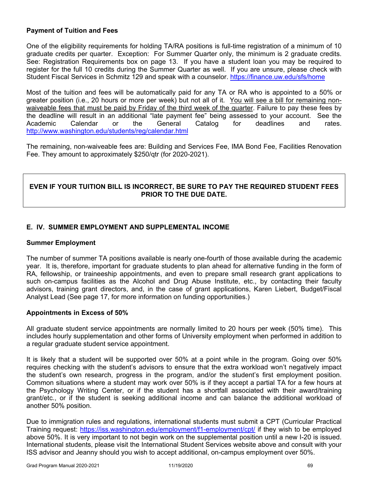# **Payment of Tuition and Fees**

One of the eligibility requirements for holding TA/RA positions is full-time registration of a minimum of 10 graduate credits per quarter. Exception: For Summer Quarter only, the minimum is 2 graduate credits. See: Registration Requirements box on page 13. If you have a student loan you may be required to register for the full 10 credits during the Summer Quarter as well. If you are unsure, please check with Student Fiscal Services in Schmitz 129 and speak with a counselor. https://finance.uw.edu/sfs/home

Most of the tuition and fees will be automatically paid for any TA or RA who is appointed to a 50% or greater position (i.e., 20 hours or more per week) but not all of it. You will see a bill for remaining nonwaiveable fees that must be paid by Friday of the third week of the quarter. Failure to pay these fees by the deadline will result in an additional "late payment fee" being assessed to your account. See the Academic Calendar or the General Catalog for deadlines and rates. http://www.washington.edu/students/reg/calendar.html

The remaining, non-waiveable fees are: Building and Services Fee, IMA Bond Fee, Facilities Renovation Fee. They amount to approximately \$250/qtr (for 2020-2021).

# **EVEN IF YOUR TUITION BILL IS INCORRECT, BE SURE TO PAY THE REQUIRED STUDENT FEES PRIOR TO THE DUE DATE.**

# **E. IV. SUMMER EMPLOYMENT AND SUPPLEMENTAL INCOME**

#### **Summer Employment**

The number of summer TA positions available is nearly one-fourth of those available during the academic year. It is, therefore, important for graduate students to plan ahead for alternative funding in the form of RA, fellowship, or traineeship appointments, and even to prepare small research grant applications to such on-campus facilities as the Alcohol and Drug Abuse Institute, etc., by contacting their faculty advisors, training grant directors, and, in the case of grant applications, Karen Liebert, Budget/Fiscal Analyst Lead (See page 17, for more information on funding opportunities.)

#### **Appointments in Excess of 50%**

All graduate student service appointments are normally limited to 20 hours per week (50% time). This includes hourly supplementation and other forms of University employment when performed in addition to a regular graduate student service appointment.

It is likely that a student will be supported over 50% at a point while in the program. Going over 50% requires checking with the student's advisors to ensure that the extra workload won't negatively impact the student's own research, progress in the program, and/or the student's first employment position. Common situations where a student may work over 50% is if they accept a partial TA for a few hours at the Psychology Writing Center, or if the student has a shortfall associated with their award/training grant/etc., or if the student is seeking additional income and can balance the additional workload of another 50% position.

Due to immigration rules and regulations, international students must submit a CPT (Curricular Practical Training request: https://iss.washington.edu/employment/f1-employment/cpt/ if they wish to be employed above 50%. It is very important to not begin work on the supplemental position until a new I-20 is issued. International students, please visit the International Student Services website above and consult with your ISS advisor and Jeanny should you wish to accept additional, on-campus employment over 50%.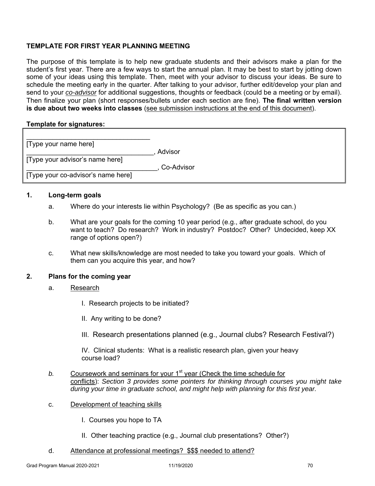# **TEMPLATE FOR FIRST YEAR PLANNING MEETING**

The purpose of this template is to help new graduate students and their advisors make a plan for the student's first year. There are a few ways to start the annual plan. It may be best to start by jotting down some of your ideas using this template. Then, meet with your advisor to discuss your ideas. Be sure to schedule the meeting early in the quarter. After talking to your advisor, further edit/develop your plan and send to your *co-advisor* for additional suggestions, thoughts or feedback (could be a meeting or by email). Then finalize your plan (short responses/bullets under each section are fine). **The final written version is due about two weeks into classes** (see submission instructions at the end of this document).

#### **Template for signatures:**

| [Type your name here]              |              |
|------------------------------------|--------------|
|                                    | , Advisor    |
| [Type your advisor's name here]    |              |
|                                    | , Co-Advisor |
| [Type your co-advisor's name here] |              |

#### **1. Long-term goals**

- a. Where do your interests lie within Psychology? (Be as specific as you can.)
- b. What are your goals for the coming 10 year period (e.g., after graduate school, do you want to teach? Do research? Work in industry? Postdoc? Other? Undecided, keep XX range of options open?)
- c. What new skills/knowledge are most needed to take you toward your goals. Which of them can you acquire this year, and how?

#### **2. Plans for the coming year**

- a. Research
	- I. Research projects to be initiated?
	- II. Any writing to be done?
	- III. Research presentations planned (e.g., Journal clubs? Research Festival?)

IV. Clinical students: What is a realistic research plan, given your heavy course load?

- *b*. Coursework and seminars for your 1<sup>st</sup> year (Check the time schedule for conflicts): *Section 3 provides some pointers for thinking through courses you might take during your time in graduate school, and might help with planning for this first year.*
- c. Development of teaching skills
	- I. Courses you hope to TA
	- II. Other teaching practice (e.g., Journal club presentations? Other?)

#### d. Attendance at professional meetings? \$\$\$ needed to attend?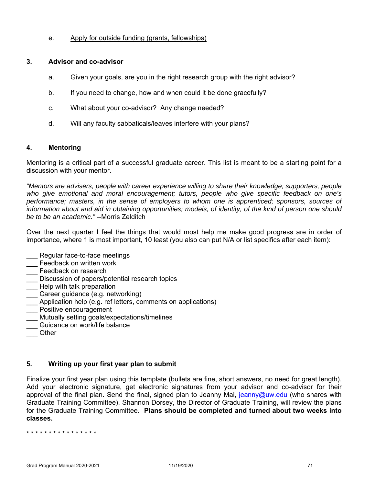#### e. Apply for outside funding (grants, fellowships)

#### **3. Advisor and co-advisor**

- a. Given your goals, are you in the right research group with the right advisor?
- b. If you need to change, how and when could it be done gracefully?
- c. What about your co-advisor? Any change needed?
- d. Will any faculty sabbaticals/leaves interfere with your plans?

#### **4. Mentoring**

Mentoring is a critical part of a successful graduate career. This list is meant to be a starting point for a discussion with your mentor.

*"Mentors are advisers, people with career experience willing to share their knowledge; supporters, people who give emotional and moral encouragement; tutors, people who give specific feedback on one's performance; masters, in the sense of employers to whom one is apprenticed; sponsors, sources of information about and aid in obtaining opportunities; models, of identity, of the kind of person one should be to be an academic."* --Morris Zelditch

Over the next quarter I feel the things that would most help me make good progress are in order of importance, where 1 is most important, 10 least (you also can put N/A or list specifics after each item):

- Regular face-to-face meetings
- Feedback on written work
- Feedback on research
- \_\_\_ Discussion of papers/potential research topics
- Help with talk preparation
- \_\_\_ Career guidance (e.g. networking)
- Application help (e.g. ref letters, comments on applications)
- \_\_\_ Positive encouragement
- \_\_\_ Mutually setting goals/expectations/timelines
- Guidance on work/life balance
- \_\_\_ Other

# **5. Writing up your first year plan to submit**

Finalize your first year plan using this template (bullets are fine, short answers, no need for great length). Add your electronic signature, get electronic signatures from your advisor and co-advisor for their approval of the final plan. Send the final, signed plan to Jeanny Mai, jeanny@uw.edu (who shares with Graduate Training Committee). Shannon Dorsey, the Director of Graduate Training, will review the plans for the Graduate Training Committee. **Plans should be completed and turned about two weeks into classes.**

\* \* \* \* \* \* \* \* \* \* \* \* \* \* \* \*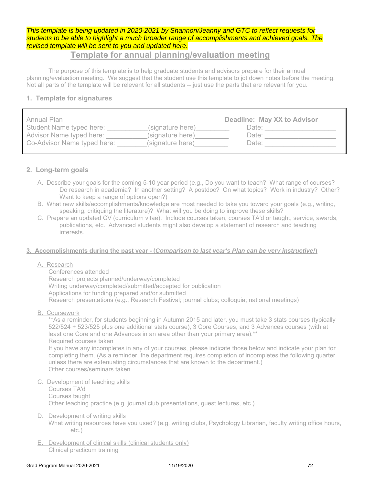## *This template is being updated in 2020-2021 by Shannon/Jeanny and GTC to reflect requests for students to be able to highlight a much broader range of accomplishments and achieved goals. The revised template will be sent to you and updated here.*

## **Template for annual planning/evaluation meeting**

The purpose of this template is to help graduate students and advisors prepare for their annual planning/evaluation meeting. We suggest that the student use this template to jot down notes before the meeting. Not all parts of the template will be relevant for all students -- just use the parts that are relevant for you.

## **1. Template for signatures**

| Annual Plan                 |                  | Deadline: May XX to Advisor |
|-----------------------------|------------------|-----------------------------|
| Student Name typed here:    | (signature here) | Date:                       |
| Advisor Name typed here:    | (signature here) | Date:                       |
| Co-Advisor Name typed here: | (signature here) | Date:                       |

## **2. Long-term goals**

- A. Describe your goals for the coming 5-10 year period (e.g., Do you want to teach? What range of courses? Do research in academia? In another setting? A postdoc? On what topics? Work in industry? Other? Want to keep a range of options open?)
- B. What new skills/accomplishments/knowledge are most needed to take you toward your goals (e.g., writing, speaking, critiquing the literature)? What will you be doing to improve these skills?
- C. Prepare an updated CV (curriculum vitae). Include courses taken, courses TA'd or taught, service, awards, publications, etc. Advanced students might also develop a statement of research and teaching interests.

#### **3. Accomplishments during the past year - (***Comparison to last year's Plan can be very instructive!***)**

## A. Research

 Conferences attended Research projects planned/underway/completed Writing underway/completed/submitted/accepted for publication Applications for funding prepared and/or submitted Research presentations (e.g., Research Festival; journal clubs; colloquia; national meetings)

B. Coursework

\*\*As a reminder, for students beginning in Autumn 2015 and later, you must take 3 stats courses (typically 522/524 + 523/525 plus one additional stats course), 3 Core Courses, and 3 Advances courses (with at least one Core and one Advances in an area other than your primary area).\*\* Required courses taken If you have any incompletes in any of your courses, please indicate those below and indicate your plan for

 completing them. (As a reminder, the department requires completion of incompletes the following quarter unless there are extenuating circumstances that are known to the department.) Other courses/seminars taken

- C. Development of teaching skills
	- Courses TA'd Courses taught Other teaching practice (e.g. journal club presentations, guest lectures, etc.)
- D. Development of writing skills
	- What writing resources have you used? (e.g. writing clubs, Psychology Librarian, faculty writing office hours, etc.)
- E. Development of clinical skills (clinical students only) Clinical practicum training

1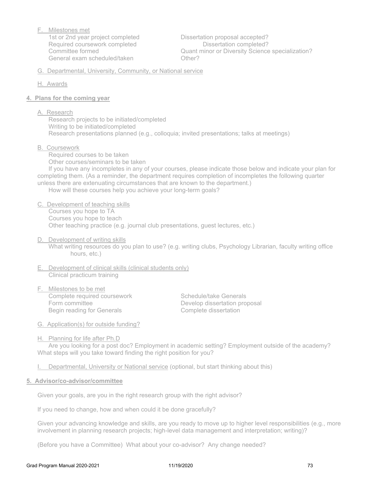F. Milestones met General exam scheduled/taken **CHACCOUNGER** Other?

 1st or 2nd year project completed Dissertation proposal accepted? Required coursework completed **Dissertation completed?** Committee formed **Committee formed** Committee formed Cuant minor or Diversity Science specialization?

G. Departmental, University, Community, or National service

- H. Awards
- **4. Plans for the coming year** 
	- A. Research

 Research projects to be initiated/completed Writing to be initiated/completed Research presentations planned (e.g., colloquia; invited presentations; talks at meetings)

B. Coursework

 Required courses to be taken Other courses/seminars to be taken If you have any incompletes in any of your courses, please indicate those below and indicate your plan for completing them. (As a reminder, the department requires completion of incompletes the following quarter unless there are extenuating circumstances that are known to the department.)

How will these courses help you achieve your long-term goals?

- C. Development of teaching skills Courses you hope to TA Courses you hope to teach Other teaching practice (e.g. journal club presentations, guest lectures, etc.)
- D. Development of writing skills

 What writing resources do you plan to use? (e.g. writing clubs, Psychology Librarian, faculty writing office hours, etc.)

- E. Development of clinical skills (clinical students only) Clinical practicum training
- F. Milestones to be met Complete required coursework **Schedule/take Generals** Form committee **Develop dissertation proposal** Begin reading for Generals **Complete dissertation**

- G. Application(s) for outside funding?
- H. Planning for life after Ph.D

 Are you looking for a post doc? Employment in academic setting? Employment outside of the academy? What steps will you take toward finding the right position for you?

I. Departmental, University or National service (optional, but start thinking about this)

#### **5. Advisor/co-advisor/committee**

Given your goals, are you in the right research group with the right advisor?

If you need to change, how and when could it be done gracefully?

Given your advancing knowledge and skills, are you ready to move up to higher level responsibilities (e.g., more involvement in planning research projects; high-level data management and interpretation; writing)?

(Before you have a Committee) What about your co-advisor? Any change needed?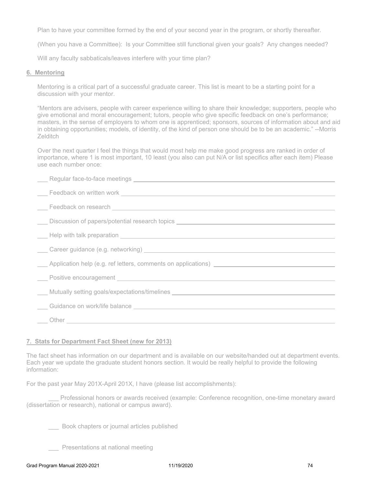Plan to have your committee formed by the end of your second year in the program, or shortly thereafter.

(When you have a Committee): Is your Committee still functional given your goals? Any changes needed?

Will any faculty sabbaticals/leaves interfere with your time plan?

#### **6. Mentoring**

Mentoring is a critical part of a successful graduate career. This list is meant to be a starting point for a discussion with your mentor.

"Mentors are advisers, people with career experience willing to share their knowledge; supporters, people who give emotional and moral encouragement; tutors, people who give specific feedback on one's performance; masters, in the sense of employers to whom one is apprenticed; sponsors, sources of information about and aid in obtaining opportunities; models, of identity, of the kind of person one should be to be an academic." --Morris Zelditch

Over the next quarter I feel the things that would most help me make good progress are ranked in order of importance, where 1 is most important, 10 least (you also can put N/A or list specifics after each item) Please use each number once:

| Eeedback on written work experience and the control of the control of the control of the control of the control of the control of the control of the control of the control of the control of the control of the control of th |
|--------------------------------------------------------------------------------------------------------------------------------------------------------------------------------------------------------------------------------|
|                                                                                                                                                                                                                                |
| Discussion of papers/potential research topics __________________________________                                                                                                                                              |
|                                                                                                                                                                                                                                |
|                                                                                                                                                                                                                                |
|                                                                                                                                                                                                                                |
| Lacksman Positive encouragement Lacksman and The Contract of the Positive encouragement Lacksman and The Termin                                                                                                                |
| ____Mutually setting goals/expectations/timelines ______________________________                                                                                                                                               |
|                                                                                                                                                                                                                                |
|                                                                                                                                                                                                                                |

#### **7. Stats for Department Fact Sheet (new for 2013)**

The fact sheet has information on our department and is available on our website/handed out at department events. Each year we update the graduate student honors section. It would be really helpful to provide the following information:

For the past year May 201X-April 201X, I have (please list accomplishments):

Professional honors or awards received (example: Conference recognition, one-time monetary award (dissertation or research), national or campus award).

\_\_\_ Book chapters or journal articles published

Presentations at national meeting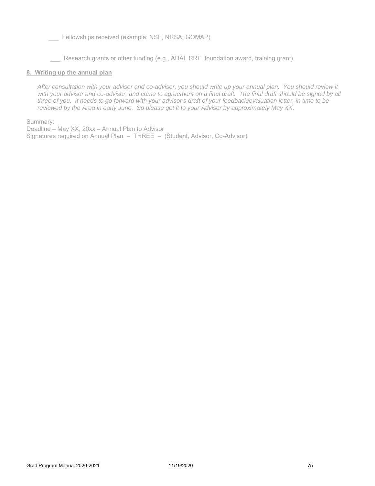Fellowships received (example: NSF, NRSA, GOMAP)

Research grants or other funding (e.g., ADAI, RRF, foundation award, training grant)

#### **8. Writing up the annual plan**

*After consultation with your advisor and co-advisor, you should write up your annual plan. You should review it*  with your advisor and co-advisor, and come to agreement on a final draft. The final draft should be signed by all *three of you. It needs to go forward with your advisor's draft of your feedback/evaluation letter, in time to be reviewed by the Area in early June. So please get it to your Advisor by approximately May XX.* 

Summary:

Deadline – May XX, 20xx – Annual Plan to Advisor Signatures required on Annual Plan – THREE – (Student, Advisor, Co-Advisor)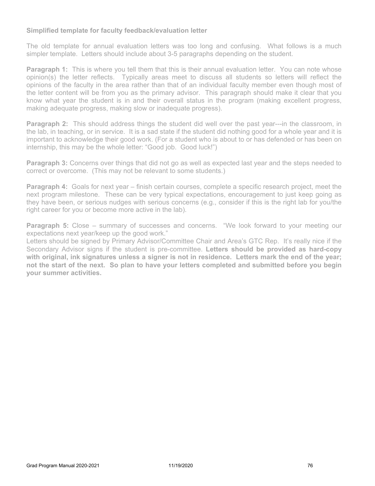## **Simplified template for faculty feedback/evaluation letter**

The old template for annual evaluation letters was too long and confusing. What follows is a much simpler template. Letters should include about 3-5 paragraphs depending on the student.

**Paragraph 1:** This is where you tell them that this is their annual evaluation letter. You can note whose opinion(s) the letter reflects. Typically areas meet to discuss all students so letters will reflect the opinions of the faculty in the area rather than that of an individual faculty member even though most of the letter content will be from you as the primary advisor. This paragraph should make it clear that you know what year the student is in and their overall status in the program (making excellent progress, making adequate progress, making slow or inadequate progress).

**Paragraph 2:** This should address things the student did well over the past year---in the classroom, in the lab, in teaching, or in service. It is a sad state if the student did nothing good for a whole year and it is important to acknowledge their good work. (For a student who is about to or has defended or has been on internship, this may be the whole letter: "Good job. Good luck!")

**Paragraph 3:** Concerns over things that did not go as well as expected last year and the steps needed to correct or overcome. (This may not be relevant to some students.)

**Paragraph 4:** Goals for next year – finish certain courses, complete a specific research project, meet the next program milestone. These can be very typical expectations, encouragement to just keep going as they have been, or serious nudges with serious concerns (e.g., consider if this is the right lab for you/the right career for you or become more active in the lab).

**Paragraph 5:** Close – summary of successes and concerns. "We look forward to your meeting our expectations next year/keep up the good work."

Letters should be signed by Primary Advisor/Committee Chair and Area's GTC Rep. It's really nice if the Secondary Advisor signs if the student is pre-committee. **Letters should be provided as hard-copy with original, ink signatures unless a signer is not in residence. Letters mark the end of the year; not the start of the next. So plan to have your letters completed and submitted before you begin your summer activities.**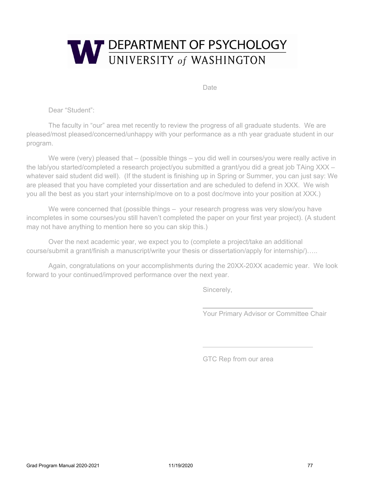

Date

Dear "Student":

The faculty in "our" area met recently to review the progress of all graduate students. We are pleased/most pleased/concerned/unhappy with your performance as a nth year graduate student in our program.

We were (very) pleased that – (possible things – you did well in courses/you were really active in the lab/you started/completed a research project/you submitted a grant/you did a great job TAing XXX – whatever said student did well). (If the student is finishing up in Spring or Summer, you can just say: We are pleased that you have completed your dissertation and are scheduled to defend in XXX. We wish you all the best as you start your internship/move on to a post doc/move into your position at XXX.)

We were concerned that (possible things – your research progress was very slow/you have incompletes in some courses/you still haven't completed the paper on your first year project). (A student may not have anything to mention here so you can skip this.)

Over the next academic year, we expect you to (complete a project/take an additional course/submit a grant/finish a manuscript/write your thesis or dissertation/apply for internship/)…..

Again, congratulations on your accomplishments during the 20XX-20XX academic year. We look forward to your continued/improved performance over the next year.

Sincerely,

Your Primary Advisor or Committee Chair

GTC Rep from our area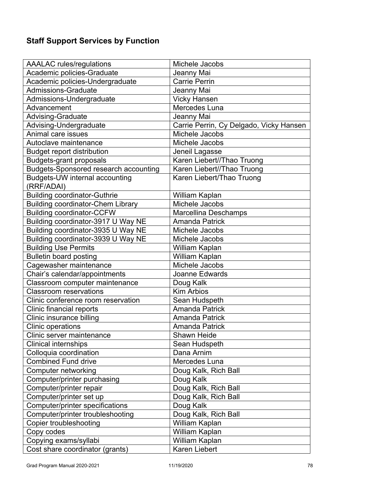# **Staff Support Services by Function**

| <b>AAALAC</b> rules/regulations                                              | Michele Jacobs                                       |
|------------------------------------------------------------------------------|------------------------------------------------------|
| Academic policies-Graduate                                                   | Jeanny Mai                                           |
| Academic policies-Undergraduate                                              | <b>Carrie Perrin</b>                                 |
| <b>Admissions-Graduate</b>                                                   | Jeanny Mai                                           |
| Admissions-Undergraduate                                                     | <b>Vicky Hansen</b>                                  |
| Advancement                                                                  | Mercedes Luna                                        |
| <b>Advising-Graduate</b>                                                     | Jeanny Mai                                           |
| Advising-Undergraduate                                                       | Carrie Perrin, Cy Delgado, Vicky Hansen              |
| Animal care issues                                                           | Michele Jacobs                                       |
| Autoclave maintenance                                                        | Michele Jacobs                                       |
| <b>Budget report distribution</b>                                            | Jeneil Lagasse                                       |
| <b>Budgets-grant proposals</b>                                               | Karen Liebert//Thao Truong                           |
| <b>Budgets-Sponsored research accounting</b>                                 | Karen Liebert//Thao Truong                           |
| Budgets-UW internal accounting<br>(RRF/ADAI)                                 | Karen Liebert/Thao Truong                            |
| <b>Building coordinator-Guthrie</b>                                          |                                                      |
|                                                                              | William Kaplan<br>Michele Jacobs                     |
| <b>Building coordinator-Chem Library</b><br><b>Building coordinator-CCFW</b> |                                                      |
| Building coordinator-3917 U Way NE                                           | <b>Marcellina Deschamps</b><br><b>Amanda Patrick</b> |
| Building coordinator-3935 U Way NE                                           | Michele Jacobs                                       |
| Building coordinator-3939 U Way NE                                           | Michele Jacobs                                       |
|                                                                              |                                                      |
| <b>Building Use Permits</b>                                                  | William Kaplan                                       |
| <b>Bulletin board posting</b>                                                | William Kaplan<br>Michele Jacobs                     |
| Cagewasher maintenance                                                       | <b>Joanne Edwards</b>                                |
| Chair's calendar/appointments                                                |                                                      |
| Classroom computer maintenance<br><b>Classroom reservations</b>              | Doug Kalk<br><b>Kim Arbios</b>                       |
| Clinic conference room reservation                                           |                                                      |
|                                                                              | Sean Hudspeth<br><b>Amanda Patrick</b>               |
| Clinic financial reports<br>Clinic insurance billing                         | <b>Amanda Patrick</b>                                |
|                                                                              | <b>Amanda Patrick</b>                                |
| Clinic operations<br>Clinic server maintenance                               | Shawn Heide                                          |
|                                                                              |                                                      |
| <b>Clinical internships</b><br>Colloquia coordination                        | Sean Hudspeth<br>Dana Arnim                          |
| <b>Combined Fund drive</b>                                                   | Mercedes Luna                                        |
| <b>Computer networking</b>                                                   | Doug Kalk, Rich Ball                                 |
|                                                                              | Doug Kalk                                            |
| Computer/printer purchasing<br>Computer/printer repair                       | Doug Kalk, Rich Ball                                 |
| Computer/printer set up                                                      | Doug Kalk, Rich Ball                                 |
| <b>Computer/printer specifications</b>                                       | Doug Kalk                                            |
| Computer/printer troubleshooting                                             | Doug Kalk, Rich Ball                                 |
| <b>Copier troubleshooting</b>                                                | William Kaplan                                       |
| Copy codes                                                                   | William Kaplan                                       |
| Copying exams/syllabi                                                        | William Kaplan                                       |
| Cost share coordinator (grants)                                              | Karen Liebert                                        |
|                                                                              |                                                      |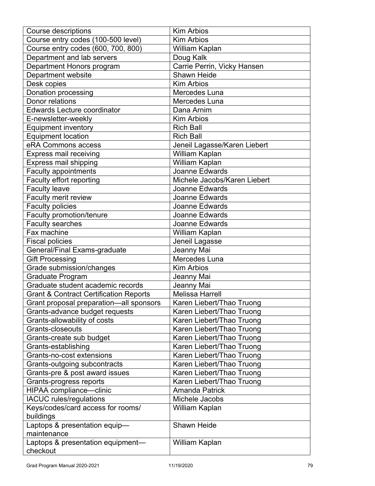| <b>Course descriptions</b>                        | <b>Kim Arbios</b>            |
|---------------------------------------------------|------------------------------|
| Course entry codes (100-500 level)                | <b>Kim Arbios</b>            |
| Course entry codes (600, 700, 800)                | William Kaplan               |
| Department and lab servers                        | Doug Kalk                    |
| Department Honors program                         | Carrie Perrin, Vicky Hansen  |
| Department website                                | <b>Shawn Heide</b>           |
| Desk copies                                       | <b>Kim Arbios</b>            |
| Donation processing                               | Mercedes Luna                |
| Donor relations                                   | Mercedes Luna                |
| <b>Edwards Lecture coordinator</b>                | Dana Arnim                   |
| E-newsletter-weekly                               | <b>Kim Arbios</b>            |
| <b>Equipment inventory</b>                        | <b>Rich Ball</b>             |
| <b>Equipment location</b>                         | <b>Rich Ball</b>             |
| eRA Commons access                                | Jeneil Lagasse/Karen Liebert |
| <b>Express mail receiving</b>                     | William Kaplan               |
| <b>Express mail shipping</b>                      | William Kaplan               |
| <b>Faculty appointments</b>                       | Joanne Edwards               |
| Faculty effort reporting                          | Michele Jacobs/Karen Liebert |
| <b>Faculty leave</b>                              | Joanne Edwards               |
| Faculty merit review                              | Joanne Edwards               |
| <b>Faculty policies</b>                           | Joanne Edwards               |
| Faculty promotion/tenure                          | Joanne Edwards               |
| Faculty searches                                  | Joanne Edwards               |
| Fax machine                                       | William Kaplan               |
| <b>Fiscal policies</b>                            | Jeneil Lagasse               |
| General/Final Exams-graduate                      | Jeanny Mai                   |
| <b>Gift Processing</b>                            | Mercedes Luna                |
| Grade submission/changes                          | <b>Kim Arbios</b>            |
| <b>Graduate Program</b>                           | Jeanny Mai                   |
| Graduate student academic records                 | Jeanny Mai                   |
| <b>Grant &amp; Contract Certification Reports</b> | <b>Melissa Harrell</b>       |
|                                                   | Karen Liebert/Thao Truong    |
| Grant proposal preparation-all sponsors           |                              |
| Grants-advance budget requests                    | Karen Liebert/Thao Truong    |
| Grants-allowability of costs<br>Grants-closeouts  | Karen Liebert/Thao Truong    |
|                                                   | Karen Liebert/Thao Truong    |
| Grants-create sub budget                          | Karen Liebert/Thao Truong    |
| Grants-establishing                               | Karen Liebert/Thao Truong    |
| Grants-no-cost extensions                         | Karen Liebert/Thao Truong    |
| Grants-outgoing subcontracts                      | Karen Liebert/Thao Truong    |
| Grants-pre & post award issues                    | Karen Liebert/Thao Truong    |
| Grants-progress reports                           | Karen Liebert/Thao Truong    |
| HIPAA compliance-clinic                           | <b>Amanda Patrick</b>        |
| <b>IACUC</b> rules/regulations                    | Michele Jacobs               |
| Keys/codes/card access for rooms/<br>buildings    | William Kaplan               |
| Laptops & presentation equip-                     | <b>Shawn Heide</b>           |
| maintenance                                       |                              |
| Laptops & presentation equipment-                 | William Kaplan               |
| checkout                                          |                              |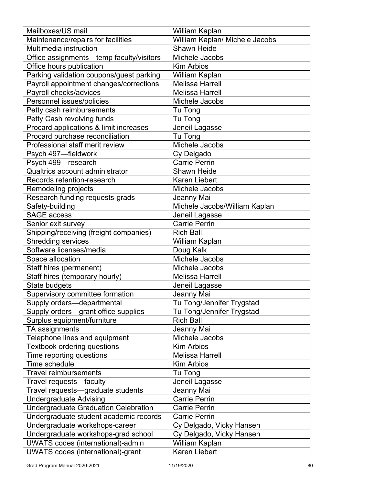| Mailboxes/US mail                        | William Kaplan                 |
|------------------------------------------|--------------------------------|
| Maintenance/repairs for facilities       | William Kaplan/ Michele Jacobs |
| Multimedia instruction                   | <b>Shawn Heide</b>             |
| Office assignments-temp faculty/visitors | Michele Jacobs                 |
| Office hours publication                 | <b>Kim Arbios</b>              |
| Parking validation coupons/guest parking | William Kaplan                 |
| Payroll appointment changes/corrections  | <b>Melissa Harrell</b>         |
| Payroll checks/advices                   | <b>Melissa Harrell</b>         |
| Personnel issues/policies                | Michele Jacobs                 |
| Petty cash reimbursements                | Tu Tong                        |
| Petty Cash revolving funds               | Tu Tong                        |
| Procard applications & limit increases   | Jeneil Lagasse                 |
| Procard purchase reconciliation          | Tu Tong                        |
| Professional staff merit review          | Michele Jacobs                 |
| Psych 497-fieldwork                      | Cy Delgado                     |
| Psych 499-research                       | <b>Carrie Perrin</b>           |
| Qualtrics account administrator          | <b>Shawn Heide</b>             |
| Records retention-research               | <b>Karen Liebert</b>           |
| Remodeling projects                      | Michele Jacobs                 |
| Research funding requests-grads          | Jeanny Mai                     |
| Safety-building                          | Michele Jacobs/William Kaplan  |
| <b>SAGE access</b>                       | Jeneil Lagasse                 |
| Senior exit survey                       | <b>Carrie Perrin</b>           |
| Shipping/receiving (freight companies)   | <b>Rich Ball</b>               |
| <b>Shredding services</b>                | William Kaplan                 |
| Software licenses/media                  | Doug Kalk                      |
| Space allocation                         | Michele Jacobs                 |
| Staff hires (permanent)                  | Michele Jacobs                 |
| Staff hires (temporary hourly)           | <b>Melissa Harrell</b>         |
| State budgets                            | Jeneil Lagasse                 |
| Supervisory committee formation          | Jeanny Mai                     |
| Supply orders-departmental               | Tu Tong/Jennifer Trygstad      |
| Supply orders-grant office supplies      | Tu Tong/Jennifer Trygstad      |
| Surplus equipment/furniture              | <b>Rich Ball</b>               |
| TA assignments                           | Jeanny Mai                     |
| Telephone lines and equipment            | Michele Jacobs                 |
| <b>Textbook ordering questions</b>       | <b>Kim Arbios</b>              |
| Time reporting questions                 | <b>Melissa Harrell</b>         |
| Time schedule                            | <b>Kim Arbios</b>              |
| <b>Travel reimbursements</b>             | Tu Tong                        |
| Travel requests-faculty                  | Jeneil Lagasse                 |
| Travel requests-graduate students        | Jeanny Mai                     |
| <b>Undergraduate Advising</b>            | <b>Carrie Perrin</b>           |
| Undergraduate Graduation Celebration     | <b>Carrie Perrin</b>           |
| Undergraduate student academic records   | <b>Carrie Perrin</b>           |
| Undergraduate workshops-career           | Cy Delgado, Vicky Hansen       |
| Undergraduate workshops-grad school      | Cy Delgado, Vicky Hansen       |
| <b>UWATS</b> codes (international)-admin | William Kaplan                 |
| <b>UWATS codes (international)-grant</b> | <b>Karen Liebert</b>           |
|                                          |                                |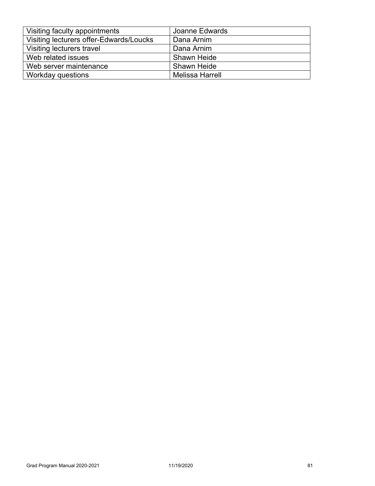| Visiting faculty appointments           | Joanne Edwards         |
|-----------------------------------------|------------------------|
| Visiting lecturers offer-Edwards/Loucks | Dana Arnim             |
| Visiting lecturers travel               | Dana Arnim             |
| Web related issues                      | <b>Shawn Heide</b>     |
| Web server maintenance                  | <b>Shawn Heide</b>     |
| Workday questions                       | <b>Melissa Harrell</b> |